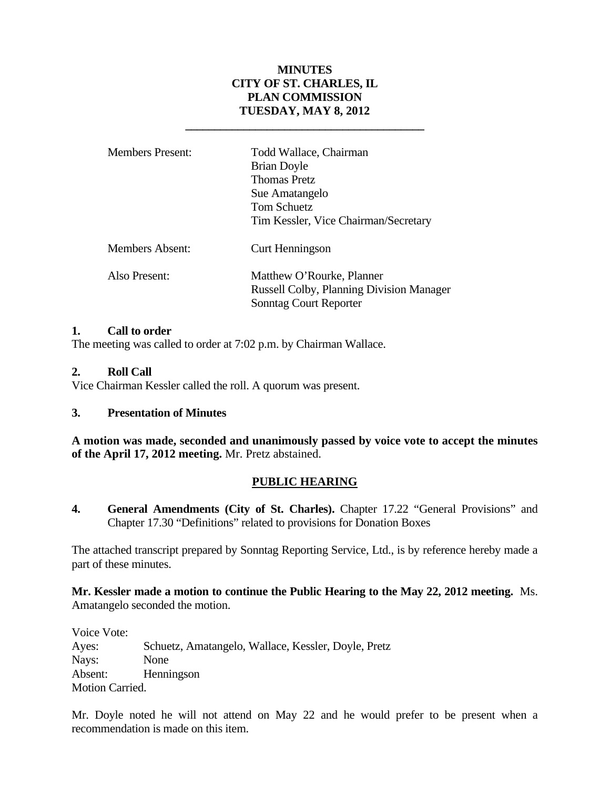# **MINUTES CITY OF ST. CHARLES, IL PLAN COMMISSION TUESDAY, MAY 8, 2012**

| <b>Members Present:</b> | Todd Wallace, Chairman<br><b>Brian Doyle</b><br><b>Thomas Pretz</b><br>Sue Amatangelo<br>Tom Schuetz<br>Tim Kessler, Vice Chairman/Secretary |
|-------------------------|----------------------------------------------------------------------------------------------------------------------------------------------|
| Members Absent:         | Curt Henningson                                                                                                                              |
| Also Present:           | Matthew O'Rourke, Planner<br><b>Russell Colby, Planning Division Manager</b><br>Sonntag Court Reporter                                       |

 **\_\_\_\_\_\_\_\_\_\_\_\_\_\_\_\_\_\_\_\_\_\_\_\_\_\_\_\_\_\_\_\_\_\_\_\_\_\_\_\_\_** 

#### **1. Call to order**

The meeting was called to order at 7:02 p.m. by Chairman Wallace.

### **2. Roll Call**

Vice Chairman Kessler called the roll. A quorum was present.

# **3. Presentation of Minutes**

**A motion was made, seconded and unanimously passed by voice vote to accept the minutes of the April 17, 2012 meeting.** Mr. Pretz abstained.

# **PUBLIC HEARING**

**4. General Amendments (City of St. Charles).** Chapter 17.22 "General Provisions" and Chapter 17.30 "Definitions" related to provisions for Donation Boxes

The attached transcript prepared by Sonntag Reporting Service, Ltd., is by reference hereby made a part of these minutes.

**Mr. Kessler made a motion to continue the Public Hearing to the May 22, 2012 meeting.** Ms. Amatangelo seconded the motion.

Voice Vote: Ayes: Schuetz, Amatangelo, Wallace, Kessler, Doyle, Pretz Nays: None Absent: Henningson Motion Carried.

Mr. Doyle noted he will not attend on May 22 and he would prefer to be present when a recommendation is made on this item.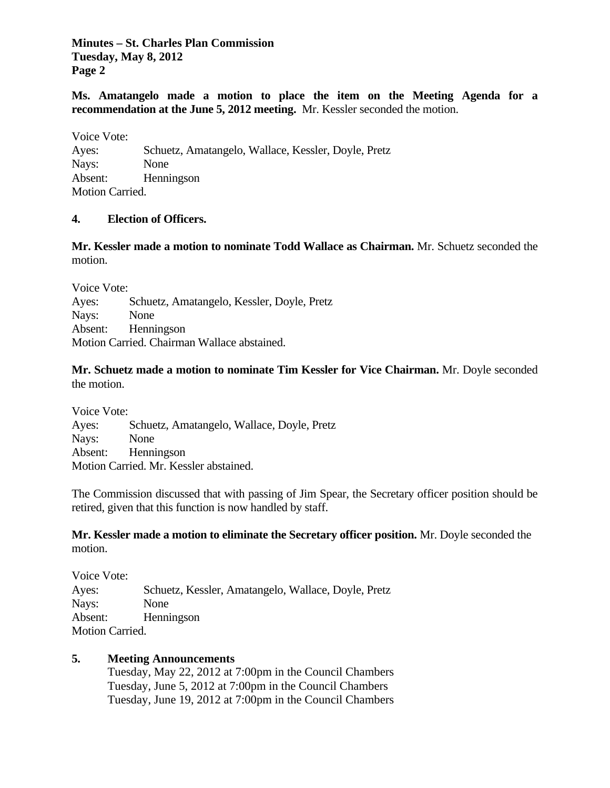**Minutes – St. Charles Plan Commission Tuesday, May 8, 2012 Page 2**

**Ms. Amatangelo made a motion to place the item on the Meeting Agenda for a recommendation at the June 5, 2012 meeting.** Mr. Kessler seconded the motion.

Voice Vote: Ayes: Schuetz, Amatangelo, Wallace, Kessler, Doyle, Pretz Nays: None Absent: Henningson Motion Carried.

#### **4. Election of Officers.**

**Mr. Kessler made a motion to nominate Todd Wallace as Chairman.** Mr. Schuetz seconded the motion.

Voice Vote: Ayes: Schuetz, Amatangelo, Kessler, Doyle, Pretz Nays: None Absent: Henningson Motion Carried. Chairman Wallace abstained.

**Mr. Schuetz made a motion to nominate Tim Kessler for Vice Chairman.** Mr. Doyle seconded the motion.

Voice Vote: Ayes: Schuetz, Amatangelo, Wallace, Doyle, Pretz Nays: None Absent: Henningson Motion Carried. Mr. Kessler abstained.

The Commission discussed that with passing of Jim Spear, the Secretary officer position should be retired, given that this function is now handled by staff.

**Mr. Kessler made a motion to eliminate the Secretary officer position.** Mr. Doyle seconded the motion.

Voice Vote: Ayes: Schuetz, Kessler, Amatangelo, Wallace, Doyle, Pretz Nays: None Absent: Henningson Motion Carried.

#### **5. Meeting Announcements**

Tuesday, May 22, 2012 at 7:00pm in the Council Chambers Tuesday, June 5, 2012 at 7:00pm in the Council Chambers Tuesday, June 19, 2012 at 7:00pm in the Council Chambers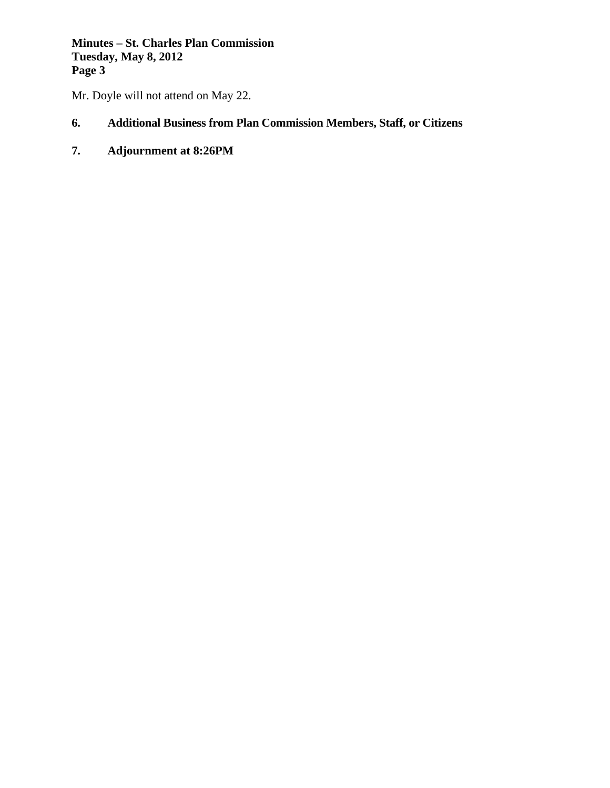**Minutes – St. Charles Plan Commission Tuesday, May 8, 2012 Page 3**

Mr. Doyle will not attend on May 22.

# **6. Additional Business from Plan Commission Members, Staff, or Citizens**

**7. Adjournment at 8:26PM**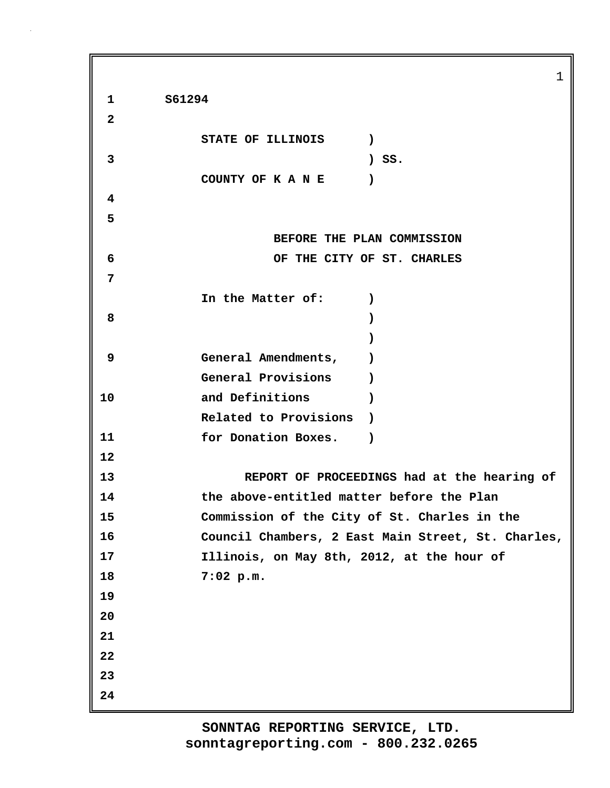1 **1 S61294 2 STATE OF ILLINOIS ) 3 ) SS. COUNTY OF K A N E ) 4 5 BEFORE THE PLAN COMMISSION 6 OF THE CITY OF ST. CHARLES 7 In the Matter of: ) 8 ) ) 9 General Amendments, ) General Provisions ) 10 and Definitions ) Related to Provisions ) 11 for Donation Boxes. ) 12 13 REPORT OF PROCEEDINGS had at the hearing of 14 the above-entitled matter before the Plan 15 Commission of the City of St. Charles in the 16 Council Chambers, 2 East Main Street, St. Charles, 17 Illinois, on May 8th, 2012, at the hour of 18 7:02 p.m. 19 20 21 22 23 24**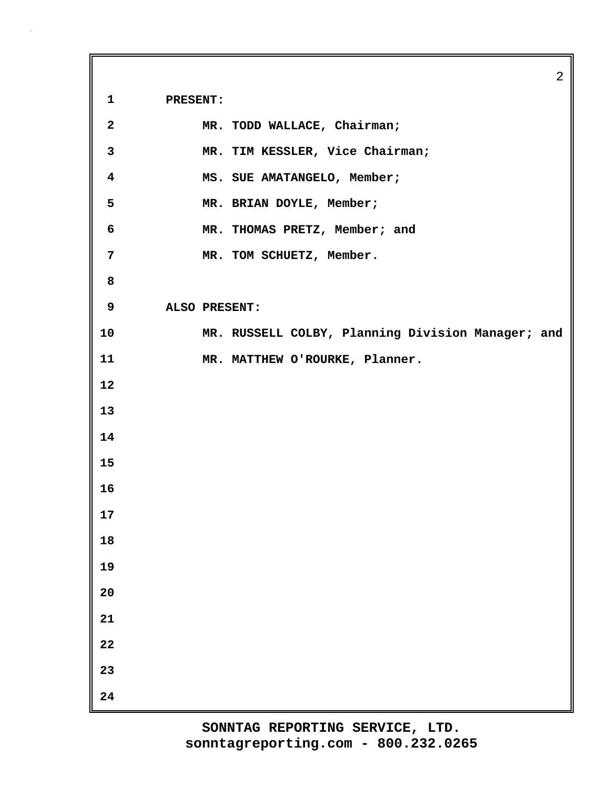**1 PRESENT:**

| $\mathbf{2}$            | MR. TODD WALLACE, Chairman;                       |
|-------------------------|---------------------------------------------------|
| $\mathbf{3}$            | MR. TIM KESSLER, Vice Chairman;                   |
| $\overline{\mathbf{4}}$ | MS. SUE AMATANGELO, Member;                       |
| 5                       | MR. BRIAN DOYLE, Member;                          |
| $\boldsymbol{6}$        | MR. THOMAS PRETZ, Member; and                     |
| $\overline{7}$          | MR. TOM SCHUETZ, Member.                          |
| 8                       |                                                   |
| 9                       | ALSO PRESENT:                                     |
| 10                      | MR. RUSSELL COLBY, Planning Division Manager; and |
| 11                      | MR. MATTHEW O'ROURKE, Planner.                    |
| 12                      |                                                   |
| 13                      |                                                   |
| 14                      |                                                   |
| 15                      |                                                   |
| 16                      |                                                   |
| 17                      |                                                   |
| 18                      |                                                   |
| 19                      |                                                   |
| 20                      |                                                   |
| 21                      |                                                   |
| ${\bf 22}$              |                                                   |
| 23                      |                                                   |
| 24                      |                                                   |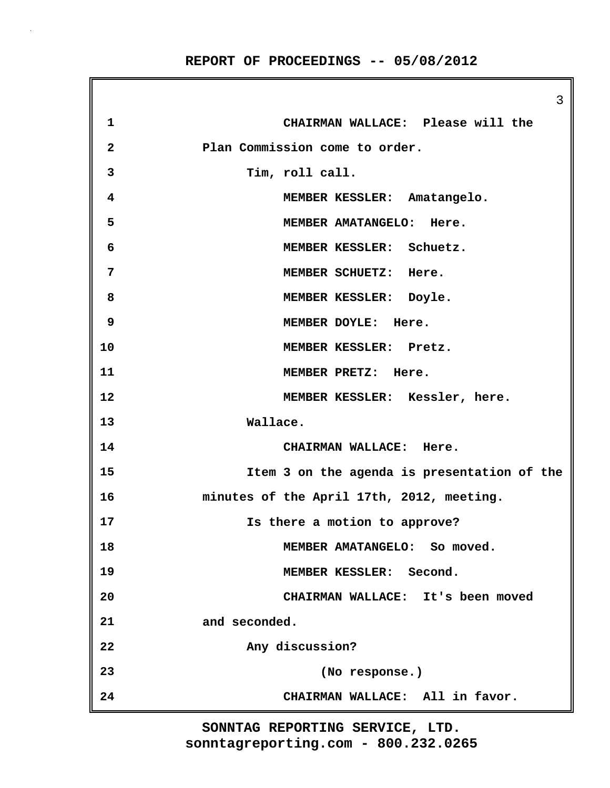**REPORT OF PROCEEDINGS -- 05/08/2012**

3 **1 CHAIRMAN WALLACE: Please will the 2 Plan Commission come to order. 3 Tim, roll call. 4 MEMBER KESSLER: Amatangelo. 5 MEMBER AMATANGELO: Here. 6 MEMBER KESSLER: Schuetz. 7 MEMBER SCHUETZ: Here. 8 MEMBER KESSLER: Doyle. 9 MEMBER DOYLE: Here. 10 MEMBER KESSLER: Pretz. 11 MEMBER PRETZ: Here. 12 MEMBER KESSLER: Kessler, here. 13 Wallace. 14 CHAIRMAN WALLACE: Here. 15 Item 3 on the agenda is presentation of the 16 minutes of the April 17th, 2012, meeting. 17 Is there a motion to approve? 18 MEMBER AMATANGELO: So moved. 19 MEMBER KESSLER: Second. 20 CHAIRMAN WALLACE: It's been moved 21 and seconded. 22 Any discussion? 23 (No response.) 24 CHAIRMAN WALLACE: All in favor.**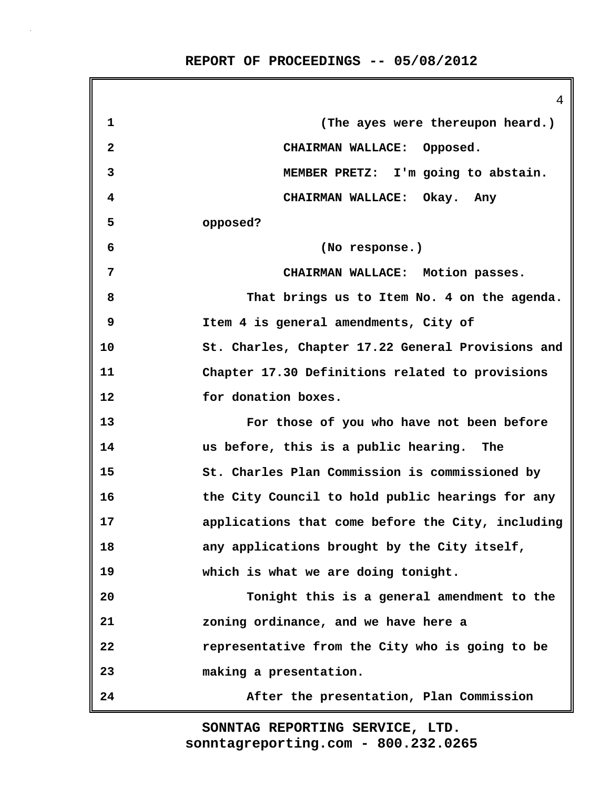4 **1 (The ayes were thereupon heard.) 2 CHAIRMAN WALLACE: Opposed. 3 MEMBER PRETZ: I'm going to abstain. 4 CHAIRMAN WALLACE: Okay. Any 5 opposed? 6 (No response.) 7 CHAIRMAN WALLACE: Motion passes. 8 That brings us to Item No. 4 on the agenda. 9 Item 4 is general amendments, City of 10 St. Charles, Chapter 17.22 General Provisions and 11 Chapter 17.30 Definitions related to provisions 12 for donation boxes. 13 For those of you who have not been before 14 us before, this is a public hearing. The 15 St. Charles Plan Commission is commissioned by 16 the City Council to hold public hearings for any 17 applications that come before the City, including 18 any applications brought by the City itself, 19 which is what we are doing tonight. 20 Tonight this is a general amendment to the 21 zoning ordinance, and we have here a 22 representative from the City who is going to be 23 making a presentation. 24 After the presentation, Plan Commission**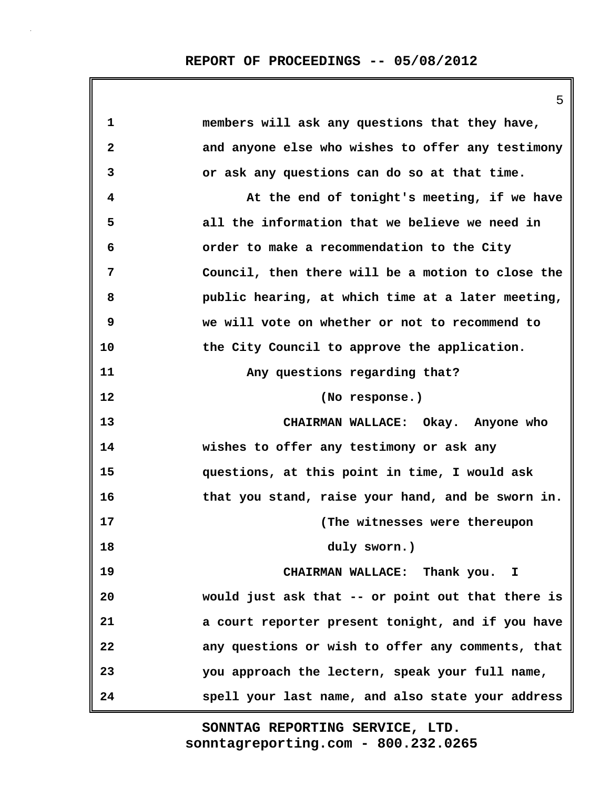**REPORT OF PROCEEDINGS -- 05/08/2012**

|                         | 5                                                 |
|-------------------------|---------------------------------------------------|
| 1                       | members will ask any questions that they have,    |
| $\overline{\mathbf{2}}$ | and anyone else who wishes to offer any testimony |
| 3                       | or ask any questions can do so at that time.      |
| 4                       | At the end of tonight's meeting, if we have       |
| 5                       | all the information that we believe we need in    |
| 6                       | order to make a recommendation to the City        |
| 7                       | Council, then there will be a motion to close the |
| 8                       | public hearing, at which time at a later meeting, |
| 9                       | we will vote on whether or not to recommend to    |
| 10                      | the City Council to approve the application.      |
| 11                      | Any questions regarding that?                     |
| 12                      | (No response.)                                    |
| 13                      | CHAIRMAN WALLACE: Okay. Anyone who                |
| 14                      | wishes to offer any testimony or ask any          |
| 15                      | questions, at this point in time, I would ask     |
| 16                      | that you stand, raise your hand, and be sworn in. |
| 17                      | (The witnesses were thereupon                     |
| 18                      | duly sworn.)                                      |
| 19                      | CHAIRMAN WALLACE: Thank you. I                    |
| 20                      | would just ask that -- or point out that there is |
| 21                      | a court reporter present tonight, and if you have |
| 22                      | any questions or wish to offer any comments, that |
| 23                      | you approach the lectern, speak your full name,   |
| 24                      | spell your last name, and also state your address |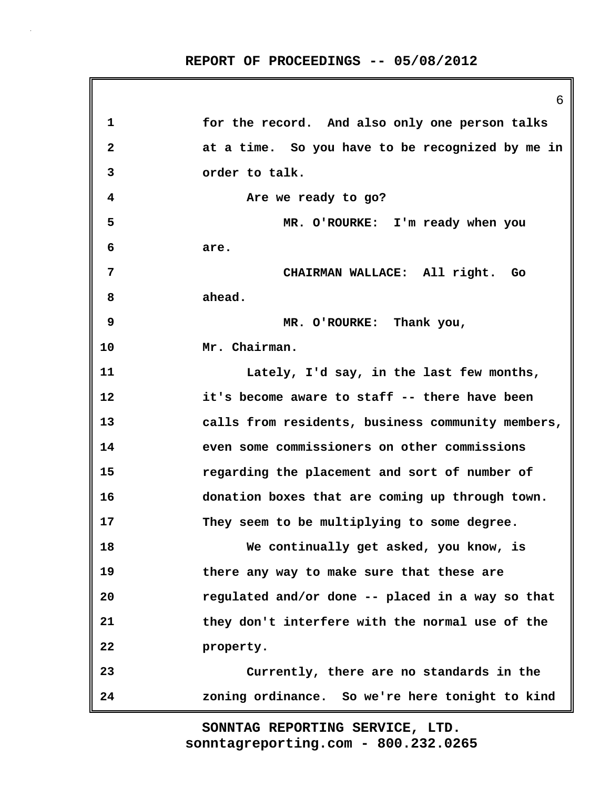6

**1 for the record. And also only one person talks 2 at a time. So you have to be recognized by me in 3 order to talk. 4 Are we ready to go? 5 MR. O'ROURKE: I'm ready when you 6 are. 7 CHAIRMAN WALLACE: All right. Go 8 ahead. 9 MR. O'ROURKE: Thank you, 10 Mr. Chairman. 11 Lately, I'd say, in the last few months, 12 it's become aware to staff -- there have been 13 calls from residents, business community members, 14 even some commissioners on other commissions 15 regarding the placement and sort of number of 16 donation boxes that are coming up through town. 17 They seem to be multiplying to some degree. 18 We continually get asked, you know, is 19 there any way to make sure that these are 20 regulated and/or done -- placed in a way so that 21 they don't interfere with the normal use of the 22 property. 23 Currently, there are no standards in the 24 zoning ordinance. So we're here tonight to kind**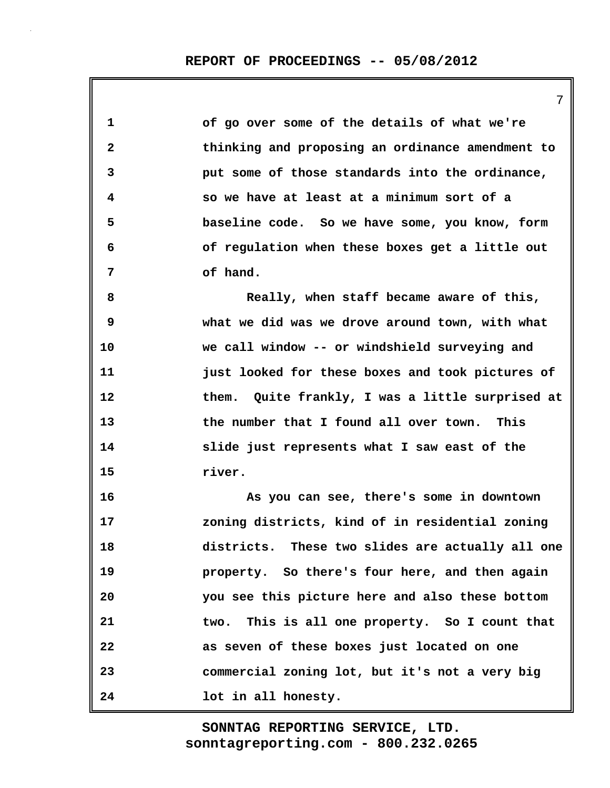#### **REPORT OF PROCEEDINGS -- 05/08/2012**

7

**1 of go over some of the details of what we're 2 thinking and proposing an ordinance amendment to 3 put some of those standards into the ordinance, 4 so we have at least at a minimum sort of a 5 baseline code. So we have some, you know, form 6 of regulation when these boxes get a little out 7 of hand. 8 Really, when staff became aware of this, 9 what we did was we drove around town, with what 10 we call window -- or windshield surveying and 11 just looked for these boxes and took pictures of 12 them. Quite frankly, I was a little surprised at 13 the number that I found all over town. This 14 slide just represents what I saw east of the 15 river. 16 As you can see, there's some in downtown 17 zoning districts, kind of in residential zoning 18 districts. These two slides are actually all one 19 property. So there's four here, and then again 20 you see this picture here and also these bottom 21 two. This is all one property. So I count that 22 as seven of these boxes just located on one 23 commercial zoning lot, but it's not a very big 24 lot in all honesty.**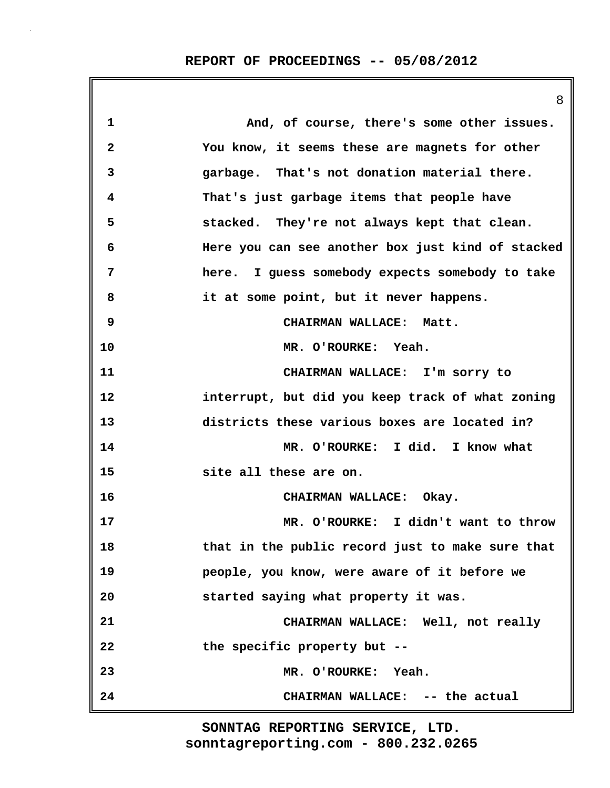|                         | 8                                                 |
|-------------------------|---------------------------------------------------|
| 1                       | And, of course, there's some other issues.        |
| $\overline{\mathbf{2}}$ | You know, it seems these are magnets for other    |
| 3                       | garbage. That's not donation material there.      |
| 4                       | That's just garbage items that people have        |
| 5                       | stacked. They're not always kept that clean.      |
| 6                       | Here you can see another box just kind of stacked |
| 7                       | here. I guess somebody expects somebody to take   |
| 8                       | it at some point, but it never happens.           |
| 9                       | CHAIRMAN WALLACE: Matt.                           |
| 10                      | MR. O'ROURKE: Yeah.                               |
| 11                      | CHAIRMAN WALLACE: I'm sorry to                    |
| 12                      | interrupt, but did you keep track of what zoning  |
| 13                      | districts these various boxes are located in?     |
| 14                      | MR. O'ROURKE: I did. I know what                  |
| 15                      | site all these are on.                            |
| 16                      | CHAIRMAN WALLACE: Okay.                           |
| 17                      | MR. O'ROURKE: I didn't want to throw              |
| 18                      | that in the public record just to make sure that  |
| 19                      | people, you know, were aware of it before we      |
| 20                      | started saying what property it was.              |
| 21                      | CHAIRMAN WALLACE: Well, not really                |
| 22                      | the specific property but --                      |
| 23                      | MR. O'ROURKE: Yeah.                               |
| 24                      | CHAIRMAN WALLACE: -- the actual                   |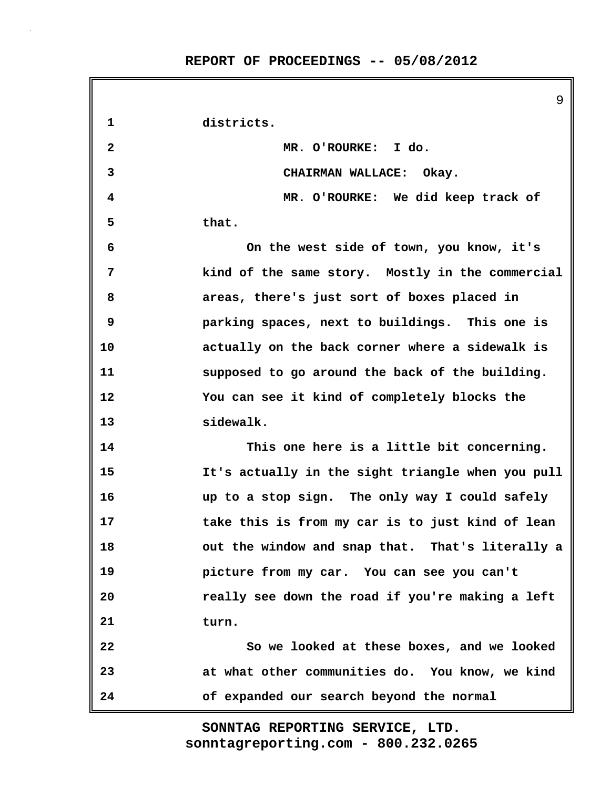**REPORT OF PROCEEDINGS -- 05/08/2012**

9 **1 districts. 2 MR. O'ROURKE: I do. 3 CHAIRMAN WALLACE: Okay. 4 MR. O'ROURKE: We did keep track of 5 that. 6 On the west side of town, you know, it's 7 kind of the same story. Mostly in the commercial 8 areas, there's just sort of boxes placed in 9 parking spaces, next to buildings. This one is 10 actually on the back corner where a sidewalk is 11 supposed to go around the back of the building. 12 You can see it kind of completely blocks the 13 sidewalk. 14 This one here is a little bit concerning. 15 It's actually in the sight triangle when you pull 16 up to a stop sign. The only way I could safely 17 take this is from my car is to just kind of lean 18 out the window and snap that. That's literally a 19 picture from my car. You can see you can't 20 really see down the road if you're making a left 21 turn. 22 So we looked at these boxes, and we looked 23 at what other communities do. You know, we kind 24 of expanded our search beyond the normal**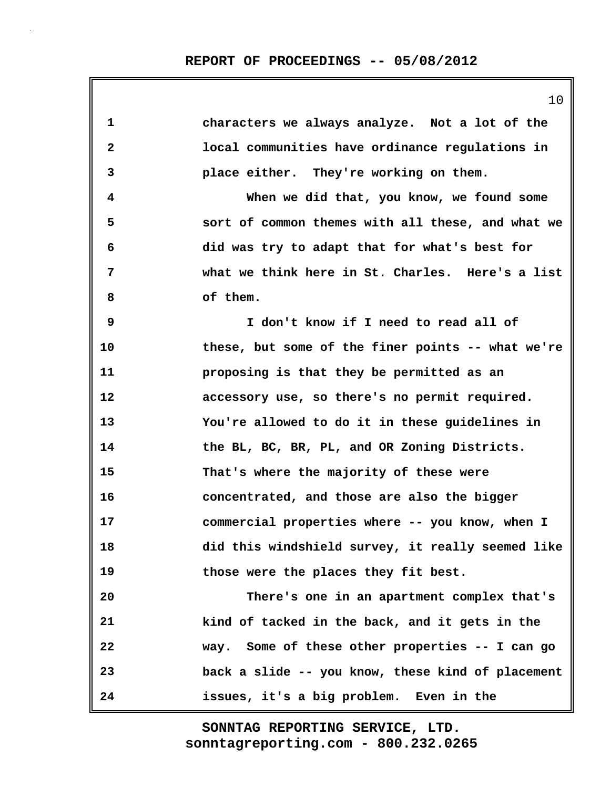| 1            | characters we always analyze. Not a lot of the    |
|--------------|---------------------------------------------------|
| $\mathbf{2}$ | local communities have ordinance regulations in   |
| 3            | place either. They're working on them.            |
| 4            | When we did that, you know, we found some         |
| 5            | sort of common themes with all these, and what we |
| 6            | did was try to adapt that for what's best for     |
| 7            | what we think here in St. Charles. Here's a list  |
| 8            | of them.                                          |
| 9            | I don't know if I need to read all of             |
| 10           | these, but some of the finer points -- what we're |
| 11           | proposing is that they be permitted as an         |
| 12           | accessory use, so there's no permit required.     |
| 13           | You're allowed to do it in these guidelines in    |
| 14           | the BL, BC, BR, PL, and OR Zoning Districts.      |
| 15           | That's where the majority of these were           |
| 16           | concentrated, and those are also the bigger       |
| 17           | commercial properties where -- you know, when I   |
| 18           | did this windshield survey, it really seemed like |
| 19           | those were the places they fit best.              |
| 20           | There's one in an apartment complex that's        |
| 21           | kind of tacked in the back, and it gets in the    |
| 22           | way. Some of these other properties -- I can go   |
| 23           | back a slide -- you know, these kind of placement |
| 24           | issues, it's a big problem. Even in the           |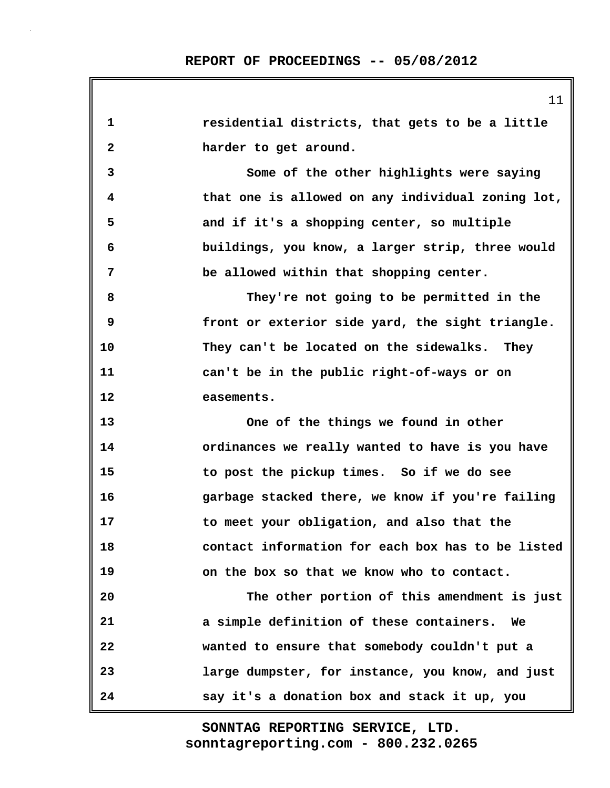**1 residential districts, that gets to be a little 2 harder to get around. 3 Some of the other highlights were saying 4 that one is allowed on any individual zoning lot, 5 and if it's a shopping center, so multiple 6 buildings, you know, a larger strip, three would 7 be allowed within that shopping center. 8 They're not going to be permitted in the 9 front or exterior side yard, the sight triangle. 10 They can't be located on the sidewalks. They 11 can't be in the public right-of-ways or on 12 easements. 13 One of the things we found in other 14 ordinances we really wanted to have is you have 15 to post the pickup times. So if we do see 16 garbage stacked there, we know if you're failing 17 to meet your obligation, and also that the 18 contact information for each box has to be listed 19 on the box so that we know who to contact. 20 The other portion of this amendment is just 21 a simple definition of these containers. We 22 wanted to ensure that somebody couldn't put a 23 large dumpster, for instance, you know, and just 24 say it's a donation box and stack it up, you**

> **sonntagreporting.com - 800.232.0265 SONNTAG REPORTING SERVICE, LTD.**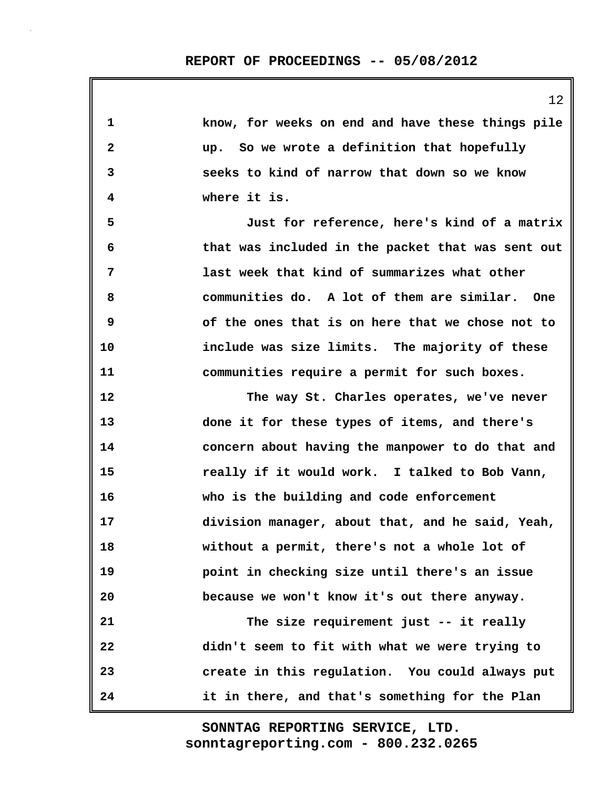| $\mathbf 1$  | know, for weeks on end and have these things pile |
|--------------|---------------------------------------------------|
| $\mathbf{2}$ | up. So we wrote a definition that hopefully       |
| 3            | seeks to kind of narrow that down so we know      |
| 4            | where it is.                                      |
| 5            | Just for reference, here's kind of a matrix       |
| 6            | that was included in the packet that was sent out |
| 7            | last week that kind of summarizes what other      |
| 8            | communities do. A lot of them are similar. One    |
| 9            | of the ones that is on here that we chose not to  |
| 10           | include was size limits. The majority of these    |
| 11           | communities require a permit for such boxes.      |
| 12           | The way St. Charles operates, we've never         |
| 13           | done it for these types of items, and there's     |
| 14           | concern about having the manpower to do that and  |
| 15           | really if it would work. I talked to Bob Vann,    |
| 16           | who is the building and code enforcement          |
| 17           | division manager, about that, and he said, Yeah,  |
| 18           | without a permit, there's not a whole lot of      |
| 19           | point in checking size until there's an issue     |
| 20           | because we won't know it's out there anyway.      |
| 21           | The size requirement just -- it really            |
| 22           | didn't seem to fit with what we were trying to    |
| 23           | create in this regulation. You could always put   |
| 24           | it in there, and that's something for the Plan    |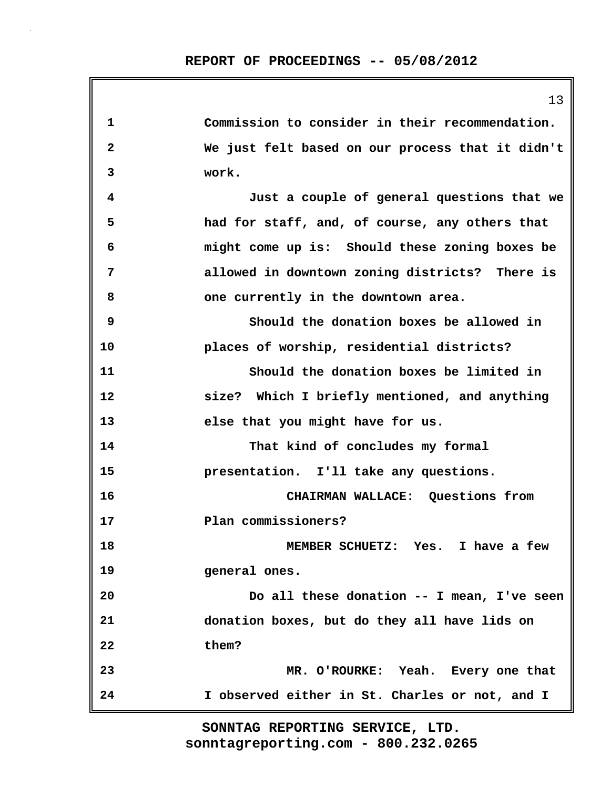|             | 13                                               |
|-------------|--------------------------------------------------|
| $\mathbf 1$ | Commission to consider in their recommendation.  |
| 2           | We just felt based on our process that it didn't |
| 3           | work.                                            |
| 4           | Just a couple of general questions that we       |
| 5           | had for staff, and, of course, any others that   |
| 6           | might come up is: Should these zoning boxes be   |
| 7           | allowed in downtown zoning districts? There is   |
| 8           | one currently in the downtown area.              |
| 9           | Should the donation boxes be allowed in          |
| 10          | places of worship, residential districts?        |
| 11          | Should the donation boxes be limited in          |
| 12          | size? Which I briefly mentioned, and anything    |
| 13          | else that you might have for us.                 |
| 14          | That kind of concludes my formal                 |
| 15          | presentation. I'll take any questions.           |
| 16          | CHAIRMAN WALLACE: Questions from                 |
| 17          | Plan commissioners?                              |
| 18          | MEMBER SCHUETZ: Yes. I have a few                |
| 19          | general ones.                                    |
| 20          | Do all these donation -- I mean, I've seen       |
| 21          | donation boxes, but do they all have lids on     |
| 22          | them?                                            |
| 23          | MR. O'ROURKE: Yeah. Every one that               |
| 24          | I observed either in St. Charles or not, and I   |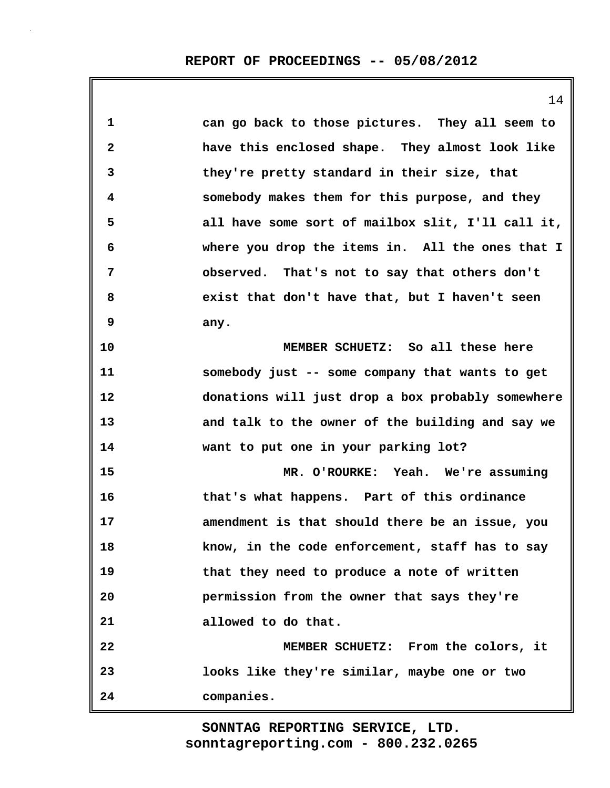|              | 14                                                |
|--------------|---------------------------------------------------|
| 1            | can go back to those pictures. They all seem to   |
| $\mathbf{2}$ | have this enclosed shape. They almost look like   |
| 3            | they're pretty standard in their size, that       |
| 4            | somebody makes them for this purpose, and they    |
| 5            | all have some sort of mailbox slit, I'll call it, |
| 6            | where you drop the items in. All the ones that I  |
| 7            | observed. That's not to say that others don't     |
| 8            | exist that don't have that, but I haven't seen    |
| 9            | any.                                              |
| 10           | MEMBER SCHUETZ: So all these here                 |
| 11           | somebody just -- some company that wants to get   |
| 12           | donations will just drop a box probably somewhere |
| 13           | and talk to the owner of the building and say we  |
| 14           | want to put one in your parking lot?              |
| 15           | MR. O'ROURKE: Yeah. We're assuming                |
| 16           | that's what happens. Part of this ordinance       |
| 17           | amendment is that should there be an issue, you   |
| 18           | know, in the code enforcement, staff has to say   |
| 19           | that they need to produce a note of written       |
| 20           | permission from the owner that says they're       |
| 21           | allowed to do that.                               |
| 22           | MEMBER SCHUETZ: From the colors, it               |
| 23           | looks like they're similar, maybe one or two      |
| 24           | companies.                                        |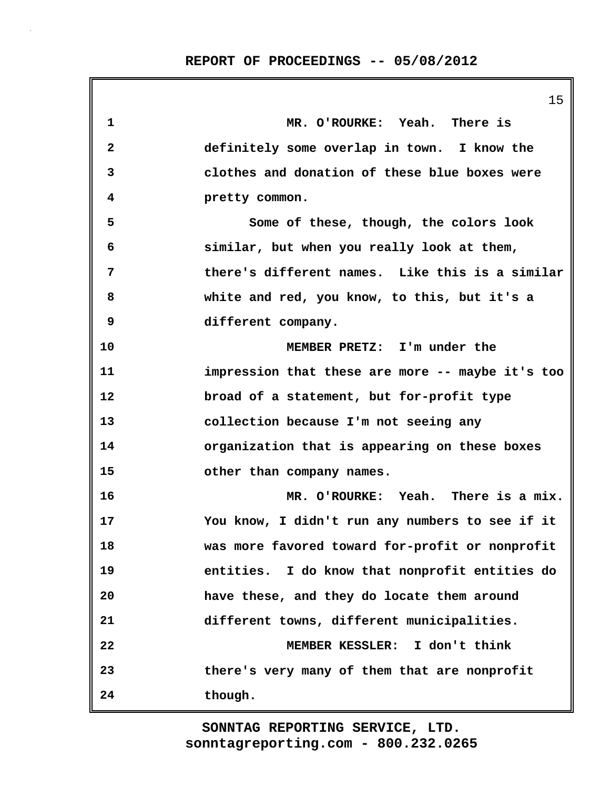**1 MR. O'ROURKE: Yeah. There is 2 definitely some overlap in town. I know the 3 clothes and donation of these blue boxes were 4 pretty common. 5 Some of these, though, the colors look 6 similar, but when you really look at them, 7 there's different names. Like this is a similar 8 white and red, you know, to this, but it's a 9 different company. 10 MEMBER PRETZ: I'm under the 11 impression that these are more -- maybe it's too 12 broad of a statement, but for-profit type 13 collection because I'm not seeing any 14 organization that is appearing on these boxes 15 other than company names. 16 MR. O'ROURKE: Yeah. There is a mix. 17 You know, I didn't run any numbers to see if it 18 was more favored toward for-profit or nonprofit 19 entities. I do know that nonprofit entities do 20 have these, and they do locate them around 21 different towns, different municipalities. 22 MEMBER KESSLER: I don't think 23 there's very many of them that are nonprofit 24 though.**

> **sonntagreporting.com - 800.232.0265 SONNTAG REPORTING SERVICE, LTD.**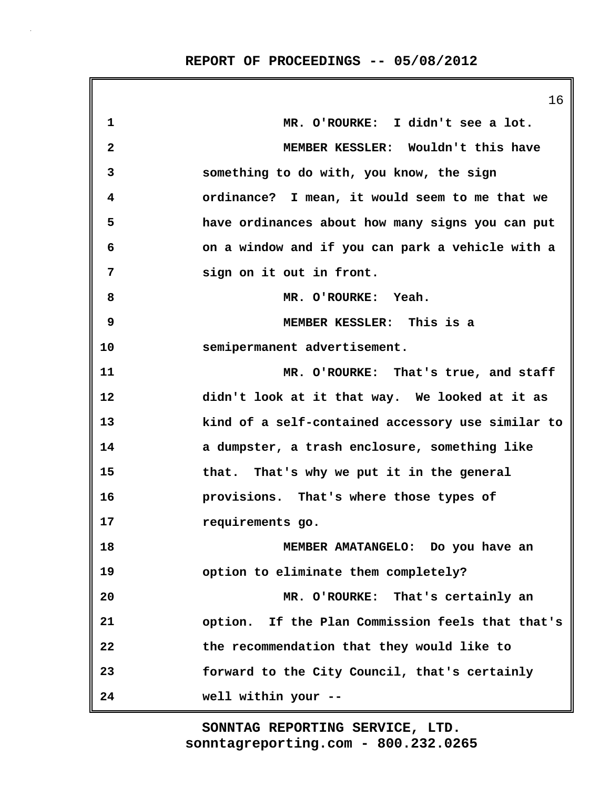|              | 16                                                |
|--------------|---------------------------------------------------|
| $\mathbf 1$  | MR. O'ROURKE: I didn't see a lot.                 |
| $\mathbf{2}$ | MEMBER KESSLER: Wouldn't this have                |
| 3            | something to do with, you know, the sign          |
| 4            | ordinance? I mean, it would seem to me that we    |
| 5            | have ordinances about how many signs you can put  |
| 6            | on a window and if you can park a vehicle with a  |
| 7            | sign on it out in front.                          |
| 8            | MR. O'ROURKE: Yeah.                               |
| 9            | MEMBER KESSLER: This is a                         |
| 10           | semipermanent advertisement.                      |
| 11           | MR. O'ROURKE: That's true, and staff              |
| 12           | didn't look at it that way. We looked at it as    |
| 13           | kind of a self-contained accessory use similar to |
| 14           | a dumpster, a trash enclosure, something like     |
| 15           | that. That's why we put it in the general         |
| 16           | provisions. That's where those types of           |
| 17           | requirements go.                                  |
| 18           | MEMBER AMATANGELO: Do you have an                 |
| 19           | option to eliminate them completely?              |
| 20           | MR. O'ROURKE: That's certainly an                 |
| 21           | option. If the Plan Commission feels that that's  |
| 22           | the recommendation that they would like to        |
| 23           | forward to the City Council, that's certainly     |
| 24           | well within your --                               |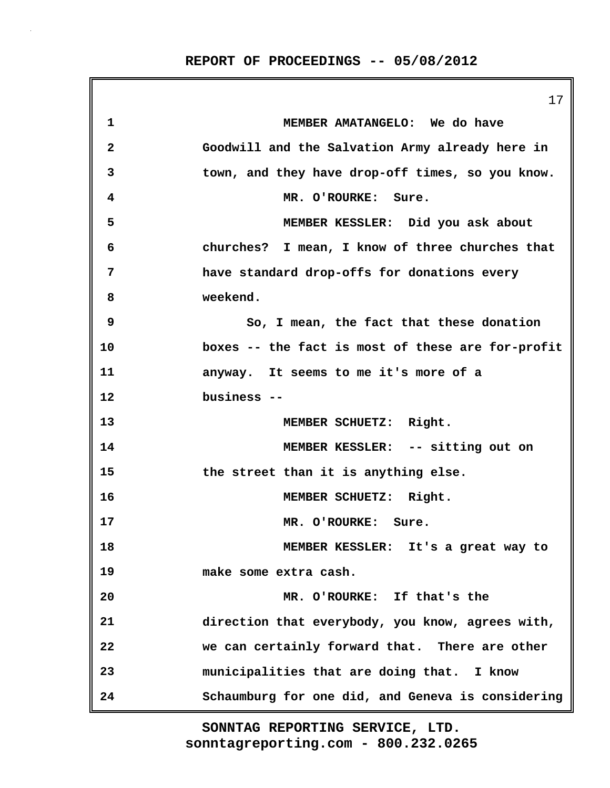|              | 17                                                |
|--------------|---------------------------------------------------|
| 1            | MEMBER AMATANGELO: We do have                     |
| $\mathbf{2}$ | Goodwill and the Salvation Army already here in   |
| 3            | town, and they have drop-off times, so you know.  |
| 4            | MR. O'ROURKE: Sure.                               |
| 5            | MEMBER KESSLER: Did you ask about                 |
| 6            | churches? I mean, I know of three churches that   |
| 7            | have standard drop-offs for donations every       |
| 8            | weekend.                                          |
| 9            | So, I mean, the fact that these donation          |
| 10           | boxes -- the fact is most of these are for-profit |
| 11           | anyway. It seems to me it's more of a             |
| 12           | business --                                       |
| 13           | MEMBER SCHUETZ: Right.                            |
| 14           | MEMBER KESSLER: -- sitting out on                 |
| 15           | the street than it is anything else.              |
| 16           | MEMBER SCHUETZ: Right.                            |
| 17           | MR. O'ROURKE: Sure.                               |
| 18           | MEMBER KESSLER: It's a great way to               |
| 19           | make some extra cash.                             |
| 20           | MR. O'ROURKE: If that's the                       |
| 21           | direction that everybody, you know, agrees with,  |
| 22           | we can certainly forward that. There are other    |
| 23           | municipalities that are doing that. I know        |
| 24           | Schaumburg for one did, and Geneva is considering |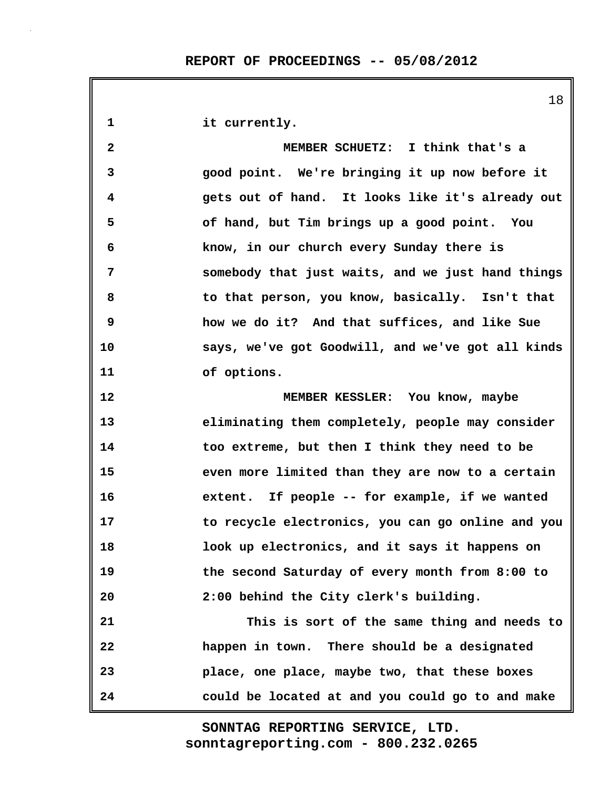**1 it currently. 2 MEMBER SCHUETZ: I think that's a 3 good point. We're bringing it up now before it 4 gets out of hand. It looks like it's already out 5 of hand, but Tim brings up a good point. You 6 know, in our church every Sunday there is 7 somebody that just waits, and we just hand things 8 to that person, you know, basically. Isn't that 9 how we do it? And that suffices, and like Sue 10 says, we've got Goodwill, and we've got all kinds 11 of options. 12 MEMBER KESSLER: You know, maybe 13 eliminating them completely, people may consider 14 too extreme, but then I think they need to be 15 even more limited than they are now to a certain 16 extent. If people -- for example, if we wanted 17 to recycle electronics, you can go online and you 18 look up electronics, and it says it happens on 19 the second Saturday of every month from 8:00 to 20 2:00 behind the City clerk's building. 21 This is sort of the same thing and needs to 22 happen in town. There should be a designated 23 place, one place, maybe two, that these boxes 24 could be located at and you could go to and make**

> **sonntagreporting.com - 800.232.0265 SONNTAG REPORTING SERVICE, LTD.**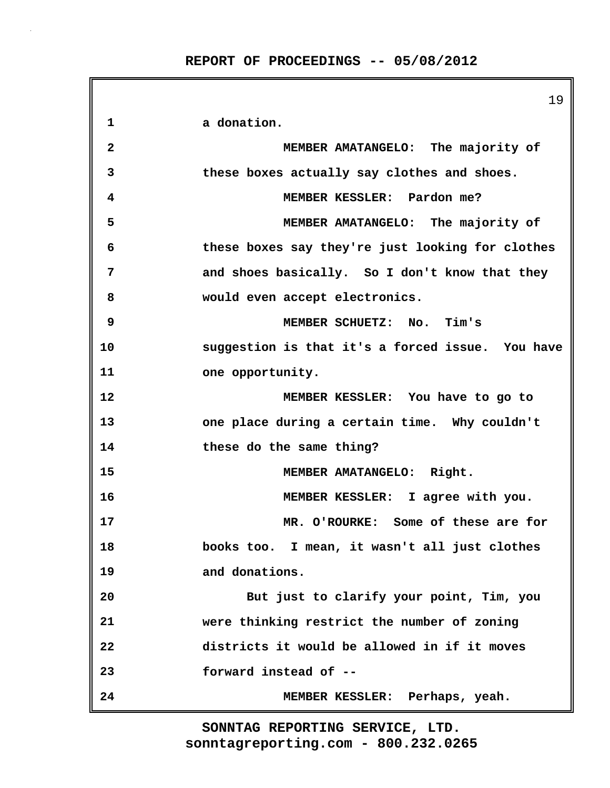19 **1 a donation. 2 MEMBER AMATANGELO: The majority of 3 these boxes actually say clothes and shoes. 4 MEMBER KESSLER: Pardon me? 5 MEMBER AMATANGELO: The majority of 6 these boxes say they're just looking for clothes 7 and shoes basically. So I don't know that they 8 would even accept electronics. 9 MEMBER SCHUETZ: No. Tim's 10 suggestion is that it's a forced issue. You have 11 one opportunity. 12 MEMBER KESSLER: You have to go to 13 one place during a certain time. Why couldn't 14 these do the same thing? 15 MEMBER AMATANGELO: Right. 16 MEMBER KESSLER: I agree with you. 17 MR. O'ROURKE: Some of these are for 18 books too. I mean, it wasn't all just clothes 19 and donations. 20 But just to clarify your point, Tim, you 21 were thinking restrict the number of zoning 22 districts it would be allowed in if it moves 23 forward instead of -- 24 MEMBER KESSLER: Perhaps, yeah.**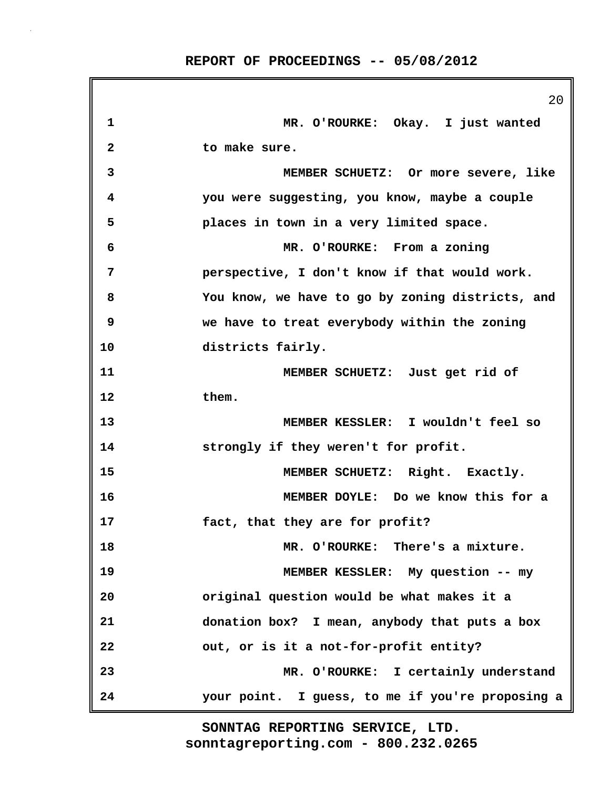|              | 20                                               |
|--------------|--------------------------------------------------|
| 1            | MR. O'ROURKE: Okay. I just wanted                |
| $\mathbf{2}$ | to make sure.                                    |
| 3            | MEMBER SCHUETZ: Or more severe, like             |
| 4            | you were suggesting, you know, maybe a couple    |
| 5            | places in town in a very limited space.          |
| 6            | MR. O'ROURKE: From a zoning                      |
| 7            | perspective, I don't know if that would work.    |
| 8            | You know, we have to go by zoning districts, and |
| 9            | we have to treat everybody within the zoning     |
| 10           | districts fairly.                                |
| 11           | MEMBER SCHUETZ: Just get rid of                  |
| 12           | them.                                            |
| 13           | MEMBER KESSLER: I wouldn't feel so               |
| 14           | strongly if they weren't for profit.             |
| 15           | MEMBER SCHUETZ: Right. Exactly.                  |
| 16           | MEMBER DOYLE: Do we know this for a              |
| 17           | fact, that they are for profit?                  |
| 18           | MR. O'ROURKE: There's a mixture.                 |
| 19           | MEMBER KESSLER: My question -- my                |
| 20           | original question would be what makes it a       |
| 21           | donation box? I mean, anybody that puts a box    |
| 22           | out, or is it a not-for-profit entity?           |
| 23           | MR. O'ROURKE: I certainly understand             |
| 24           | your point. I guess, to me if you're proposing a |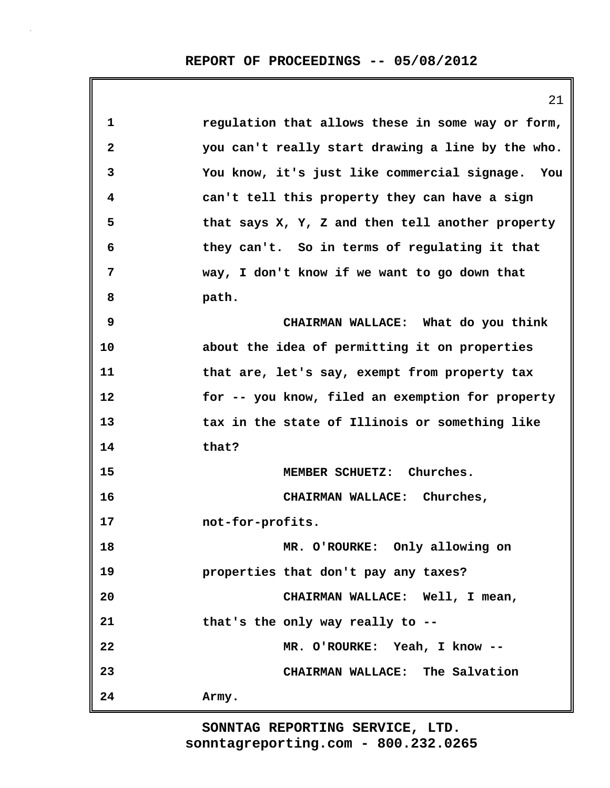|              | 21                                                |
|--------------|---------------------------------------------------|
| 1            | regulation that allows these in some way or form, |
| $\mathbf{2}$ | you can't really start drawing a line by the who. |
| 3            | You know, it's just like commercial signage. You  |
| 4            | can't tell this property they can have a sign     |
| 5            | that says X, Y, Z and then tell another property  |
| 6            | they can't. So in terms of regulating it that     |
| 7            | way, I don't know if we want to go down that      |
| 8            | path.                                             |
| 9            | CHAIRMAN WALLACE: What do you think               |
| 10           | about the idea of permitting it on properties     |
| 11           | that are, let's say, exempt from property tax     |
| 12           | for -- you know, filed an exemption for property  |
| 13           | tax in the state of Illinois or something like    |
| 14           | that?                                             |
| 15           | MEMBER SCHUETZ: Churches.                         |
| 16           | CHAIRMAN WALLACE: Churches,                       |
| 17           | not-for-profits.                                  |
| 18           | MR. O'ROURKE: Only allowing on                    |
| 19           | properties that don't pay any taxes?              |
| 20           | CHAIRMAN WALLACE: Well, I mean,                   |
| 21           | that's the only way really to --                  |
| 22           | MR. O'ROURKE: Yeah, I know --                     |
| 23           | CHAIRMAN WALLACE: The Salvation                   |
| 24           | Army.                                             |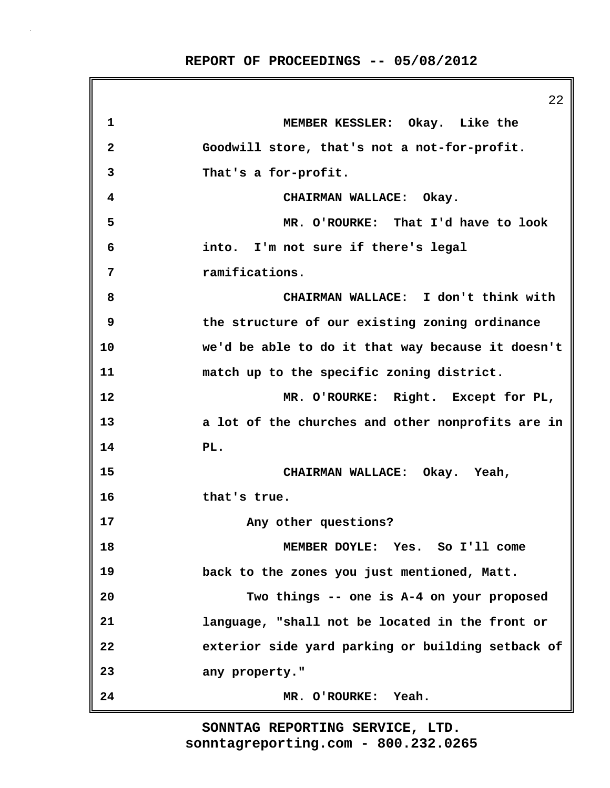**REPORT OF PROCEEDINGS -- 05/08/2012**

|              | 22                                                |
|--------------|---------------------------------------------------|
| $\mathbf{1}$ | MEMBER KESSLER: Okay. Like the                    |
| $\mathbf{2}$ | Goodwill store, that's not a not-for-profit.      |
| 3            | That's a for-profit.                              |
| 4            | CHAIRMAN WALLACE: Okay.                           |
| 5            | MR. O'ROURKE: That I'd have to look               |
| 6            | into. I'm not sure if there's legal               |
| 7            | ramifications.                                    |
| 8            | CHAIRMAN WALLACE: I don't think with              |
| 9            | the structure of our existing zoning ordinance    |
| 10           | we'd be able to do it that way because it doesn't |
| 11           | match up to the specific zoning district.         |
| 12           | MR. O'ROURKE: Right. Except for PL,               |
| 13           | a lot of the churches and other nonprofits are in |
| 14           | PL.                                               |
| 15           | CHAIRMAN WALLACE: Okay. Yeah,                     |
| 16           | that's true.                                      |
| 17           | Any other questions?                              |
| 18           | MEMBER DOYLE: Yes. So I'll come                   |
| 19           | back to the zones you just mentioned, Matt.       |
| 20           | Two things -- one is A-4 on your proposed         |
| 21           | language, "shall not be located in the front or   |
| 22           | exterior side yard parking or building setback of |
| 23           | any property."                                    |
| 24           | MR. O'ROURKE: Yeah.                               |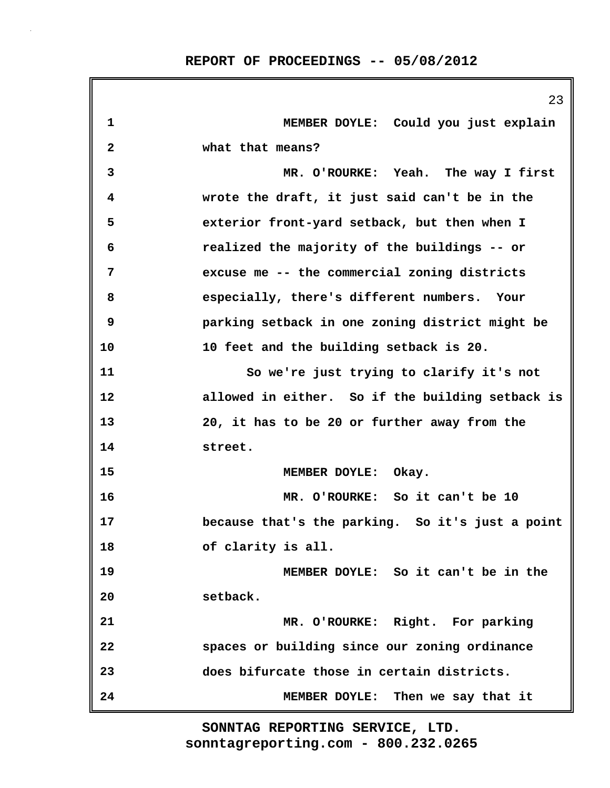|              | 23                                               |
|--------------|--------------------------------------------------|
| $\mathbf 1$  | MEMBER DOYLE: Could you just explain             |
| $\mathbf{2}$ | what that means?                                 |
| 3            | MR. O'ROURKE: Yeah. The way I first              |
| 4            | wrote the draft, it just said can't be in the    |
| 5            | exterior front-yard setback, but then when I     |
| 6            | realized the majority of the buildings -- or     |
| 7            | excuse me -- the commercial zoning districts     |
| 8            | especially, there's different numbers. Your      |
| 9            | parking setback in one zoning district might be  |
| 10           | 10 feet and the building setback is 20.          |
| 11           | So we're just trying to clarify it's not         |
| 12           | allowed in either. So if the building setback is |
| 13           | 20, it has to be 20 or further away from the     |
| 14           | street.                                          |
| 15           | MEMBER DOYLE: Okay.                              |
| 16           | MR. O'ROURKE: So it can't be 10                  |
| 17           | because that's the parking. So it's just a point |
| 18           | of clarity is all.                               |
| 19           | MEMBER DOYLE: So it can't be in the              |
| 20           | setback.                                         |
| 21           | MR. O'ROURKE: Right. For parking                 |
| 22           | spaces or building since our zoning ordinance    |
| 23           | does bifurcate those in certain districts.       |
| 24           | MEMBER DOYLE: Then we say that it                |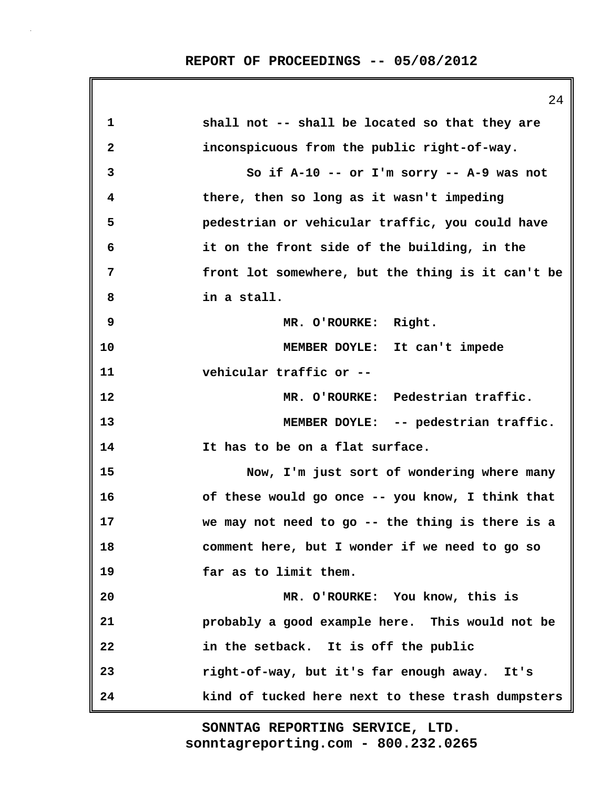**REPORT OF PROCEEDINGS -- 05/08/2012**

|    | 24                                                |
|----|---------------------------------------------------|
| 1  | shall not -- shall be located so that they are    |
| 2  | inconspicuous from the public right-of-way.       |
| 3  | So if A-10 -- or I'm sorry -- A-9 was not         |
| 4  | there, then so long as it wasn't impeding         |
| 5  | pedestrian or vehicular traffic, you could have   |
| 6  | it on the front side of the building, in the      |
| 7  | front lot somewhere, but the thing is it can't be |
| 8  | in a stall.                                       |
| 9  | MR. O'ROURKE: Right.                              |
| 10 | MEMBER DOYLE: It can't impede                     |
| 11 | vehicular traffic or --                           |
| 12 | MR. O'ROURKE: Pedestrian traffic.                 |
| 13 | MEMBER DOYLE: -- pedestrian traffic.              |
| 14 | It has to be on a flat surface.                   |
| 15 | Now, I'm just sort of wondering where many        |
| 16 | of these would go once -- you know, I think that  |
| 17 | we may not need to go -- the thing is there is a  |
| 18 | comment here, but I wonder if we need to go so    |
| 19 | far as to limit them.                             |
| 20 | MR. O'ROURKE: You know, this is                   |
| 21 | probably a good example here. This would not be   |
| 22 | in the setback. It is off the public              |
| 23 | right-of-way, but it's far enough away. It's      |
| 24 | kind of tucked here next to these trash dumpsters |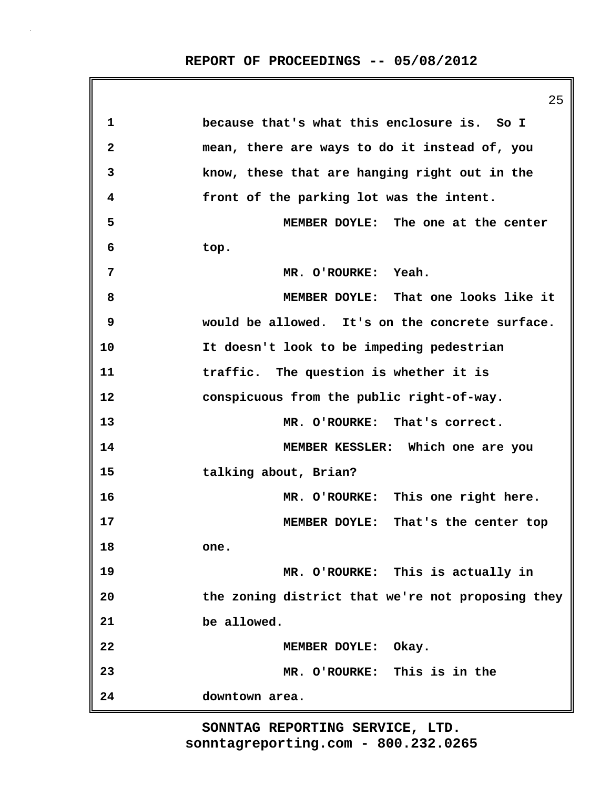|              | 25                                                |
|--------------|---------------------------------------------------|
| 1            | because that's what this enclosure is. So I       |
| $\mathbf{2}$ | mean, there are ways to do it instead of, you     |
| 3            | know, these that are hanging right out in the     |
| 4            | front of the parking lot was the intent.          |
| 5            | MEMBER DOYLE: The one at the center               |
| 6            | top.                                              |
| 7            | MR. O'ROURKE: Yeah.                               |
| 8            | MEMBER DOYLE: That one looks like it              |
| 9            | would be allowed. It's on the concrete surface.   |
| 10           | It doesn't look to be impeding pedestrian         |
| 11           | traffic. The question is whether it is            |
| 12           | conspicuous from the public right-of-way.         |
| 13           | MR. O'ROURKE: That's correct.                     |
| 14           | MEMBER KESSLER: Which one are you                 |
| 15           | talking about, Brian?                             |
| 16           | MR. O'ROURKE: This one right here.                |
| 17           | MEMBER DOYLE: That's the center top               |
| 18           | one.                                              |
| 19           | MR. O'ROURKE: This is actually in                 |
| 20           | the zoning district that we're not proposing they |
| 21           | be allowed.                                       |
| 22           | MEMBER DOYLE: Okay.                               |
| 23           | MR. O'ROURKE: This is in the                      |
| 24           | downtown area.                                    |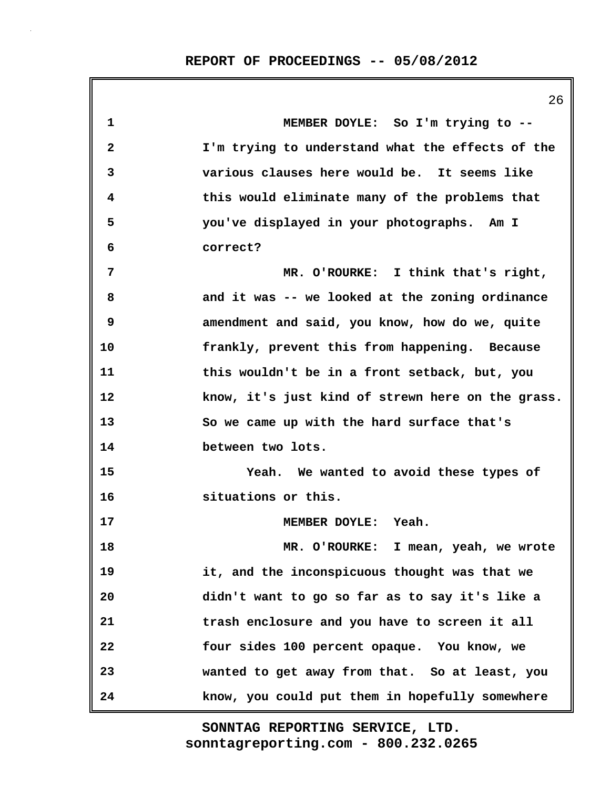**1 MEMBER DOYLE: So I'm trying to -- 2 I'm trying to understand what the effects of the 3 various clauses here would be. It seems like 4 this would eliminate many of the problems that 5 you've displayed in your photographs. Am I 6 correct? 7 MR. O'ROURKE: I think that's right, 8 and it was -- we looked at the zoning ordinance 9 amendment and said, you know, how do we, quite 10 frankly, prevent this from happening. Because 11 this wouldn't be in a front setback, but, you 12 know, it's just kind of strewn here on the grass. 13 So we came up with the hard surface that's 14 between two lots. 15 Yeah. We wanted to avoid these types of 16 situations or this. 17 MEMBER DOYLE: Yeah. 18 MR. O'ROURKE: I mean, yeah, we wrote 19 it, and the inconspicuous thought was that we 20 didn't want to go so far as to say it's like a 21 trash enclosure and you have to screen it all 22 four sides 100 percent opaque. You know, we 23 wanted to get away from that. So at least, you 24 know, you could put them in hopefully somewhere**

> **sonntagreporting.com - 800.232.0265 SONNTAG REPORTING SERVICE, LTD.**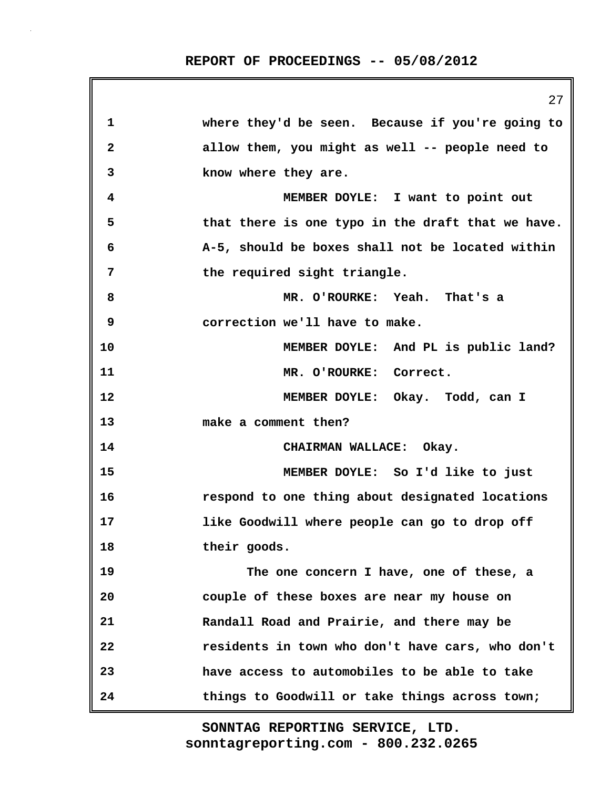|    | 27                                                |
|----|---------------------------------------------------|
| 1  | where they'd be seen. Because if you're going to  |
| 2  | allow them, you might as well -- people need to   |
| 3  | know where they are.                              |
| 4  | MEMBER DOYLE: I want to point out                 |
| 5  | that there is one typo in the draft that we have. |
| 6  | A-5, should be boxes shall not be located within  |
| 7  | the required sight triangle.                      |
| 8  | MR. O'ROURKE: Yeah. That's a                      |
| 9  | correction we'll have to make.                    |
| 10 | MEMBER DOYLE: And PL is public land?              |
| 11 | MR. O'ROURKE: Correct.                            |
| 12 | MEMBER DOYLE: Okay. Todd, can I                   |
| 13 | make a comment then?                              |
| 14 | CHAIRMAN WALLACE: Okay.                           |
| 15 | MEMBER DOYLE: So I'd like to just                 |
| 16 | respond to one thing about designated locations   |
| 17 | like Goodwill where people can go to drop off     |
| 18 | their goods.                                      |
| 19 | The one concern I have, one of these, a           |
| 20 | couple of these boxes are near my house on        |
| 21 | Randall Road and Prairie, and there may be        |
| 22 | residents in town who don't have cars, who don't  |
| 23 | have access to automobiles to be able to take     |
| 24 | things to Goodwill or take things across town;    |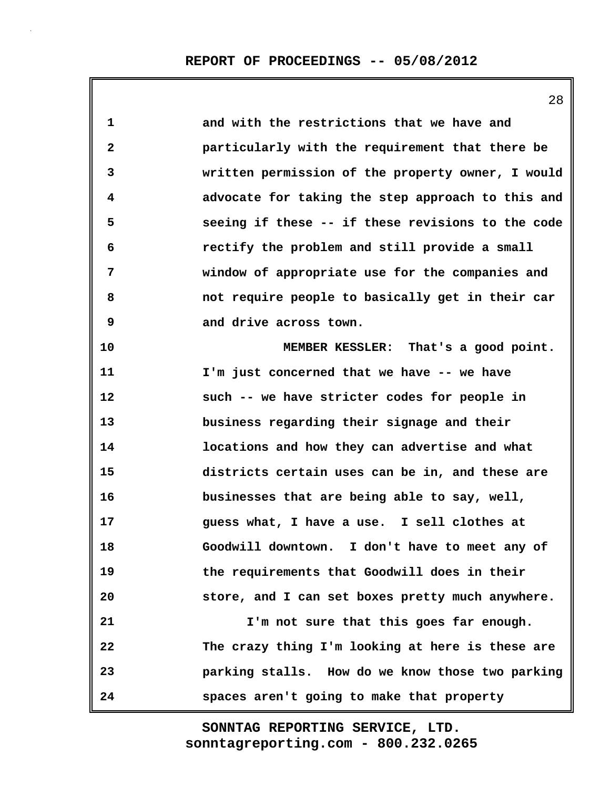28

| 1            | and with the restrictions that we have and        |
|--------------|---------------------------------------------------|
| $\mathbf{2}$ | particularly with the requirement that there be   |
| 3            | written permission of the property owner, I would |
| 4            | advocate for taking the step approach to this and |
| 5            | seeing if these -- if these revisions to the code |
| 6            | rectify the problem and still provide a small     |
| 7            | window of appropriate use for the companies and   |
| 8            | not require people to basically get in their car  |
| 9            | and drive across town.                            |
| 10           | MEMBER KESSLER: That's a good point.              |
| 11           | I'm just concerned that we have -- we have        |
| 12           | such -- we have stricter codes for people in      |
| 13           | business regarding their signage and their        |
| 14           | locations and how they can advertise and what     |
| 15           | districts certain uses can be in, and these are   |
| 16           | businesses that are being able to say, well,      |
| 17           | guess what, I have a use. I sell clothes at       |
| 18           | Goodwill downtown. I don't have to meet any of    |
| 19           | the requirements that Goodwill does in their      |
| 20           | store, and I can set boxes pretty much anywhere.  |
| 21           | I'm not sure that this goes far enough.           |
| 22           | The crazy thing I'm looking at here is these are  |
| 23           | parking stalls. How do we know those two parking  |
| 24           | spaces aren't going to make that property         |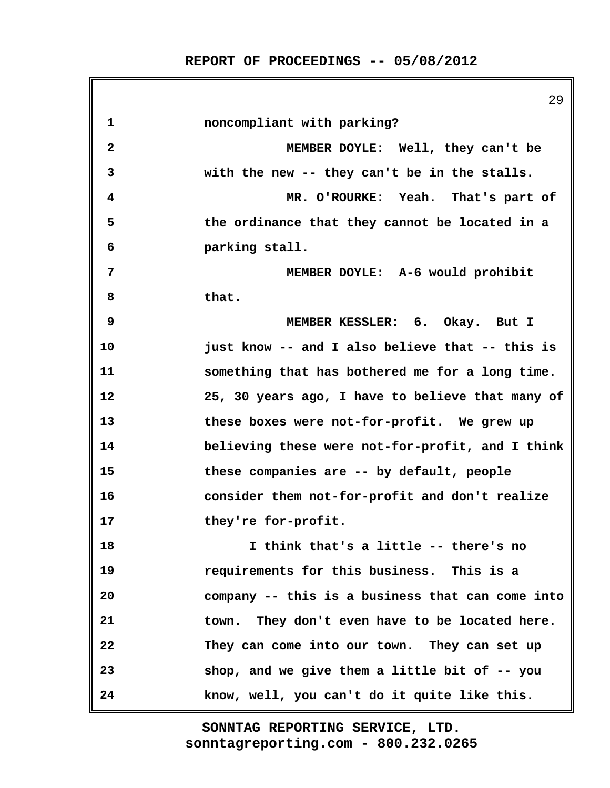**REPORT OF PROCEEDINGS -- 05/08/2012**

29 **1 noncompliant with parking? 2 MEMBER DOYLE: Well, they can't be 3 with the new -- they can't be in the stalls. 4 MR. O'ROURKE: Yeah. That's part of 5 the ordinance that they cannot be located in a 6 parking stall. 7 MEMBER DOYLE: A-6 would prohibit 8 that. 9 MEMBER KESSLER: 6. Okay. But I 10 just know -- and I also believe that -- this is 11 something that has bothered me for a long time. 12 25, 30 years ago, I have to believe that many of 13 these boxes were not-for-profit. We grew up 14 believing these were not-for-profit, and I think 15 these companies are -- by default, people 16 consider them not-for-profit and don't realize 17 they're for-profit. 18 I think that's a little -- there's no 19 requirements for this business. This is a 20 company -- this is a business that can come into 21 town. They don't even have to be located here. 22 They can come into our town. They can set up 23 shop, and we give them a little bit of -- you 24 know, well, you can't do it quite like this.**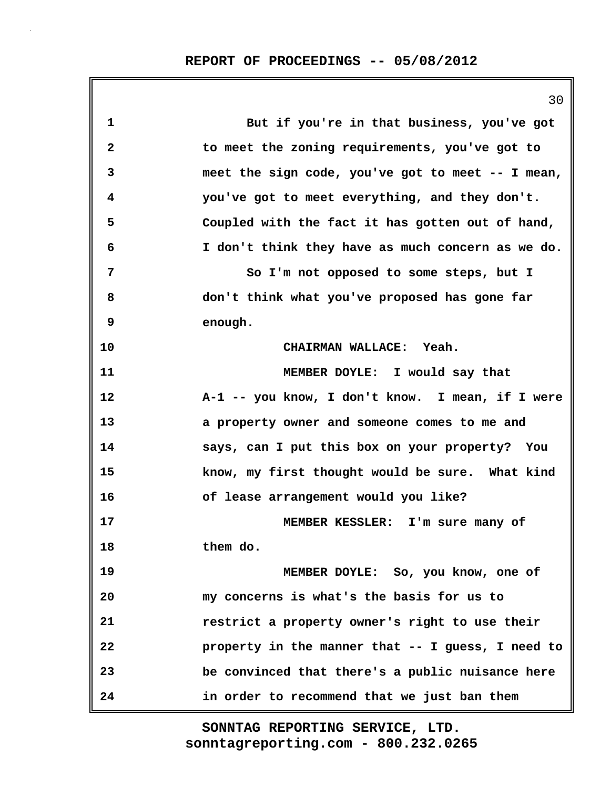|    | 30                                                |
|----|---------------------------------------------------|
| 1  | But if you're in that business, you've got        |
| 2  | to meet the zoning requirements, you've got to    |
| 3  | meet the sign code, you've got to meet -- I mean, |
| 4  | you've got to meet everything, and they don't.    |
| 5  | Coupled with the fact it has gotten out of hand,  |
| 6  | I don't think they have as much concern as we do. |
| 7  | So I'm not opposed to some steps, but I           |
| 8  | don't think what you've proposed has gone far     |
| 9  | enough.                                           |
| 10 | CHAIRMAN WALLACE: Yeah.                           |
| 11 | MEMBER DOYLE: I would say that                    |
| 12 | A-1 -- you know, I don't know. I mean, if I were  |
| 13 | a property owner and someone comes to me and      |
| 14 | says, can I put this box on your property? You    |
| 15 | know, my first thought would be sure. What kind   |
| 16 | of lease arrangement would you like?              |
| 17 | MEMBER KESSLER: I'm sure many of                  |
| 18 | them do.                                          |
| 19 | MEMBER DOYLE: So, you know, one of                |
| 20 | my concerns is what's the basis for us to         |
| 21 | restrict a property owner's right to use their    |
| 22 | property in the manner that -- I guess, I need to |
| 23 | be convinced that there's a public nuisance here  |
| 24 | in order to recommend that we just ban them       |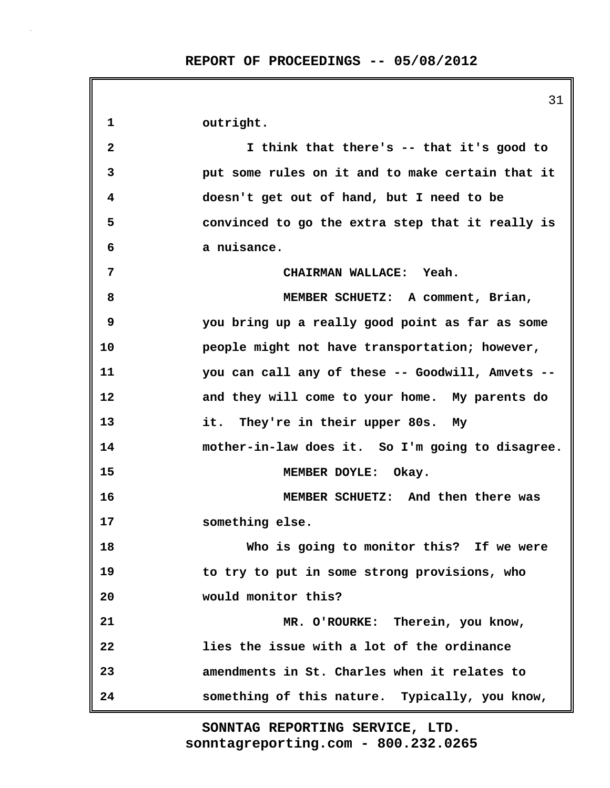|    | 31                                               |
|----|--------------------------------------------------|
| 1  | outright.                                        |
| 2  | I think that there's -- that it's good to        |
| 3  | put some rules on it and to make certain that it |
| 4  | doesn't get out of hand, but I need to be        |
| 5  | convinced to go the extra step that it really is |
| 6  | a nuisance.                                      |
| 7  | CHAIRMAN WALLACE: Yeah.                          |
| 8  | MEMBER SCHUETZ: A comment, Brian,                |
| 9  | you bring up a really good point as far as some  |
| 10 | people might not have transportation; however,   |
| 11 | you can call any of these -- Goodwill, Amvets -- |
| 12 | and they will come to your home. My parents do   |
| 13 | it. They're in their upper 80s. My               |
| 14 | mother-in-law does it. So I'm going to disagree. |
| 15 | MEMBER DOYLE: Okay.                              |
| 16 | MEMBER SCHUETZ: And then there was               |
| 17 | something else.                                  |
| 18 | Who is going to monitor this? If we were         |
| 19 | to try to put in some strong provisions, who     |
| 20 | would monitor this?                              |
| 21 | MR. O'ROURKE: Therein, you know,                 |
| 22 | lies the issue with a lot of the ordinance       |
| 23 | amendments in St. Charles when it relates to     |
| 24 | something of this nature. Typically, you know,   |

 $\overline{\phantom{a}}$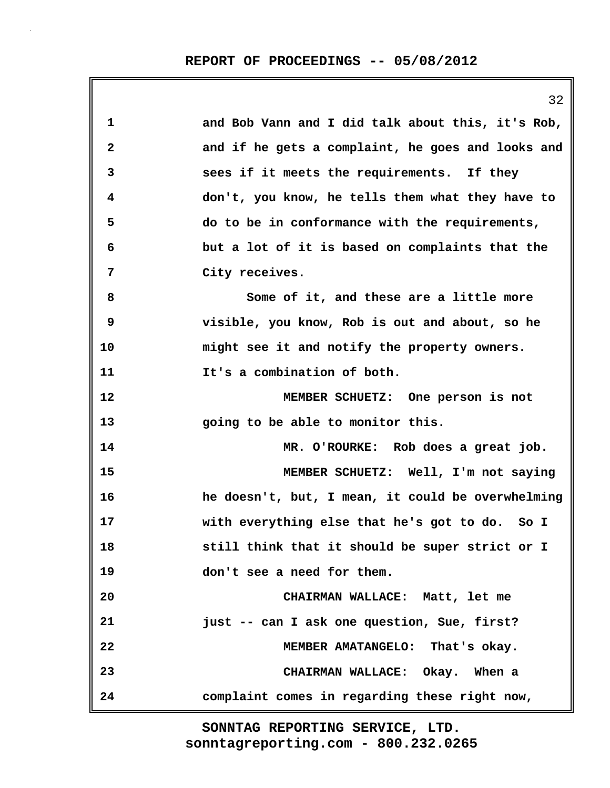|                         | 32                                                |
|-------------------------|---------------------------------------------------|
| 1                       | and Bob Vann and I did talk about this, it's Rob, |
| $\overline{\mathbf{2}}$ | and if he gets a complaint, he goes and looks and |
| 3                       | sees if it meets the requirements. If they        |
| 4                       | don't, you know, he tells them what they have to  |
| 5                       | do to be in conformance with the requirements,    |
| 6                       | but a lot of it is based on complaints that the   |
| 7                       | City receives.                                    |
| 8                       | Some of it, and these are a little more           |
| 9                       | visible, you know, Rob is out and about, so he    |
| 10                      | might see it and notify the property owners.      |
| 11                      | It's a combination of both.                       |
| 12                      | MEMBER SCHUETZ: One person is not                 |
| 13                      | going to be able to monitor this.                 |
| 14                      | MR. O'ROURKE: Rob does a great job.               |
| 15                      | MEMBER SCHUETZ: Well, I'm not saying              |
| 16                      | he doesn't, but, I mean, it could be overwhelming |
| 17                      | with everything else that he's got to do. So I    |
| 18                      | still think that it should be super strict or I   |
| 19                      | don't see a need for them.                        |
| 20                      | CHAIRMAN WALLACE: Matt, let me                    |
| 21                      | just -- can I ask one question, Sue, first?       |
| 22                      | MEMBER AMATANGELO: That's okay.                   |
| 23                      | CHAIRMAN WALLACE: Okay. When a                    |
| 24                      | complaint comes in regarding these right now,     |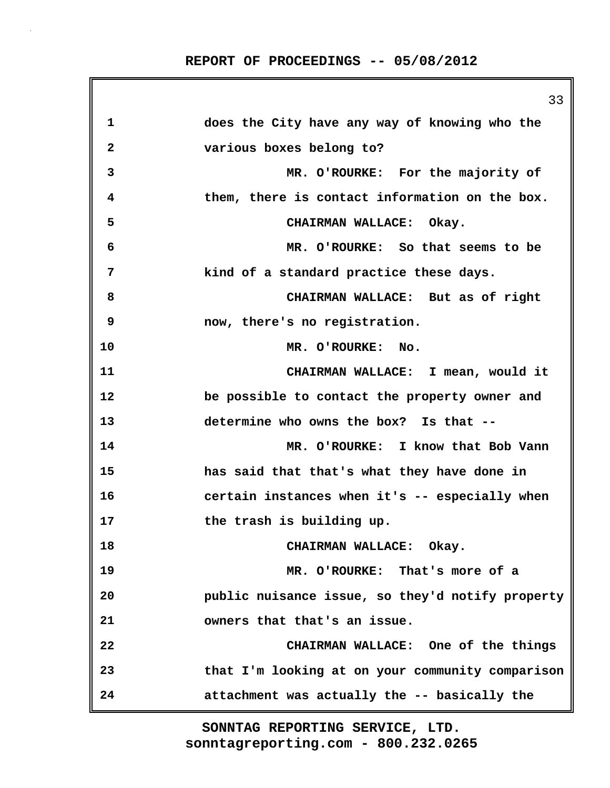|    | 33                                               |
|----|--------------------------------------------------|
| 1  | does the City have any way of knowing who the    |
| 2  | various boxes belong to?                         |
| 3  | MR. O'ROURKE: For the majority of                |
| 4  | them, there is contact information on the box.   |
| 5  | CHAIRMAN WALLACE: Okay.                          |
| 6  | MR. O'ROURKE: So that seems to be                |
| 7  | kind of a standard practice these days.          |
| 8  | CHAIRMAN WALLACE: But as of right                |
| 9  | now, there's no registration.                    |
| 10 | MR. O'ROURKE: No.                                |
| 11 | CHAIRMAN WALLACE: I mean, would it               |
| 12 | be possible to contact the property owner and    |
| 13 | determine who owns the box? Is that --           |
| 14 | MR. O'ROURKE: I know that Bob Vann               |
| 15 | has said that that's what they have done in      |
| 16 | certain instances when it's -- especially when   |
| 17 | the trash is building up.                        |
| 18 | CHAIRMAN WALLACE: Okay.                          |
| 19 | MR. O'ROURKE: That's more of a                   |
| 20 | public nuisance issue, so they'd notify property |
| 21 | owners that that's an issue.                     |
| 22 | CHAIRMAN WALLACE: One of the things              |
| 23 | that I'm looking at on your community comparison |
| 24 | attachment was actually the -- basically the     |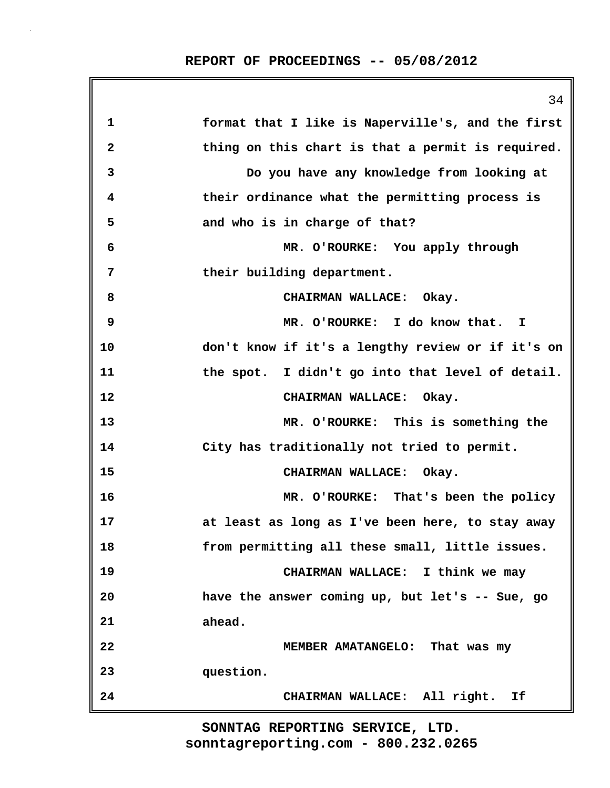**REPORT OF PROCEEDINGS -- 05/08/2012**

|              | 34                                                |
|--------------|---------------------------------------------------|
| 1            | format that I like is Naperville's, and the first |
| $\mathbf{2}$ | thing on this chart is that a permit is required. |
| 3            | Do you have any knowledge from looking at         |
| 4            | their ordinance what the permitting process is    |
| 5            | and who is in charge of that?                     |
| 6            | MR. O'ROURKE: You apply through                   |
| 7            | their building department.                        |
| 8            | CHAIRMAN WALLACE: Okay.                           |
| 9            | MR. O'ROURKE: I do know that. I                   |
| 10           | don't know if it's a lengthy review or if it's on |
| 11           | the spot. I didn't go into that level of detail.  |
| 12           | CHAIRMAN WALLACE: Okay.                           |
| 13           | MR. O'ROURKE: This is something the               |
| 14           | City has traditionally not tried to permit.       |
| 15           | CHAIRMAN WALLACE: Okay.                           |
| 16           | MR. O'ROURKE: That's been the policy              |
| 17           | at least as long as I've been here, to stay away  |
| 18           | from permitting all these small, little issues.   |
| 19           | CHAIRMAN WALLACE: I think we may                  |
| 20           | have the answer coming up, but let's -- Sue, go   |
| 21           | ahead.                                            |
| 22           | MEMBER AMATANGELO: That was my                    |
| 23           | question.                                         |
| 24           | CHAIRMAN WALLACE: All right.<br>Ιf                |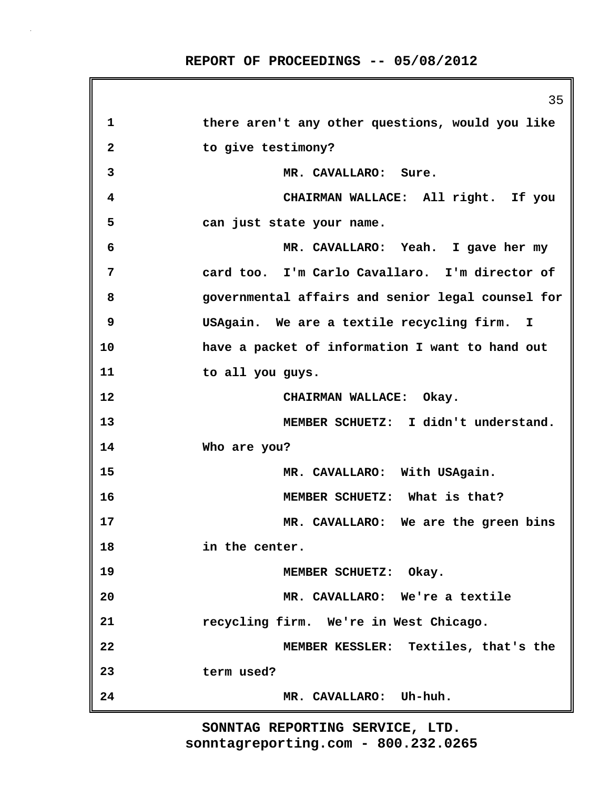|              | 35                                                |
|--------------|---------------------------------------------------|
| 1            | there aren't any other questions, would you like  |
| $\mathbf{2}$ | to give testimony?                                |
| 3            | MR. CAVALLARO: Sure.                              |
| 4            | CHAIRMAN WALLACE: All right. If you               |
| 5            | can just state your name.                         |
| 6            | MR. CAVALLARO: Yeah. I gave her my                |
| 7            | card too. I'm Carlo Cavallaro. I'm director of    |
| 8            | governmental affairs and senior legal counsel for |
| 9            | USAgain. We are a textile recycling firm. I       |
| 10           | have a packet of information I want to hand out   |
| 11           | to all you guys.                                  |
| 12           | CHAIRMAN WALLACE: Okay.                           |
| 13           | MEMBER SCHUETZ: I didn't understand.              |
| 14           | Who are you?                                      |
| 15           | MR. CAVALLARO: With USAgain.                      |
| 16           | MEMBER SCHUETZ: What is that?                     |
| 17           | MR. CAVALLARO: We are the green bins              |
| 18           | in the center.                                    |
| 19           | MEMBER SCHUETZ: Okay.                             |
| 20           | MR. CAVALLARO: We're a textile                    |
| 21           | recycling firm. We're in West Chicago.            |
| 22           | MEMBER KESSLER: Textiles, that's the              |
| 23           | term used?                                        |
| 24           | MR. CAVALLARO: Uh-huh.                            |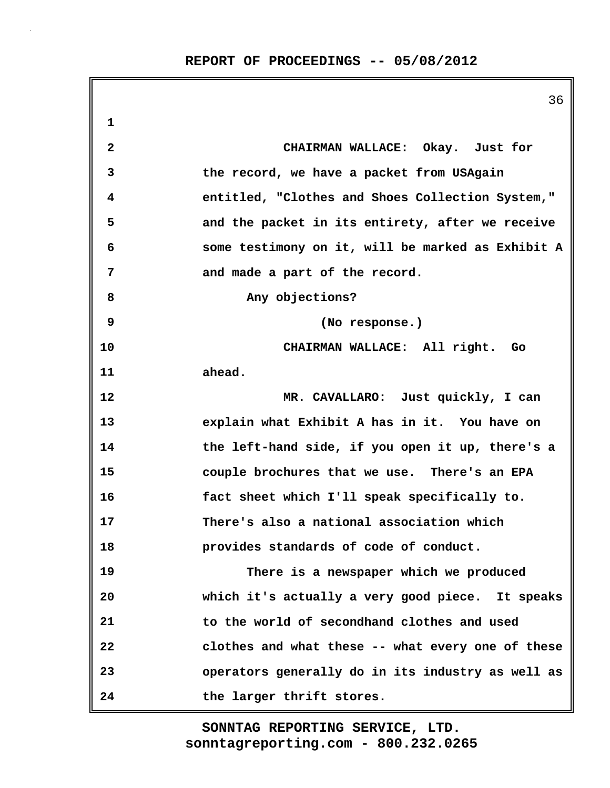|    | 36                                                |
|----|---------------------------------------------------|
| 1  |                                                   |
| 2  | CHAIRMAN WALLACE: Okay. Just for                  |
| 3  | the record, we have a packet from USAgain         |
| 4  | entitled, "Clothes and Shoes Collection System,"  |
| 5  | and the packet in its entirety, after we receive  |
| 6  | some testimony on it, will be marked as Exhibit A |
| 7  | and made a part of the record.                    |
| 8  | Any objections?                                   |
| 9  | (No response.)                                    |
| 10 | CHAIRMAN WALLACE: All right. Go                   |
| 11 | ahead.                                            |
| 12 | MR. CAVALLARO: Just quickly, I can                |
| 13 | explain what Exhibit A has in it. You have on     |
| 14 | the left-hand side, if you open it up, there's a  |
| 15 | couple brochures that we use. There's an EPA      |
| 16 | fact sheet which I'll speak specifically to.      |
| 17 | There's also a national association which         |
| 18 | provides standards of code of conduct.            |
| 19 | There is a newspaper which we produced            |
| 20 | which it's actually a very good piece. It speaks  |
| 21 | to the world of secondhand clothes and used       |
| 22 | clothes and what these -- what every one of these |
| 23 | operators generally do in its industry as well as |
| 24 | the larger thrift stores.                         |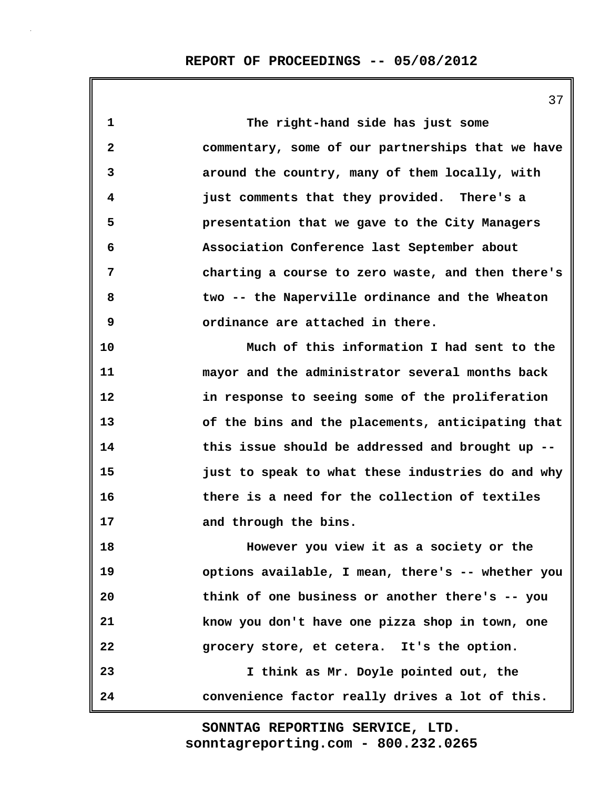**1 The right-hand side has just some 2 commentary, some of our partnerships that we have 3 around the country, many of them locally, with 4 just comments that they provided. There's a 5 presentation that we gave to the City Managers 6 Association Conference last September about 7 charting a course to zero waste, and then there's 8 two -- the Naperville ordinance and the Wheaton 9 ordinance are attached in there. 10 Much of this information I had sent to the 11 mayor and the administrator several months back 12 in response to seeing some of the proliferation 13 of the bins and the placements, anticipating that 14 this issue should be addressed and brought up -- 15 just to speak to what these industries do and why 16 there is a need for the collection of textiles 17 and through the bins. 18 However you view it as a society or the 19 options available, I mean, there's -- whether you 20 think of one business or another there's -- you 21 know you don't have one pizza shop in town, one 22 grocery store, et cetera. It's the option. 23 I think as Mr. Doyle pointed out, the 24 convenience factor really drives a lot of this.**

> **sonntagreporting.com - 800.232.0265 SONNTAG REPORTING SERVICE, LTD.**

37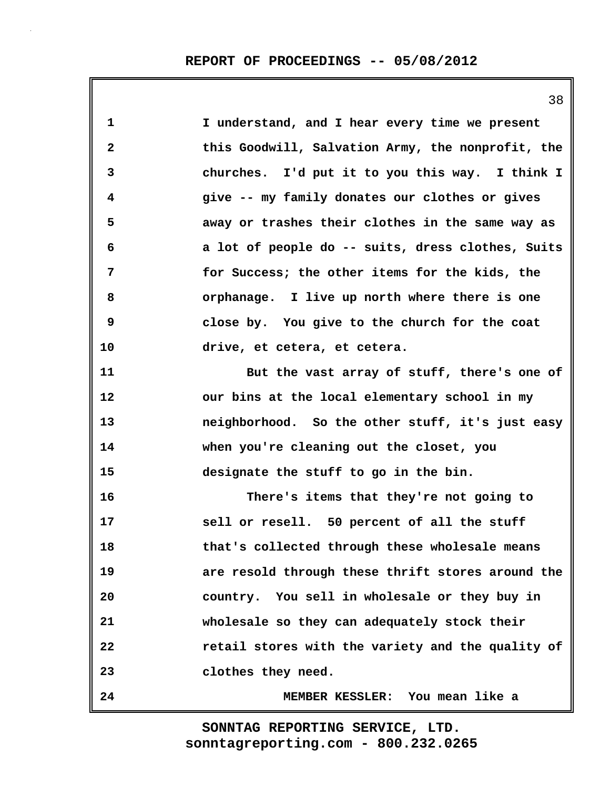| $\mathbf{1}$ | I understand, and I hear every time we present    |
|--------------|---------------------------------------------------|
| $\mathbf{2}$ | this Goodwill, Salvation Army, the nonprofit, the |
| 3            | churches. I'd put it to you this way. I think I   |
| 4            | give -- my family donates our clothes or gives    |
| 5            | away or trashes their clothes in the same way as  |
| 6            | a lot of people do -- suits, dress clothes, Suits |
| 7            | for Success; the other items for the kids, the    |
| 8            | orphanage. I live up north where there is one     |
| 9            | close by. You give to the church for the coat     |
| 10           | drive, et cetera, et cetera.                      |
| 11           | But the vast array of stuff, there's one of       |
| 12           | our bins at the local elementary school in my     |
| 13           | neighborhood. So the other stuff, it's just easy  |
| 14           | when you're cleaning out the closet, you          |
| 15           | designate the stuff to go in the bin.             |
| 16           | There's items that they're not going to           |
| 17           | sell or resell. 50 percent of all the stuff       |
| 18           | that's collected through these wholesale means    |
| 19           | are resold through these thrift stores around the |
| 20           | country. You sell in wholesale or they buy in     |
| 21           | wholesale so they can adequately stock their      |
| 22           | retail stores with the variety and the quality of |
| 23           | clothes they need.                                |
| 24           | MEMBER KESSLER: You mean like a                   |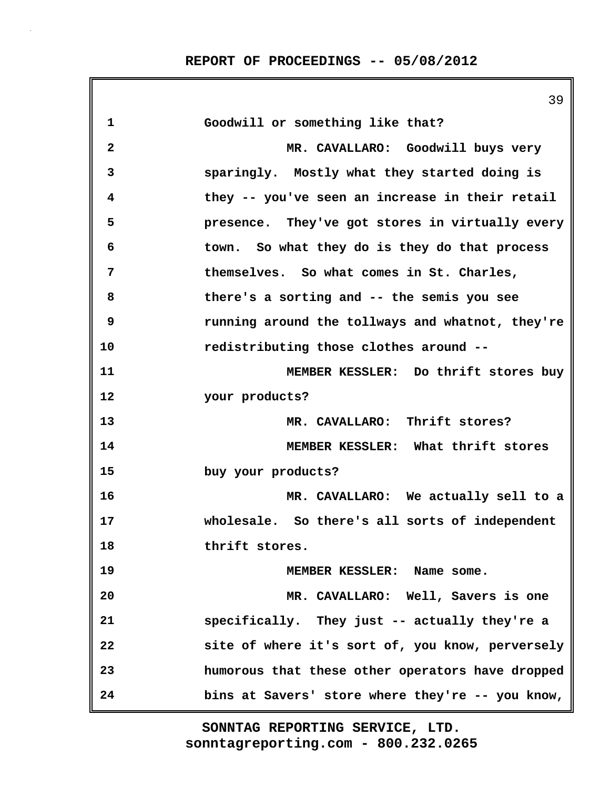|              | 39                                               |
|--------------|--------------------------------------------------|
| $\mathbf 1$  | Goodwill or something like that?                 |
| $\mathbf{2}$ | MR. CAVALLARO: Goodwill buys very                |
| 3            | sparingly. Mostly what they started doing is     |
| 4            | they -- you've seen an increase in their retail  |
| 5            | presence. They've got stores in virtually every  |
| 6            | town. So what they do is they do that process    |
| 7            | themselves. So what comes in St. Charles,        |
| 8            | there's a sorting and -- the semis you see       |
| 9            | running around the tollways and whatnot, they're |
| 10           | redistributing those clothes around --           |
| 11           | MEMBER KESSLER: Do thrift stores buy             |
| 12           | your products?                                   |
| 13           | MR. CAVALLARO: Thrift stores?                    |
| 14           | MEMBER KESSLER: What thrift stores               |
| 15           | buy your products?                               |
| 16           | MR. CAVALLARO: We actually sell to a             |
| 17           | wholesale. So there's all sorts of independent   |
| 18           | thrift stores.                                   |
| 19           | MEMBER KESSLER: Name some.                       |
| 20           | MR. CAVALLARO: Well, Savers is one               |
| 21           | specifically. They just -- actually they're a    |
| 22           | site of where it's sort of, you know, perversely |
| 23           | humorous that these other operators have dropped |
| 24           | bins at Savers' store where they're -- you know, |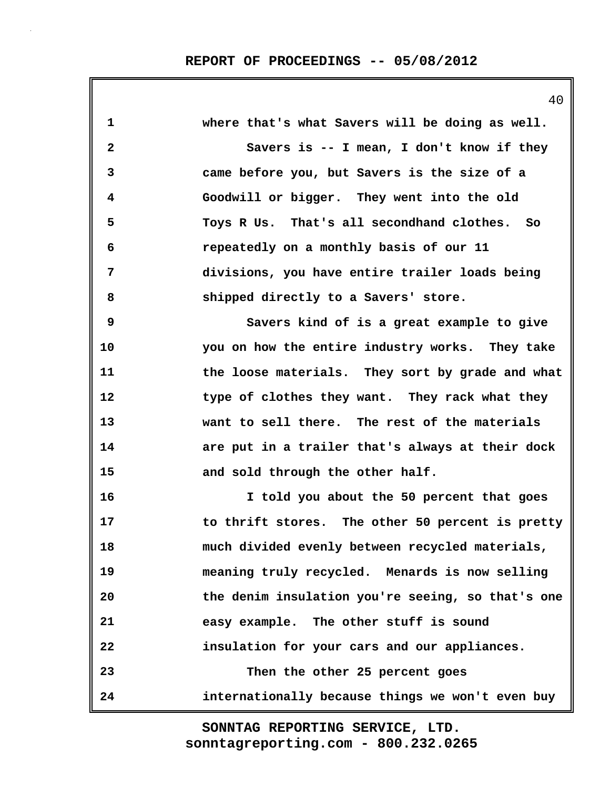| 1            | where that's what Savers will be doing as well.   |
|--------------|---------------------------------------------------|
| $\mathbf{2}$ | Savers is -- I mean, I don't know if they         |
| 3            | came before you, but Savers is the size of a      |
| 4            | Goodwill or bigger. They went into the old        |
| 5            | Toys R Us. That's all secondhand clothes. So      |
| 6            | repeatedly on a monthly basis of our 11           |
| 7            | divisions, you have entire trailer loads being    |
| 8            | shipped directly to a Savers' store.              |
| 9            | Savers kind of is a great example to give         |
| 10           | you on how the entire industry works. They take   |
| 11           | the loose materials. They sort by grade and what  |
| 12           | type of clothes they want. They rack what they    |
| 13           | want to sell there. The rest of the materials     |
| 14           | are put in a trailer that's always at their dock  |
| 15           | and sold through the other half.                  |
| 16           | I told you about the 50 percent that goes         |
| 17           | to thrift stores. The other 50 percent is pretty  |
| 18           | much divided evenly between recycled materials,   |
| 19           | meaning truly recycled. Menards is now selling    |
| 20           | the denim insulation you're seeing, so that's one |
| 21           | easy example. The other stuff is sound            |
| 22           | insulation for your cars and our appliances.      |
| 23           | Then the other 25 percent goes                    |
| 24           | internationally because things we won't even buy  |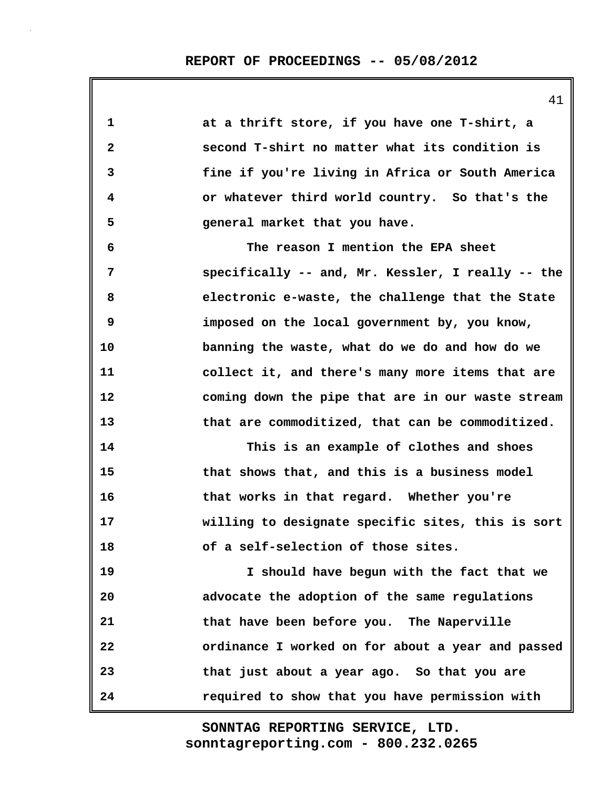**1 at a thrift store, if you have one T-shirt, a 2 second T-shirt no matter what its condition is 3 fine if you're living in Africa or South America 4 or whatever third world country. So that's the 5 general market that you have. 6 The reason I mention the EPA sheet 7 specifically -- and, Mr. Kessler, I really -- the 8 electronic e-waste, the challenge that the State 9 imposed on the local government by, you know, 10 banning the waste, what do we do and how do we 11 collect it, and there's many more items that are 12 coming down the pipe that are in our waste stream 13 that are commoditized, that can be commoditized. 14 This is an example of clothes and shoes 15 that shows that, and this is a business model 16 that works in that regard. Whether you're 17 willing to designate specific sites, this is sort 18 of a self-selection of those sites. 19 I should have begun with the fact that we 20 advocate the adoption of the same regulations 21 that have been before you. The Naperville 22 ordinance I worked on for about a year and passed 23 that just about a year ago. So that you are 24 required to show that you have permission with**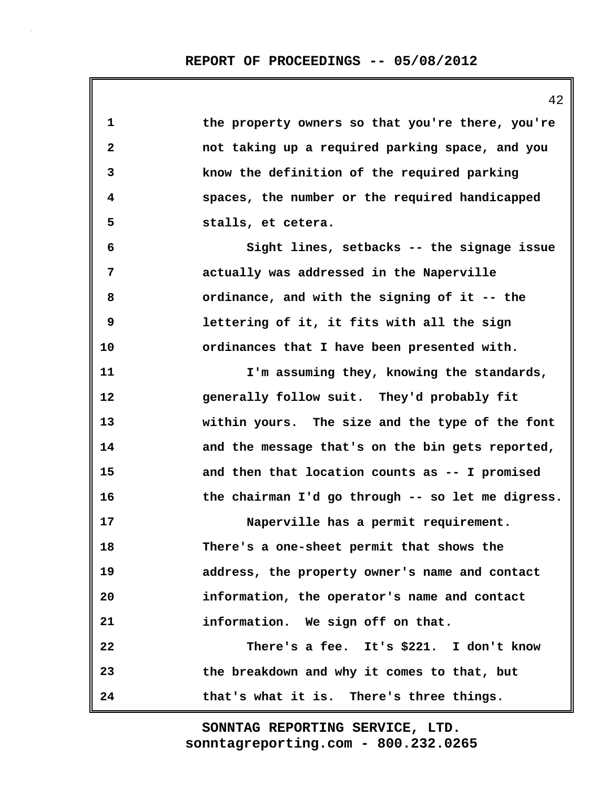**1 the property owners so that you're there, you're 2 not taking up a required parking space, and you 3 know the definition of the required parking 4 spaces, the number or the required handicapped 5 stalls, et cetera. 6 Sight lines, setbacks -- the signage issue 7 actually was addressed in the Naperville 8 ordinance, and with the signing of it -- the 9 lettering of it, it fits with all the sign 10 ordinances that I have been presented with. 11 I'm assuming they, knowing the standards, 12 generally follow suit. They'd probably fit 13 within yours. The size and the type of the font 14 and the message that's on the bin gets reported, 15 and then that location counts as -- I promised 16 the chairman I'd go through -- so let me digress. 17 Naperville has a permit requirement. 18 There's a one-sheet permit that shows the 19 address, the property owner's name and contact 20 information, the operator's name and contact 21 information. We sign off on that. 22 There's a fee. It's \$221. I don't know 23 the breakdown and why it comes to that, but 24 that's what it is. There's three things.**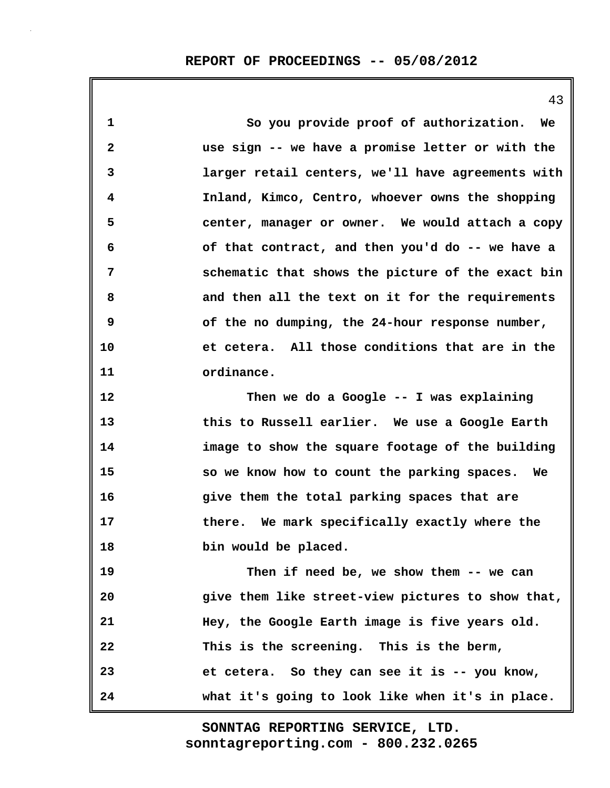**1 So you provide proof of authorization. We 2 use sign -- we have a promise letter or with the 3 larger retail centers, we'll have agreements with 4 Inland, Kimco, Centro, whoever owns the shopping 5 center, manager or owner. We would attach a copy 6 of that contract, and then you'd do -- we have a 7 schematic that shows the picture of the exact bin 8 and then all the text on it for the requirements 9 of the no dumping, the 24-hour response number, 10 et cetera. All those conditions that are in the 11 ordinance. 12 Then we do a Google -- I was explaining 13 this to Russell earlier. We use a Google Earth 14 image to show the square footage of the building 15 so we know how to count the parking spaces. We 16 give them the total parking spaces that are 17 there. We mark specifically exactly where the 18 bin would be placed. 19 Then if need be, we show them -- we can 20 give them like street-view pictures to show that, 21 Hey, the Google Earth image is five years old. 22 This is the screening. This is the berm, 23 et cetera. So they can see it is -- you know, 24 what it's going to look like when it's in place.**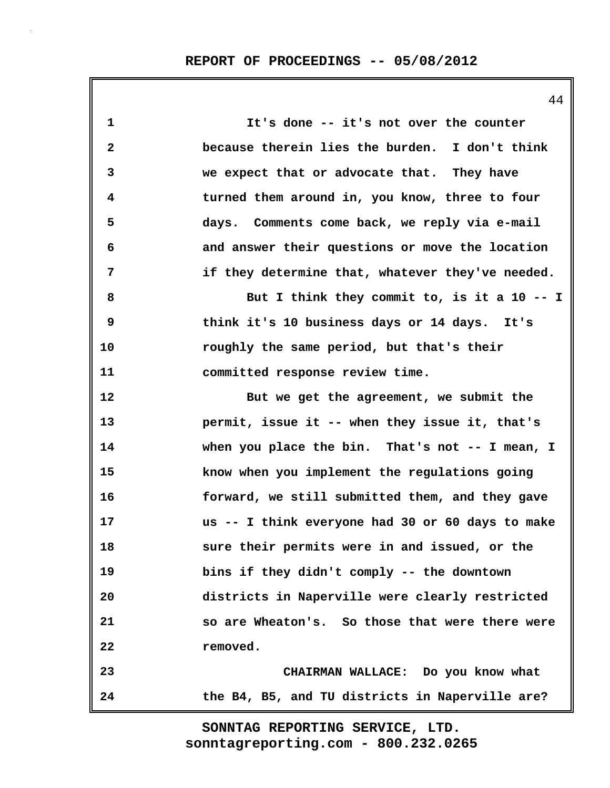**1 It's done -- it's not over the counter 2 because therein lies the burden. I don't think 3 we expect that or advocate that. They have 4 turned them around in, you know, three to four 5 days. Comments come back, we reply via e-mail 6 and answer their questions or move the location 7 if they determine that, whatever they've needed. 8 But I think they commit to, is it a 10 -- I 9 think it's 10 business days or 14 days. It's 10 roughly the same period, but that's their 11 committed response review time. 12 But we get the agreement, we submit the 13 permit, issue it -- when they issue it, that's 14 when you place the bin. That's not -- I mean, I 15 know when you implement the regulations going 16 forward, we still submitted them, and they gave 17 us -- I think everyone had 30 or 60 days to make 18 sure their permits were in and issued, or the 19 bins if they didn't comply -- the downtown 20 districts in Naperville were clearly restricted 21 so are Wheaton's. So those that were there were 22 removed. 23 CHAIRMAN WALLACE: Do you know what 24 the B4, B5, and TU districts in Naperville are?**

> **sonntagreporting.com - 800.232.0265 SONNTAG REPORTING SERVICE, LTD.**

44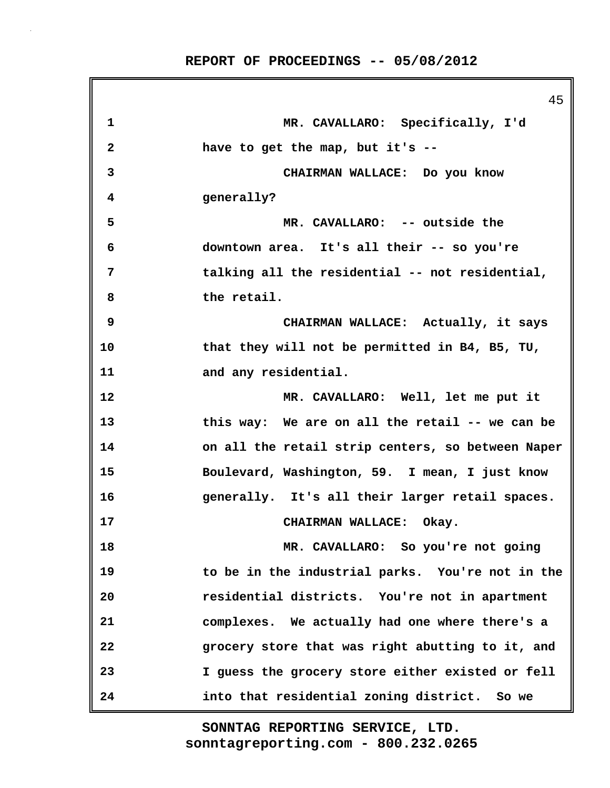**REPORT OF PROCEEDINGS -- 05/08/2012**

|              | 45                                                |
|--------------|---------------------------------------------------|
| 1            | MR. CAVALLARO: Specifically, I'd                  |
| $\mathbf{2}$ | have to get the map, but it's --                  |
| 3            | CHAIRMAN WALLACE: Do you know                     |
| 4            | generally?                                        |
| 5            | MR. CAVALLARO: -- outside the                     |
| 6            | downtown area. It's all their -- so you're        |
| 7            | talking all the residential -- not residential,   |
| 8            | the retail.                                       |
| 9            | CHAIRMAN WALLACE: Actually, it says               |
| 10           | that they will not be permitted in B4, B5, TU,    |
| 11           | and any residential.                              |
| 12           | MR. CAVALLARO: Well, let me put it                |
| 13           | this way: We are on all the retail -- we can be   |
| 14           | on all the retail strip centers, so between Naper |
| 15           | Boulevard, Washington, 59. I mean, I just know    |
| 16           | generally. It's all their larger retail spaces.   |
| 17           | CHAIRMAN WALLACE: Okay.                           |
| 18           | MR. CAVALLARO: So you're not going                |
| 19           | to be in the industrial parks. You're not in the  |
| 20           | residential districts. You're not in apartment    |
| 21           | complexes. We actually had one where there's a    |
| 22           | grocery store that was right abutting to it, and  |
| 23           | I guess the grocery store either existed or fell  |
| 24           | into that residential zoning district. So we      |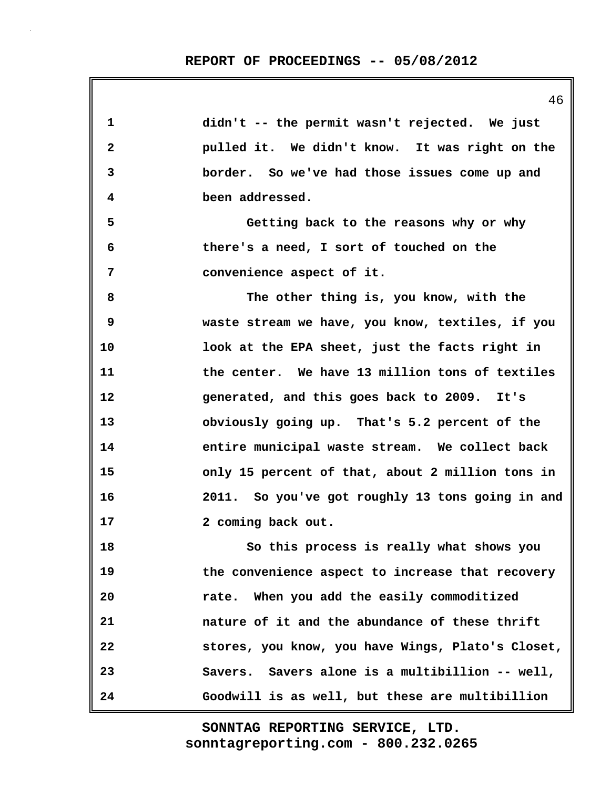| 1            | didn't -- the permit wasn't rejected. We just     |
|--------------|---------------------------------------------------|
| $\mathbf{2}$ | pulled it. We didn't know. It was right on the    |
| 3            | border. So we've had those issues come up and     |
| 4            | been addressed.                                   |
| 5            | Getting back to the reasons why or why            |
| 6            | there's a need, I sort of touched on the          |
| 7            | convenience aspect of it.                         |
| 8            | The other thing is, you know, with the            |
| 9            | waste stream we have, you know, textiles, if you  |
| 10           | look at the EPA sheet, just the facts right in    |
| 11           | the center. We have 13 million tons of textiles   |
| 12           | generated, and this goes back to 2009. It's       |
| 13           | obviously going up. That's 5.2 percent of the     |
| 14           | entire municipal waste stream. We collect back    |
| 15           | only 15 percent of that, about 2 million tons in  |
| 16           | 2011. So you've got roughly 13 tons going in and  |
| 17           | 2 coming back out.                                |
| 18           | So this process is really what shows you          |
| 19           | the convenience aspect to increase that recovery  |
| 20           | rate. When you add the easily commoditized        |
| 21           | nature of it and the abundance of these thrift    |
| 22           | stores, you know, you have Wings, Plato's Closet, |
| 23           | Savers. Savers alone is a multibillion -- well,   |
| 24           | Goodwill is as well, but these are multibillion   |

46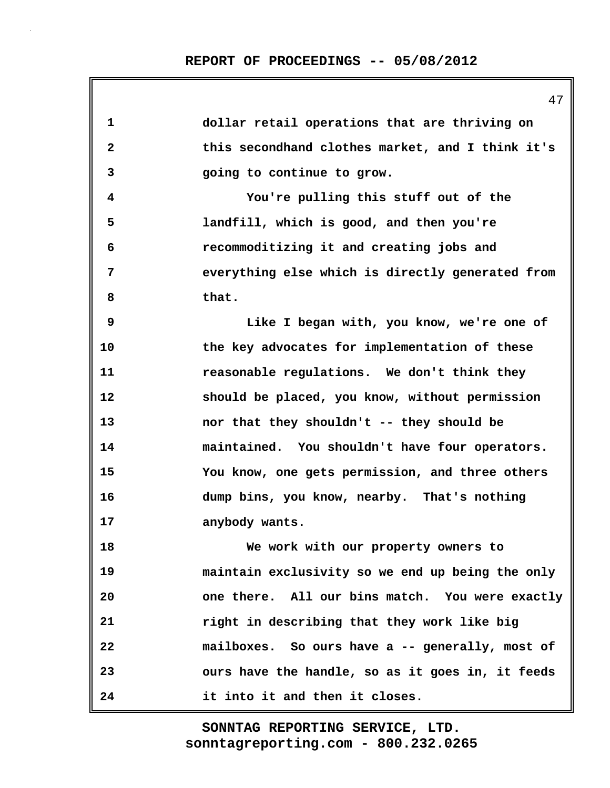| 1            | dollar retail operations that are thriving on    |
|--------------|--------------------------------------------------|
| $\mathbf{2}$ | this secondhand clothes market, and I think it's |
| 3            | going to continue to grow.                       |
| 4            | You're pulling this stuff out of the             |
| 5            | landfill, which is good, and then you're         |
| 6            | recommoditizing it and creating jobs and         |
| 7            | everything else which is directly generated from |
| 8            | that.                                            |
| 9            | Like I began with, you know, we're one of        |
| 10           | the key advocates for implementation of these    |
| 11           | reasonable regulations. We don't think they      |
| 12           | should be placed, you know, without permission   |
| 13           | nor that they shouldn't -- they should be        |
| 14           | maintained. You shouldn't have four operators.   |
| 15           | You know, one gets permission, and three others  |
| 16           | dump bins, you know, nearby. That's nothing      |
| 17           | anybody wants.                                   |
| 18           | We work with our property owners to              |
| 19           | maintain exclusivity so we end up being the only |
| 20           | one there. All our bins match. You were exactly  |
| 21           | right in describing that they work like big      |
| 22           | mailboxes. So ours have a -- generally, most of  |
| 23           | ours have the handle, so as it goes in, it feeds |
| 24           | it into it and then it closes.                   |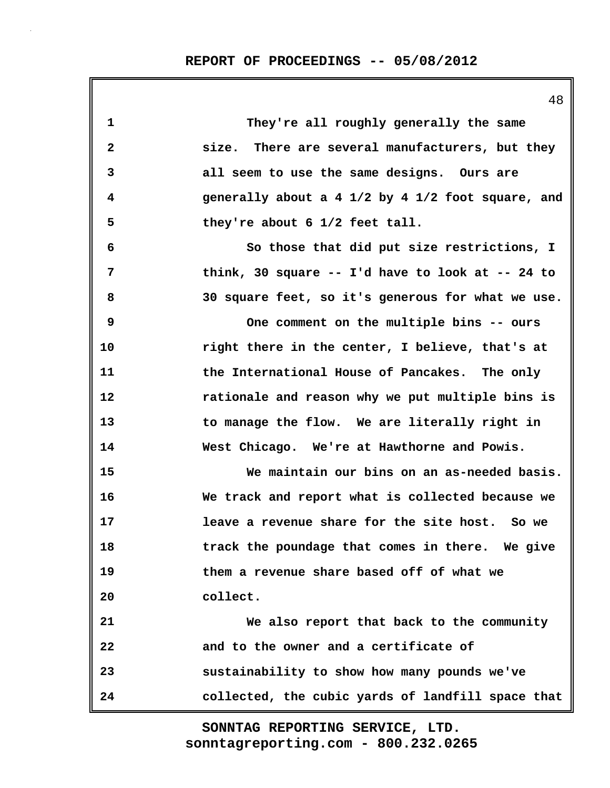|              | ΞO                                                |
|--------------|---------------------------------------------------|
| $\mathbf{1}$ | They're all roughly generally the same            |
| $\mathbf{2}$ | size. There are several manufacturers, but they   |
| 3            | all seem to use the same designs. Ours are        |
| 4            | generally about a 4 1/2 by 4 1/2 foot square, and |
| 5            | they're about 6 1/2 feet tall.                    |
| 6            | So those that did put size restrictions, I        |
| 7            | think, 30 square -- I'd have to look at -- 24 to  |
| 8            | 30 square feet, so it's generous for what we use. |
| 9            | One comment on the multiple bins -- ours          |
| 10           | right there in the center, I believe, that's at   |
| 11           | the International House of Pancakes. The only     |
| 12           | rationale and reason why we put multiple bins is  |
| 13           | to manage the flow. We are literally right in     |
| 14           | West Chicago. We're at Hawthorne and Powis.       |
| 15           | We maintain our bins on an as-needed basis.       |
| 16           | We track and report what is collected because we  |
| 17           | leave a revenue share for the site host. So we    |
| 18           | track the poundage that comes in there. We give   |
| 19           | them a revenue share based off of what we         |
| 20           | collect.                                          |
| 21           | We also report that back to the community         |
| 22           | and to the owner and a certificate of             |
| 23           | sustainability to show how many pounds we've      |
| 24           | collected, the cubic yards of landfill space that |

 $48$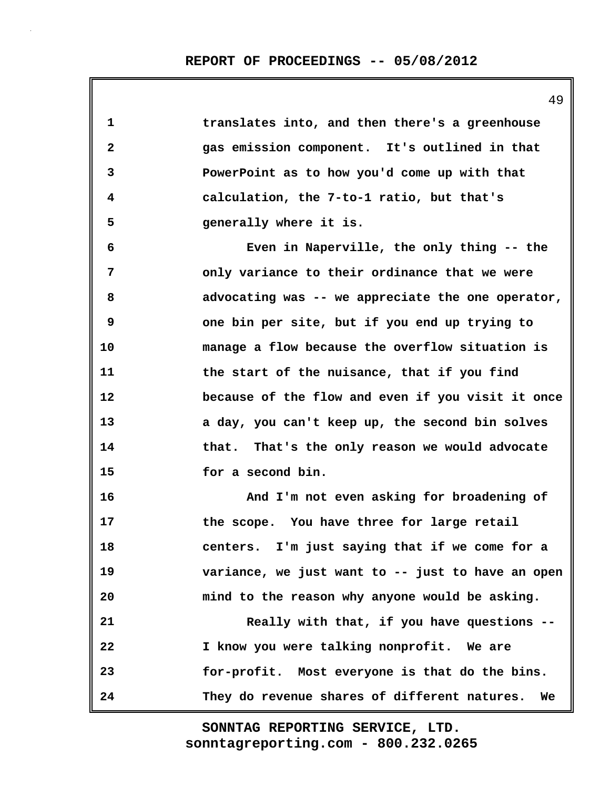| 1            | translates into, and then there's a greenhouse     |
|--------------|----------------------------------------------------|
| $\mathbf{2}$ | gas emission component. It's outlined in that      |
| 3            | PowerPoint as to how you'd come up with that       |
| 4            | calculation, the 7-to-1 ratio, but that's          |
| 5            | generally where it is.                             |
| 6            | Even in Naperville, the only thing -- the          |
| 7            | only variance to their ordinance that we were      |
| 8            | advocating was -- we appreciate the one operator,  |
| 9            | one bin per site, but if you end up trying to      |
| 10           | manage a flow because the overflow situation is    |
| 11           | the start of the nuisance, that if you find        |
| 12           | because of the flow and even if you visit it once  |
| 13           | a day, you can't keep up, the second bin solves    |
| 14           | that. That's the only reason we would advocate     |
| 15           | for a second bin.                                  |
| 16           | And I'm not even asking for broadening of          |
| 17           | the scope. You have three for large retail         |
| 18           | centers. I'm just saying that if we come for a     |
| 19           | variance, we just want to -- just to have an open  |
| 20           | mind to the reason why anyone would be asking.     |
| 21           | Really with that, if you have questions --         |
| 22           | I know you were talking nonprofit. We are          |
| 23           | for-profit. Most everyone is that do the bins.     |
| 24           | They do revenue shares of different natures.<br>We |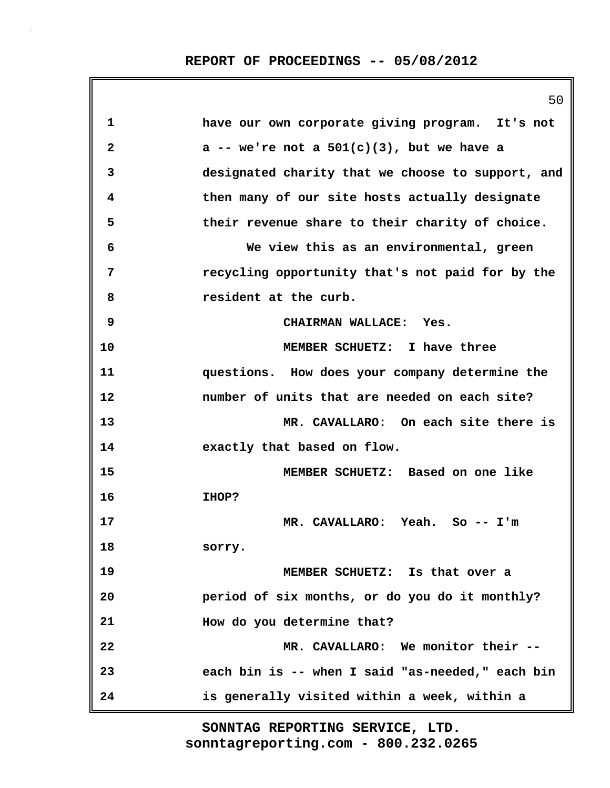|    | 50                                                |
|----|---------------------------------------------------|
| 1  | have our own corporate giving program. It's not   |
| 2  | a -- we're not a $501(c)(3)$ , but we have a      |
| 3  | designated charity that we choose to support, and |
| 4  | then many of our site hosts actually designate    |
| 5  | their revenue share to their charity of choice.   |
| 6  | We view this as an environmental, green           |
| 7  | recycling opportunity that's not paid for by the  |
| 8  | resident at the curb.                             |
| 9  | CHAIRMAN WALLACE: Yes.                            |
| 10 | MEMBER SCHUETZ: I have three                      |
| 11 | questions. How does your company determine the    |
| 12 | number of units that are needed on each site?     |
| 13 | MR. CAVALLARO: On each site there is              |
| 14 | exactly that based on flow.                       |
| 15 | MEMBER SCHUETZ: Based on one like                 |
| 16 | <b>IHOP?</b>                                      |
| 17 | MR. CAVALLARO: Yeah. So -- I'm                    |
| 18 | sorry.                                            |
| 19 | MEMBER SCHUETZ: Is that over a                    |
| 20 | period of six months, or do you do it monthly?    |
| 21 | How do you determine that?                        |
| 22 | MR. CAVALLARO: We monitor their --                |
| 23 | each bin is -- when I said "as-needed," each bin  |
| 24 | is generally visited within a week, within a      |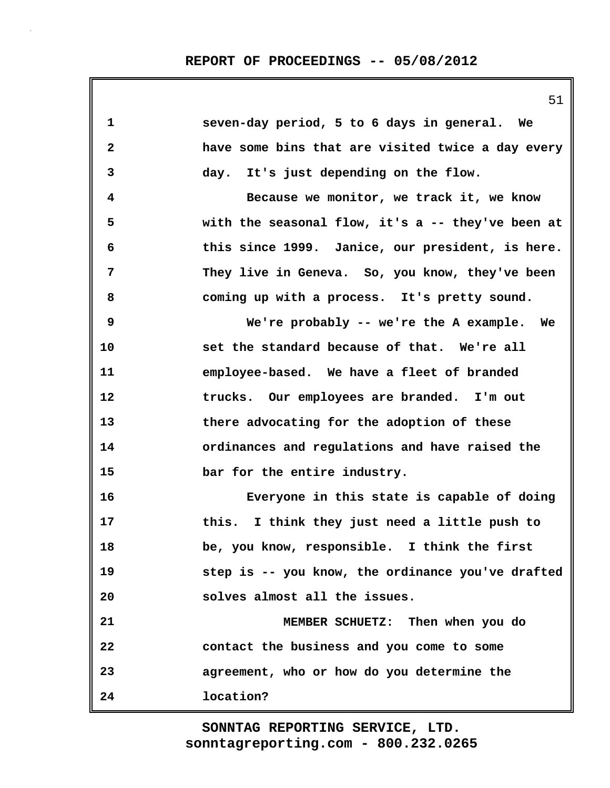|              | 51                                                |
|--------------|---------------------------------------------------|
| $\mathbf{1}$ | seven-day period, 5 to 6 days in general. We      |
| $\mathbf{2}$ | have some bins that are visited twice a day every |
| 3            | day. It's just depending on the flow.             |
| 4            | Because we monitor, we track it, we know          |
| 5            | with the seasonal flow, it's a -- they've been at |
| 6            | this since 1999. Janice, our president, is here.  |
| 7            | They live in Geneva. So, you know, they've been   |
| 8            | coming up with a process. It's pretty sound.      |
| 9            | We're probably -- we're the A example. We         |
| 10           | set the standard because of that. We're all       |
| 11           | employee-based. We have a fleet of branded        |
| 12           | trucks. Our employees are branded. I'm out        |
| 13           | there advocating for the adoption of these        |
| 14           | ordinances and regulations and have raised the    |
| 15           | bar for the entire industry.                      |
| 16           | Everyone in this state is capable of doing        |
| 17           | this. I think they just need a little push to     |
| 18           | be, you know, responsible. I think the first      |
| 19           | step is -- you know, the ordinance you've drafted |
| 20           | solves almost all the issues.                     |
| 21           | MEMBER SCHUETZ: Then when you do                  |
| 22           | contact the business and you come to some         |
| 23           | agreement, who or how do you determine the        |
| 24           | location?                                         |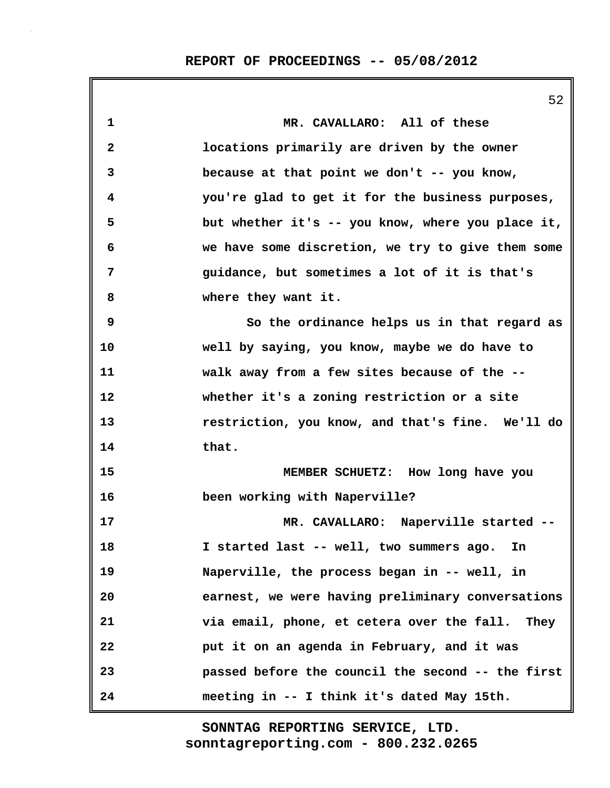|              | 52                                                |
|--------------|---------------------------------------------------|
| 1            | MR. CAVALLARO: All of these                       |
| $\mathbf{2}$ | locations primarily are driven by the owner       |
| 3            | because at that point we don't -- you know,       |
| 4            | you're glad to get it for the business purposes,  |
| 5            | but whether it's -- you know, where you place it, |
| 6            | we have some discretion, we try to give them some |
| 7            | guidance, but sometimes a lot of it is that's     |
| 8            | where they want it.                               |
| 9            | So the ordinance helps us in that regard as       |
| 10           | well by saying, you know, maybe we do have to     |
| 11           | walk away from a few sites because of the --      |
| 12           | whether it's a zoning restriction or a site       |
| 13           | restriction, you know, and that's fine. We'll do  |
| 14           | that.                                             |
| 15           | MEMBER SCHUETZ: How long have you                 |
| 16           | been working with Naperville?                     |
| 17           | MR. CAVALLARO: Naperville started --              |
| 18           | I started last -- well, two summers ago. In       |
| 19           | Naperville, the process began in -- well, in      |
| 20           | earnest, we were having preliminary conversations |
| 21           | via email, phone, et cetera over the fall. They   |
| 22           | put it on an agenda in February, and it was       |
| 23           | passed before the council the second -- the first |
| 24           | meeting in -- I think it's dated May 15th.        |

 $52$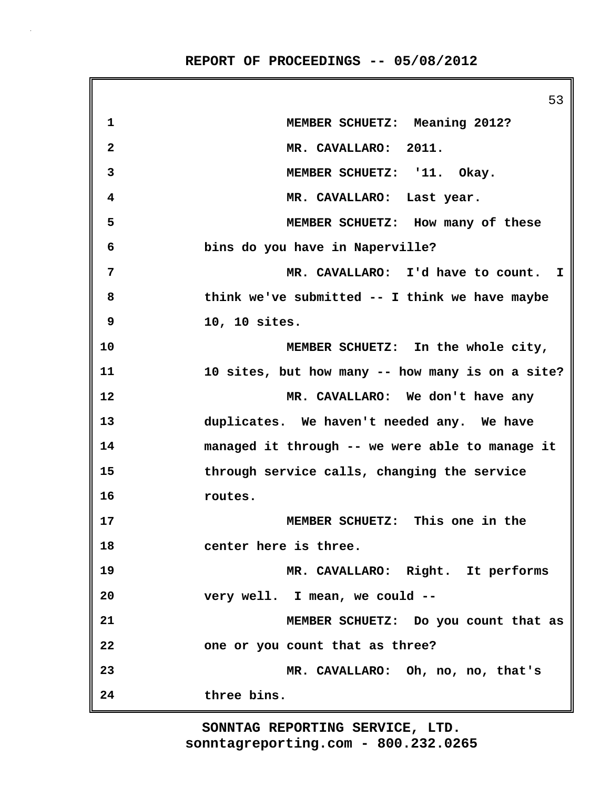**REPORT OF PROCEEDINGS -- 05/08/2012**

|                | 53                                               |
|----------------|--------------------------------------------------|
| 1              | MEMBER SCHUETZ: Meaning 2012?                    |
| $\mathbf{2}$   | MR. CAVALLARO: 2011.                             |
| 3              | MEMBER SCHUETZ: '11. Okay.                       |
| 4              | MR. CAVALLARO: Last year.                        |
| 5              | MEMBER SCHUETZ: How many of these                |
| 6              | bins do you have in Naperville?                  |
| $\overline{7}$ | MR. CAVALLARO: I'd have to count. I              |
| 8              | think we've submitted -- I think we have maybe   |
| 9              | 10, 10 sites.                                    |
| 10             | MEMBER SCHUETZ: In the whole city,               |
| 11             | 10 sites, but how many -- how many is on a site? |
| 12             | MR. CAVALLARO: We don't have any                 |
| 13             | duplicates. We haven't needed any. We have       |
| 14             | managed it through -- we were able to manage it  |
| 15             | through service calls, changing the service      |
| 16             | routes.                                          |
| 17             | MEMBER SCHUETZ: This one in the                  |
| 18             | center here is three.                            |
| 19             | MR. CAVALLARO: Right. It performs                |
| 20             | very well. I mean, we could --                   |
| 21             | MEMBER SCHUETZ: Do you count that as             |
| 22             | one or you count that as three?                  |
| 23             | MR. CAVALLARO: Oh, no, no, that's                |
| 24             | three bins.                                      |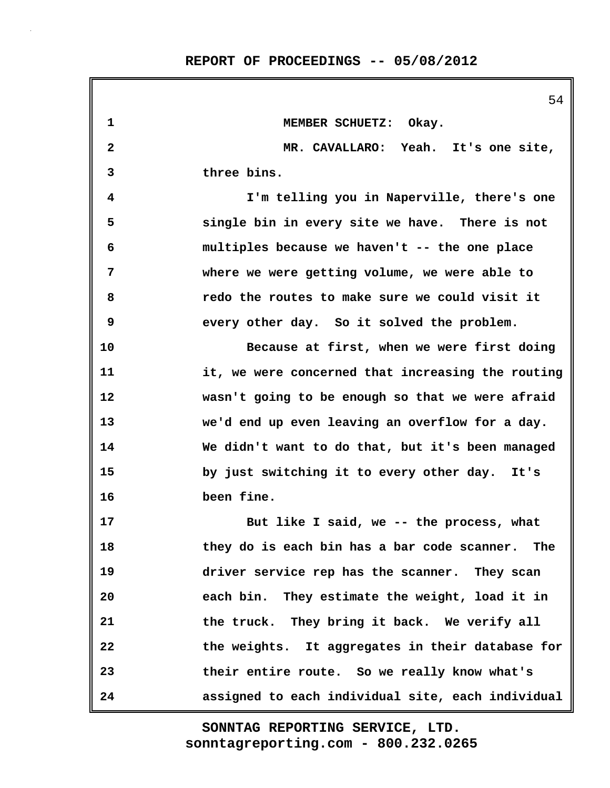|                         | 54                                                |
|-------------------------|---------------------------------------------------|
| 1                       | MEMBER SCHUETZ: Okay.                             |
| $\overline{\mathbf{2}}$ | MR. CAVALLARO: Yeah. It's one site,               |
| 3                       | three bins.                                       |
| 4                       | I'm telling you in Naperville, there's one        |
| 5                       | single bin in every site we have. There is not    |
| 6                       | multiples because we haven't -- the one place     |
| 7                       | where we were getting volume, we were able to     |
| 8                       | redo the routes to make sure we could visit it    |
| 9                       | every other day. So it solved the problem.        |
| 10                      | Because at first, when we were first doing        |
| 11                      | it, we were concerned that increasing the routing |
| 12                      | wasn't going to be enough so that we were afraid  |
| 13                      | we'd end up even leaving an overflow for a day.   |
| 14                      | We didn't want to do that, but it's been managed  |
| 15                      | by just switching it to every other day. It's     |
| 16                      | been fine.                                        |
| 17                      | But like I said, we -- the process, what          |
| 18                      | they do is each bin has a bar code scanner. The   |
| 19                      | driver service rep has the scanner. They scan     |
| 20                      | each bin. They estimate the weight, load it in    |
| 21                      | the truck. They bring it back. We verify all      |
| 22                      | the weights. It aggregates in their database for  |
| 23                      | their entire route. So we really know what's      |
| 24                      | assigned to each individual site, each individual |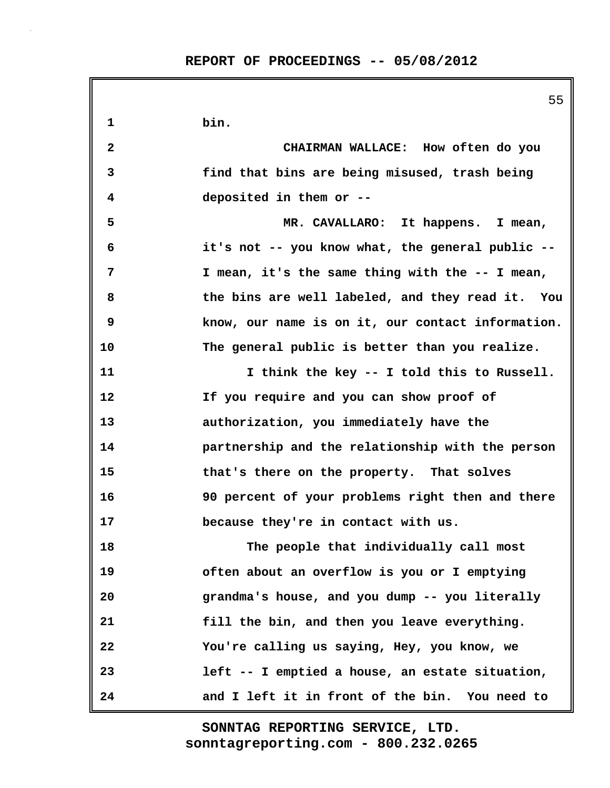55 **1 bin. 2 CHAIRMAN WALLACE: How often do you 3 find that bins are being misused, trash being 4 deposited in them or -- 5 MR. CAVALLARO: It happens. I mean, 6 it's not -- you know what, the general public -- 7 I mean, it's the same thing with the -- I mean, 8 the bins are well labeled, and they read it. You 9 know, our name is on it, our contact information. 10 The general public is better than you realize. 11 I think the key -- I told this to Russell. 12 If you require and you can show proof of 13 authorization, you immediately have the 14 partnership and the relationship with the person 15 that's there on the property. That solves 16 90 percent of your problems right then and there 17 because they're in contact with us. 18 The people that individually call most 19 often about an overflow is you or I emptying 20 grandma's house, and you dump -- you literally 21 fill the bin, and then you leave everything. 22 You're calling us saying, Hey, you know, we 23 left -- I emptied a house, an estate situation, 24 and I left it in front of the bin. You need to**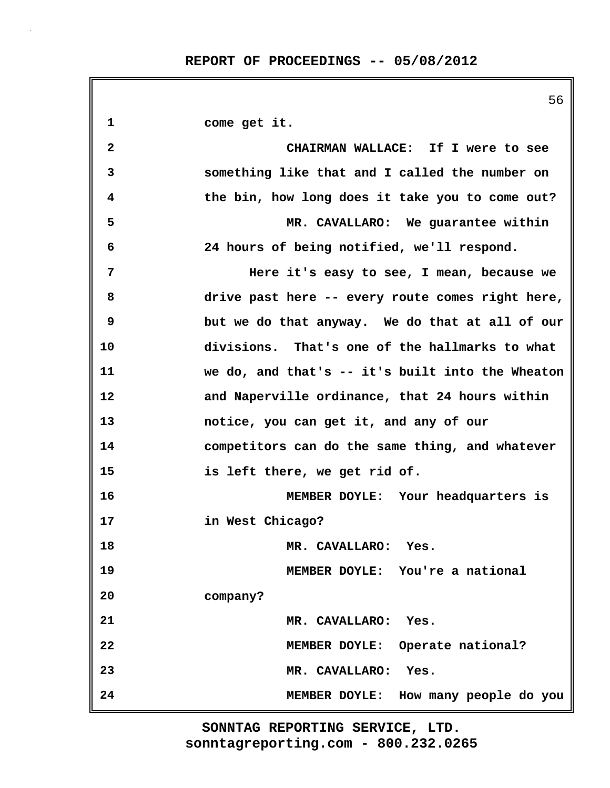|              | 56                                               |
|--------------|--------------------------------------------------|
| 1            | come get it.                                     |
| $\mathbf{2}$ | CHAIRMAN WALLACE: If I were to see               |
| 3            | something like that and I called the number on   |
| 4            | the bin, how long does it take you to come out?  |
| 5            | MR. CAVALLARO: We guarantee within               |
| 6            | 24 hours of being notified, we'll respond.       |
| 7            | Here it's easy to see, I mean, because we        |
| 8            | drive past here -- every route comes right here, |
| 9            | but we do that anyway. We do that at all of our  |
| 10           | divisions. That's one of the hallmarks to what   |
| 11           | we do, and that's -- it's built into the Wheaton |
| 12           | and Naperville ordinance, that 24 hours within   |
| 13           | notice, you can get it, and any of our           |
| 14           | competitors can do the same thing, and whatever  |
| 15           | is left there, we get rid of.                    |
| 16           | MEMBER DOYLE: Your headquarters is               |
| 17           | in West Chicago?                                 |
| 18           | MR. CAVALLARO: Yes.                              |
| 19           | MEMBER DOYLE: You're a national                  |
| 20           | company?                                         |
| 21           | MR. CAVALLARO: Yes.                              |
| 22           | MEMBER DOYLE: Operate national?                  |
| 23           | MR. CAVALLARO: Yes.                              |
| 24           | MEMBER DOYLE: How many people do you             |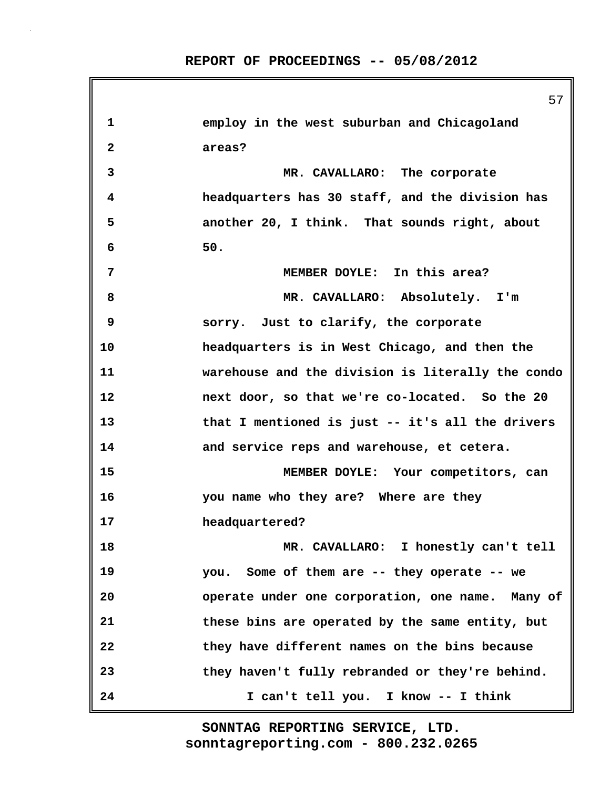| 1            | employ in the west suburban and Chicagoland       |
|--------------|---------------------------------------------------|
| $\mathbf{2}$ | areas?                                            |
| 3            | MR. CAVALLARO: The corporate                      |
| 4            | headquarters has 30 staff, and the division has   |
| 5            | another 20, I think. That sounds right, about     |
| 6            | 50.                                               |
| 7            | MEMBER DOYLE: In this area?                       |
| 8            | MR. CAVALLARO: Absolutely. I'm                    |
| 9            | sorry. Just to clarify, the corporate             |
| 10           | headquarters is in West Chicago, and then the     |
| 11           | warehouse and the division is literally the condo |
| 12           | next door, so that we're co-located. So the 20    |
| 13           | that I mentioned is just -- it's all the drivers  |
| 14           | and service reps and warehouse, et cetera.        |
| 15           | MEMBER DOYLE: Your competitors, can               |
| 16           | you name who they are? Where are they             |
| 17           | headquartered?                                    |
| 18           | MR. CAVALLARO: I honestly can't tell              |
| 19           | you. Some of them are -- they operate -- we       |
| 20           | operate under one corporation, one name. Many of  |
| 21           | these bins are operated by the same entity, but   |
| 22           | they have different names on the bins because     |
| 23           | they haven't fully rebranded or they're behind.   |
| 24           | I can't tell you. I know -- I think               |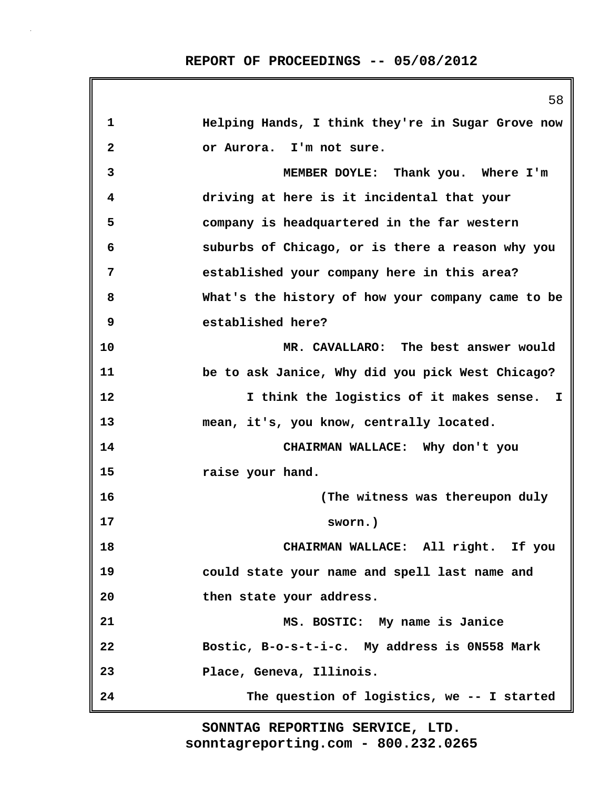|                         | 58                                                |
|-------------------------|---------------------------------------------------|
| 1                       | Helping Hands, I think they're in Sugar Grove now |
| $\overline{\mathbf{2}}$ | or Aurora. I'm not sure.                          |
| 3                       | MEMBER DOYLE: Thank you. Where I'm                |
| 4                       | driving at here is it incidental that your        |
| 5                       | company is headquartered in the far western       |
| 6                       | suburbs of Chicago, or is there a reason why you  |
| 7                       | established your company here in this area?       |
| 8                       | What's the history of how your company came to be |
| 9                       | established here?                                 |
| 10                      | MR. CAVALLARO: The best answer would              |
| 11                      | be to ask Janice, Why did you pick West Chicago?  |
| 12                      | I think the logistics of it makes sense. I        |
| 13                      | mean, it's, you know, centrally located.          |
| 14                      | CHAIRMAN WALLACE: Why don't you                   |
| 15                      | raise your hand.                                  |
| 16                      | (The witness was thereupon duly                   |
| 17                      | sworn.)                                           |
| 18                      | CHAIRMAN WALLACE: All right. If you               |
| 19                      | could state your name and spell last name and     |
| 20                      | then state your address.                          |
| 21                      | MS. BOSTIC: My name is Janice                     |
| 22                      | Bostic, B-o-s-t-i-c. My address is 0N558 Mark     |
| 23                      | Place, Geneva, Illinois.                          |
| 24                      | The question of logistics, we -- I started        |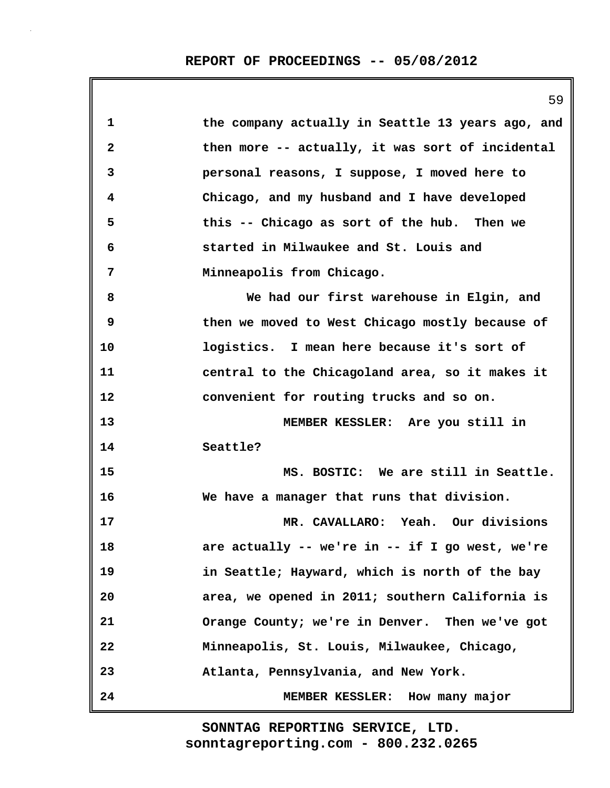|              | 59                                                |
|--------------|---------------------------------------------------|
| 1            | the company actually in Seattle 13 years ago, and |
| $\mathbf{2}$ | then more -- actually, it was sort of incidental  |
| 3            | personal reasons, I suppose, I moved here to      |
| 4            | Chicago, and my husband and I have developed      |
| 5            | this -- Chicago as sort of the hub. Then we       |
| 6            | started in Milwaukee and St. Louis and            |
| 7            | Minneapolis from Chicago.                         |
| 8            | We had our first warehouse in Elgin, and          |
| 9            | then we moved to West Chicago mostly because of   |
| 10           | logistics. I mean here because it's sort of       |
| 11           | central to the Chicagoland area, so it makes it   |
| 12           | convenient for routing trucks and so on.          |
| 13           | MEMBER KESSLER: Are you still in                  |
| 14           | Seattle?                                          |
| 15           | MS. BOSTIC: We are still in Seattle.              |
| 16           | We have a manager that runs that division.        |
| 17           | MR. CAVALLARO: Yeah. Our divisions                |
| 18           | are actually -- we're in -- if I go west, we're   |
| 19           | in Seattle; Hayward, which is north of the bay    |
| 20           | area, we opened in 2011; southern California is   |
| 21           | Orange County; we're in Denver. Then we've got    |
| 22           | Minneapolis, St. Louis, Milwaukee, Chicago,       |
| 23           | Atlanta, Pennsylvania, and New York.              |
| 24           | MEMBER KESSLER: How many major                    |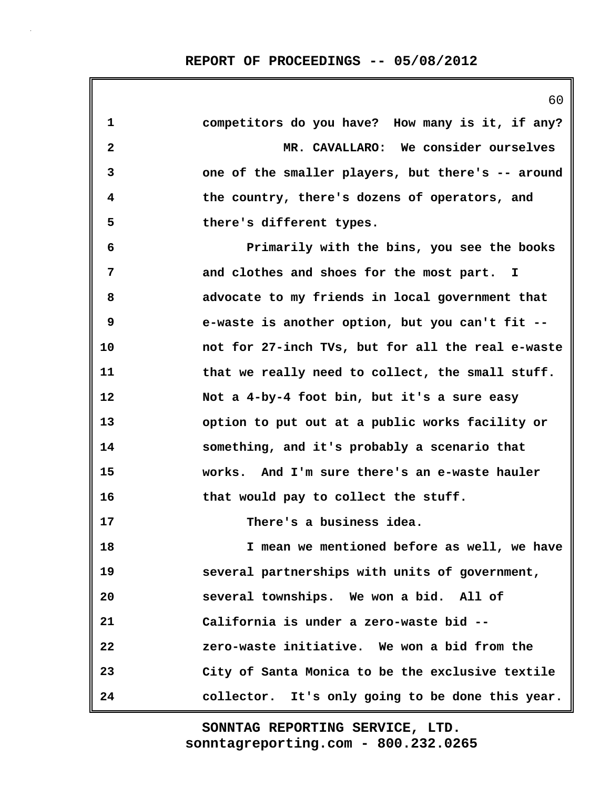|                         | 60                                                |
|-------------------------|---------------------------------------------------|
| 1                       | competitors do you have? How many is it, if any?  |
| $\overline{\mathbf{2}}$ | MR. CAVALLARO: We consider ourselves              |
| 3                       | one of the smaller players, but there's -- around |
| 4                       | the country, there's dozens of operators, and     |
| 5                       | there's different types.                          |
| 6                       | Primarily with the bins, you see the books        |
| 7                       | and clothes and shoes for the most part. I        |
| 8                       | advocate to my friends in local government that   |
| 9                       | e-waste is another option, but you can't fit --   |
| 10                      | not for 27-inch TVs, but for all the real e-waste |
| 11                      | that we really need to collect, the small stuff.  |
| 12                      | Not a 4-by-4 foot bin, but it's a sure easy       |
| 13                      | option to put out at a public works facility or   |
| 14                      | something, and it's probably a scenario that      |
| 15                      | works. And I'm sure there's an e-waste hauler     |
| 16                      | that would pay to collect the stuff.              |
| 17                      | There's a business idea.                          |
| 18                      | I mean we mentioned before as well, we have       |
| 19                      | several partnerships with units of government,    |
| 20                      | several townships. We won a bid. All of           |
| 21                      | California is under a zero-waste bid --           |
| 22                      | zero-waste initiative. We won a bid from the      |
| 23                      | City of Santa Monica to be the exclusive textile  |
| 24                      | collector. It's only going to be done this year.  |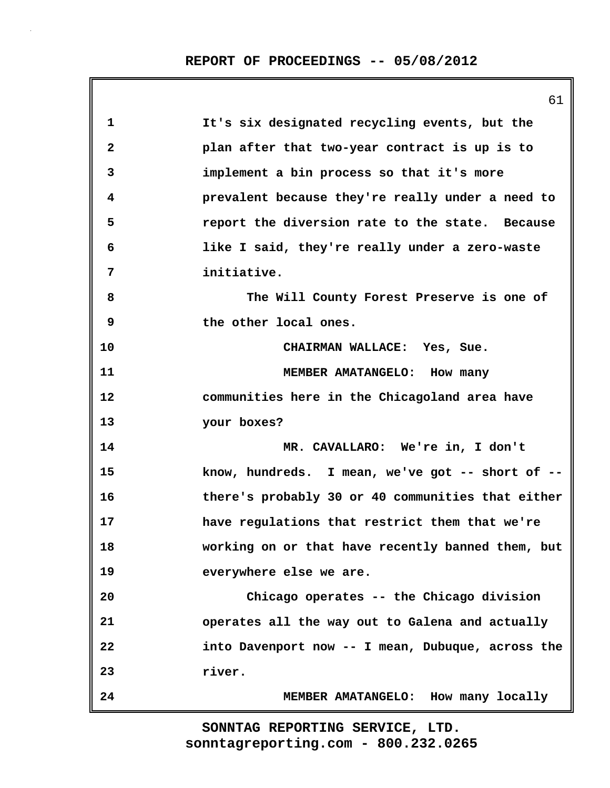|              | 61                                                |
|--------------|---------------------------------------------------|
| $\mathbf{1}$ | It's six designated recycling events, but the     |
| $\mathbf{2}$ | plan after that two-year contract is up is to     |
| 3            | implement a bin process so that it's more         |
| 4            | prevalent because they're really under a need to  |
| 5            | report the diversion rate to the state. Because   |
| 6            | like I said, they're really under a zero-waste    |
| 7            | initiative.                                       |
| 8            | The Will County Forest Preserve is one of         |
| 9            | the other local ones.                             |
| 10           | CHAIRMAN WALLACE: Yes, Sue.                       |
| 11           | MEMBER AMATANGELO: How many                       |
| 12           | communities here in the Chicagoland area have     |
| 13           | your boxes?                                       |
| 14           | MR. CAVALLARO: We're in, I don't                  |
| 15           | know, hundreds. I mean, we've got -- short of --  |
| 16           | there's probably 30 or 40 communities that either |
| 17           | have regulations that restrict them that we're    |
| 18           | working on or that have recently banned them, but |
| 19           | everywhere else we are.                           |
| 20           | Chicago operates -- the Chicago division          |
| 21           | operates all the way out to Galena and actually   |
| 22           | into Davenport now -- I mean, Dubuque, across the |
| 23           | river.                                            |
| 24           | MEMBER AMATANGELO: How many locally               |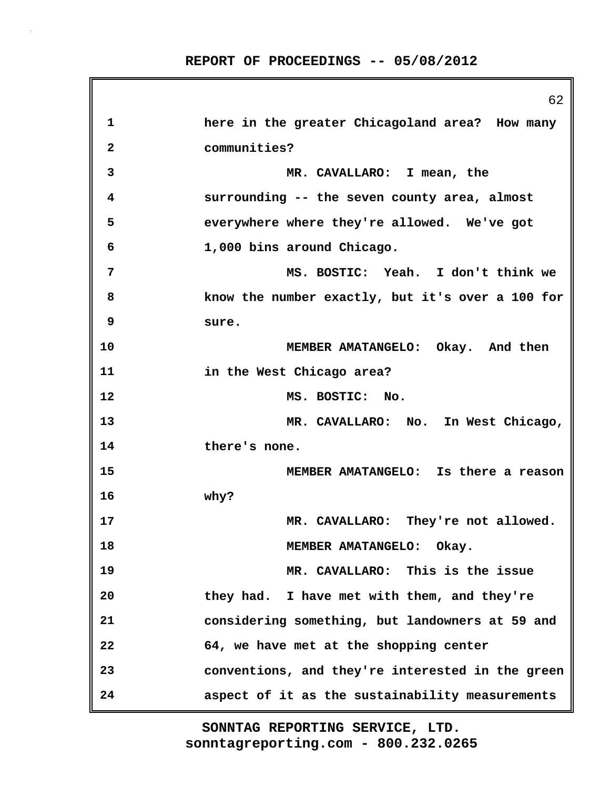|    | ರ∠                                               |
|----|--------------------------------------------------|
| 1  | here in the greater Chicagoland area? How many   |
| 2  | communities?                                     |
| 3  | MR. CAVALLARO: I mean, the                       |
| 4  | surrounding -- the seven county area, almost     |
| 5  | everywhere where they're allowed. We've got      |
| 6  | 1,000 bins around Chicago.                       |
| 7  | MS. BOSTIC: Yeah. I don't think we               |
| 8  | know the number exactly, but it's over a 100 for |
| 9  | sure.                                            |
| 10 | MEMBER AMATANGELO: Okay. And then                |
| 11 | in the West Chicago area?                        |
| 12 | MS. BOSTIC: No.                                  |
| 13 | MR. CAVALLARO: No. In West Chicago,              |
| 14 | there's none.                                    |
| 15 | MEMBER AMATANGELO: Is there a reason             |
| 16 | why?                                             |
| 17 | MR. CAVALLARO: They're not allowed.              |
| 18 | MEMBER AMATANGELO: Okay.                         |
| 19 | MR. CAVALLARO: This is the issue                 |
| 20 | they had. I have met with them, and they're      |
| 21 | considering something, but landowners at 59 and  |
| 22 | 64, we have met at the shopping center           |
| 23 | conventions, and they're interested in the green |
| 24 | aspect of it as the sustainability measurements  |

 $62$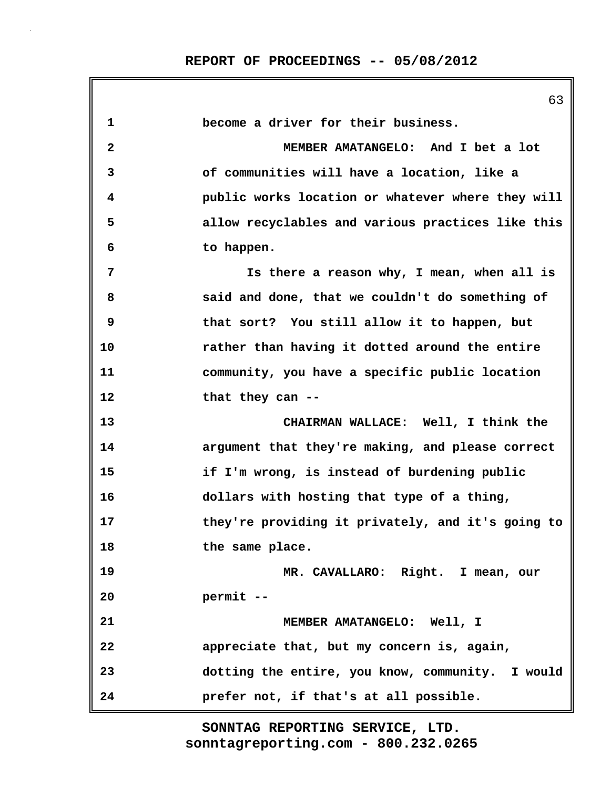|             | 63                                                |
|-------------|---------------------------------------------------|
| $\mathbf 1$ | become a driver for their business.               |
| 2           | MEMBER AMATANGELO: And I bet a lot                |
| 3           | of communities will have a location, like a       |
| 4           | public works location or whatever where they will |
| 5           | allow recyclables and various practices like this |
| 6           | to happen.                                        |
| 7           | Is there a reason why, I mean, when all is        |
| 8           | said and done, that we couldn't do something of   |
| 9           | that sort? You still allow it to happen, but      |
| 10          | rather than having it dotted around the entire    |
| 11          | community, you have a specific public location    |
| 12          | that they can --                                  |
| 13          | CHAIRMAN WALLACE: Well, I think the               |
| 14          | argument that they're making, and please correct  |
| 15          | if I'm wrong, is instead of burdening public      |
| 16          | dollars with hosting that type of a thing,        |
| 17          | they're providing it privately, and it's going to |
| 18          | the same place.                                   |
| 19          | MR. CAVALLARO: Right. I mean, our                 |
| 20          | permit --                                         |
| 21          | MEMBER AMATANGELO: Well, I                        |
| 22          | appreciate that, but my concern is, again,        |
| 23          | dotting the entire, you know, community. I would  |
| 24          | prefer not, if that's at all possible.            |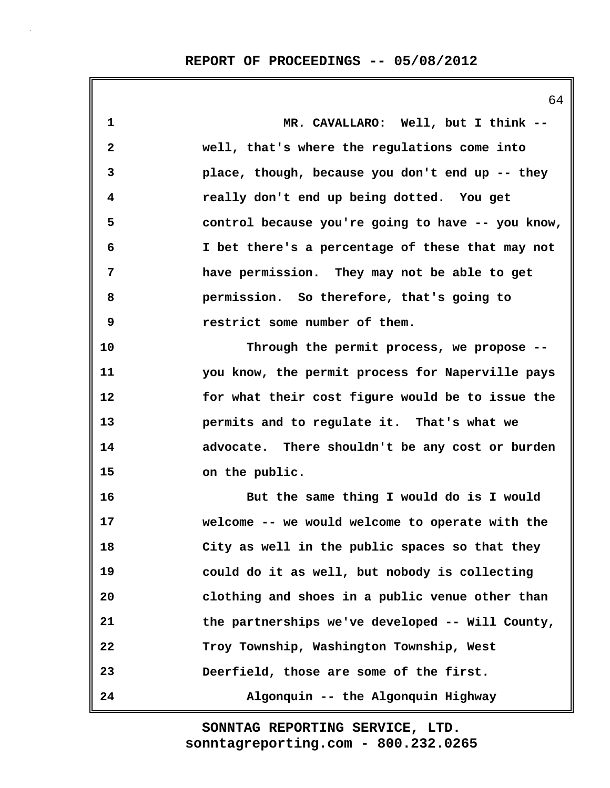|              | 64                                                |
|--------------|---------------------------------------------------|
| $\mathbf{1}$ | MR. CAVALLARO: Well, but I think --               |
| 2            | well, that's where the regulations come into      |
| 3            | place, though, because you don't end up -- they   |
| 4            | really don't end up being dotted. You get         |
| 5            | control because you're going to have -- you know, |
| 6            | I bet there's a percentage of these that may not  |
| 7            | have permission. They may not be able to get      |
| 8            | permission. So therefore, that's going to         |
| 9            | restrict some number of them.                     |
| 10           | Through the permit process, we propose --         |
| 11           | you know, the permit process for Naperville pays  |
| 12           | for what their cost figure would be to issue the  |
| 13           | permits and to regulate it. That's what we        |
| 14           | advocate. There shouldn't be any cost or burden   |
| 15           | on the public.                                    |
| 16           | But the same thing I would do is I would          |
| 17           | welcome -- we would welcome to operate with the   |
| 18           | City as well in the public spaces so that they    |
| 19           | could do it as well, but nobody is collecting     |
| 20           | clothing and shoes in a public venue other than   |
| 21           | the partnerships we've developed -- Will County,  |
| 22           | Troy Township, Washington Township, West          |
| 23           | Deerfield, those are some of the first.           |
| 24           | Algonquin -- the Algonquin Highway                |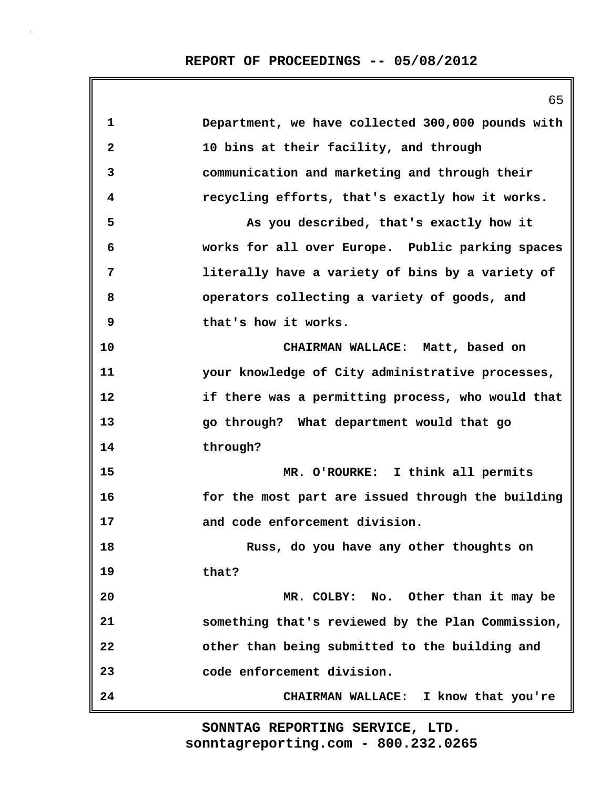|                         | 65                                                |
|-------------------------|---------------------------------------------------|
| $\mathbf 1$             | Department, we have collected 300,000 pounds with |
| $\overline{\mathbf{2}}$ | 10 bins at their facility, and through            |
| 3                       | communication and marketing and through their     |
| 4                       | recycling efforts, that's exactly how it works.   |
| 5                       | As you described, that's exactly how it           |
| 6                       | works for all over Europe. Public parking spaces  |
| 7                       | literally have a variety of bins by a variety of  |
| 8                       | operators collecting a variety of goods, and      |
| 9                       | that's how it works.                              |
| 10                      | CHAIRMAN WALLACE: Matt, based on                  |
| 11                      | your knowledge of City administrative processes,  |
| 12                      | if there was a permitting process, who would that |
| 13                      | go through? What department would that go         |
| 14                      | through?                                          |
| 15                      | MR. O'ROURKE: I think all permits                 |
| 16                      | for the most part are issued through the building |
| 17                      | and code enforcement division.                    |
| 18                      | Russ, do you have any other thoughts on           |
| 19                      | that?                                             |
| 20                      | MR. COLBY: No. Other than it may be               |
| 21                      | something that's reviewed by the Plan Commission, |
| 22                      | other than being submitted to the building and    |
| 23                      | code enforcement division.                        |
| 24                      | CHAIRMAN WALLACE: I know that you're              |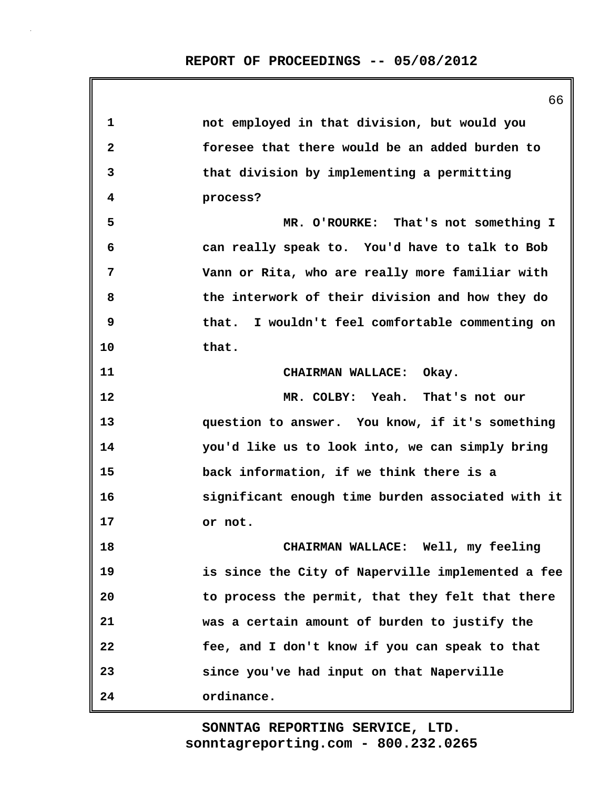**1 not employed in that division, but would you 2 foresee that there would be an added burden to 3 that division by implementing a permitting 4 process? 5 MR. O'ROURKE: That's not something I 6 can really speak to. You'd have to talk to Bob 7 Vann or Rita, who are really more familiar with 8 the interwork of their division and how they do 9 that. I wouldn't feel comfortable commenting on 10 that. 11 CHAIRMAN WALLACE: Okay. 12 MR. COLBY: Yeah. That's not our 13 question to answer. You know, if it's something 14 you'd like us to look into, we can simply bring 15 back information, if we think there is a 16 significant enough time burden associated with it 17 or not. 18 CHAIRMAN WALLACE: Well, my feeling 19 is since the City of Naperville implemented a fee 20 to process the permit, that they felt that there 21 was a certain amount of burden to justify the 22 fee, and I don't know if you can speak to that 23 since you've had input on that Naperville 24 ordinance.**

> **sonntagreporting.com - 800.232.0265 SONNTAG REPORTING SERVICE, LTD.**

66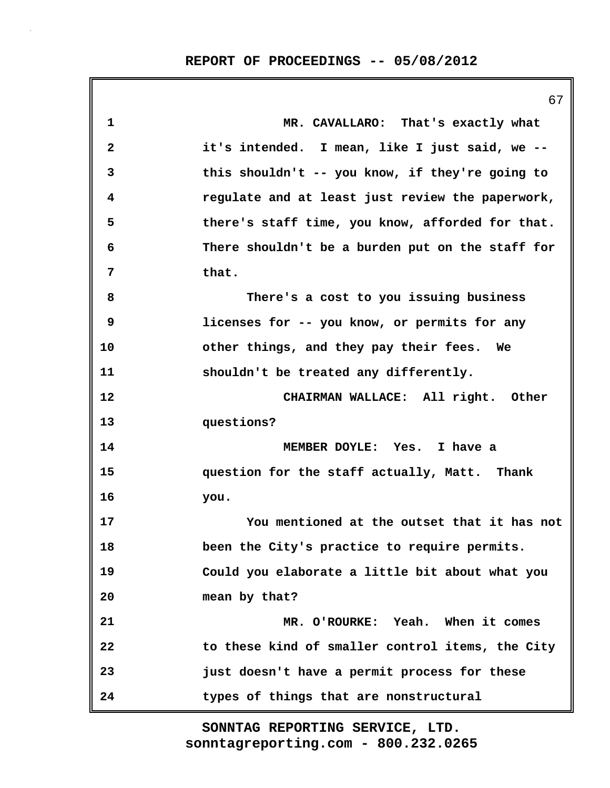|    | 67                                               |
|----|--------------------------------------------------|
| 1  | MR. CAVALLARO: That's exactly what               |
| 2  | it's intended. I mean, like I just said, we --   |
| 3  | this shouldn't -- you know, if they're going to  |
| 4  | regulate and at least just review the paperwork, |
| 5  | there's staff time, you know, afforded for that. |
| 6  | There shouldn't be a burden put on the staff for |
| 7  | that.                                            |
| 8  | There's a cost to you issuing business           |
| 9  | licenses for -- you know, or permits for any     |
| 10 | other things, and they pay their fees. We        |
| 11 | shouldn't be treated any differently.            |
| 12 | CHAIRMAN WALLACE: All right. Other               |
| 13 | questions?                                       |
| 14 | MEMBER DOYLE: Yes. I have a                      |
| 15 | question for the staff actually, Matt. Thank     |
| 16 | you.                                             |
| 17 | You mentioned at the outset that it has not      |
| 18 | been the City's practice to require permits.     |
| 19 | Could you elaborate a little bit about what you  |
| 20 | mean by that?                                    |
| 21 | MR. O'ROURKE: Yeah. When it comes                |
| 22 | to these kind of smaller control items, the City |
| 23 | just doesn't have a permit process for these     |
| 24 | types of things that are nonstructural           |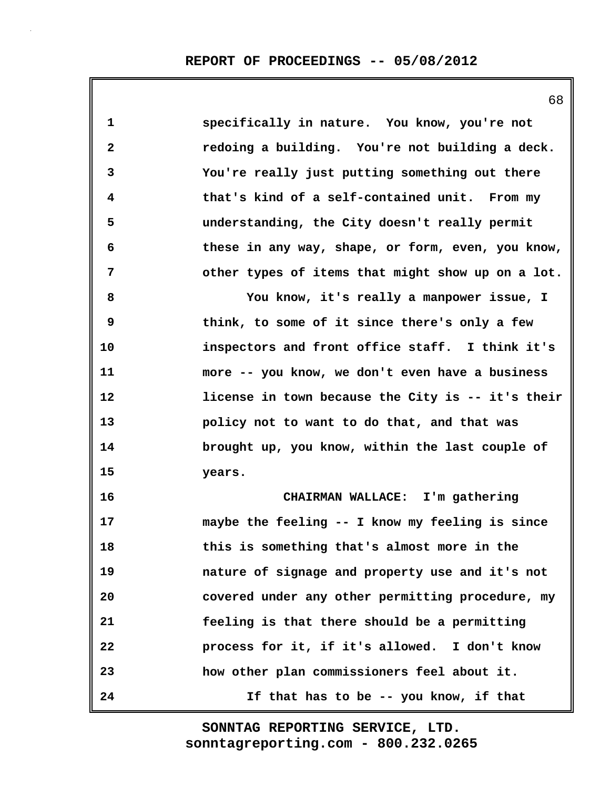**1 specifically in nature. You know, you're not 2 redoing a building. You're not building a deck. 3 You're really just putting something out there 4 that's kind of a self-contained unit. From my 5 understanding, the City doesn't really permit 6 these in any way, shape, or form, even, you know, 7 other types of items that might show up on a lot. 8 You know, it's really a manpower issue, I 9 think, to some of it since there's only a few 10 inspectors and front office staff. I think it's 11 more -- you know, we don't even have a business 12 license in town because the City is -- it's their 13 policy not to want to do that, and that was 14 brought up, you know, within the last couple of 15 years. 16 CHAIRMAN WALLACE: I'm gathering 17 maybe the feeling -- I know my feeling is since 18 this is something that's almost more in the 19 nature of signage and property use and it's not 20 covered under any other permitting procedure, my 21 feeling is that there should be a permitting 22 process for it, if it's allowed. I don't know 23 how other plan commissioners feel about it. 24 If that has to be -- you know, if that**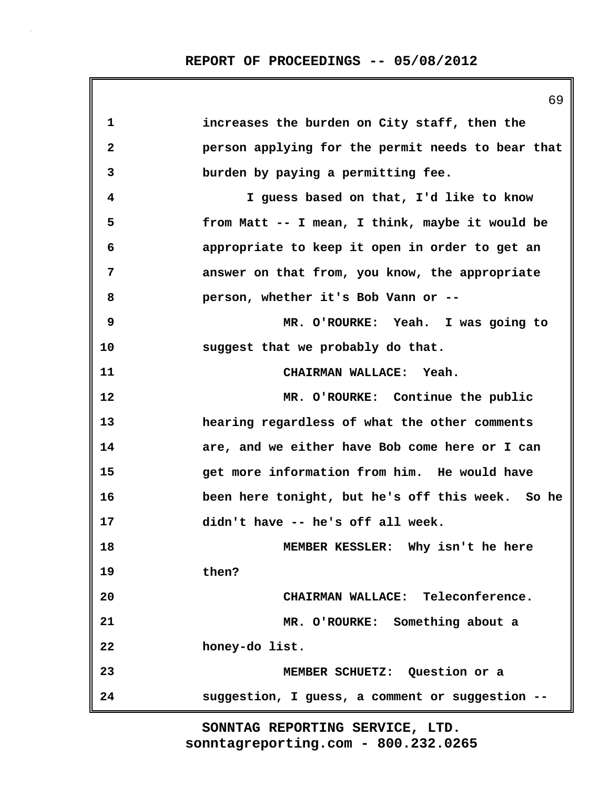|              | 69                                                |
|--------------|---------------------------------------------------|
| $\mathbf 1$  | increases the burden on City staff, then the      |
| $\mathbf{2}$ | person applying for the permit needs to bear that |
| 3            | burden by paying a permitting fee.                |
| 4            | I guess based on that, I'd like to know           |
| 5            | from Matt -- I mean, I think, maybe it would be   |
| 6            | appropriate to keep it open in order to get an    |
| 7            | answer on that from, you know, the appropriate    |
| 8            | person, whether it's Bob Vann or --               |
| 9            | MR. O'ROURKE: Yeah. I was going to                |
| 10           | suggest that we probably do that.                 |
| 11           | CHAIRMAN WALLACE: Yeah.                           |
| 12           | MR. O'ROURKE: Continue the public                 |
| 13           | hearing regardless of what the other comments     |
| 14           | are, and we either have Bob come here or I can    |
| 15           | get more information from him. He would have      |
| 16           | been here tonight, but he's off this week. So he  |
| 17           | didn't have -- he's off all week.                 |
| 18           | MEMBER KESSLER: Why isn't he here                 |
| 19           | then?                                             |
| 20           | CHAIRMAN WALLACE: Teleconference.                 |
| 21           | MR. O'ROURKE: Something about a                   |
| 22           | honey-do list.                                    |
| 23           | MEMBER SCHUETZ: Question or a                     |
| 24           | suggestion, I guess, a comment or suggestion --   |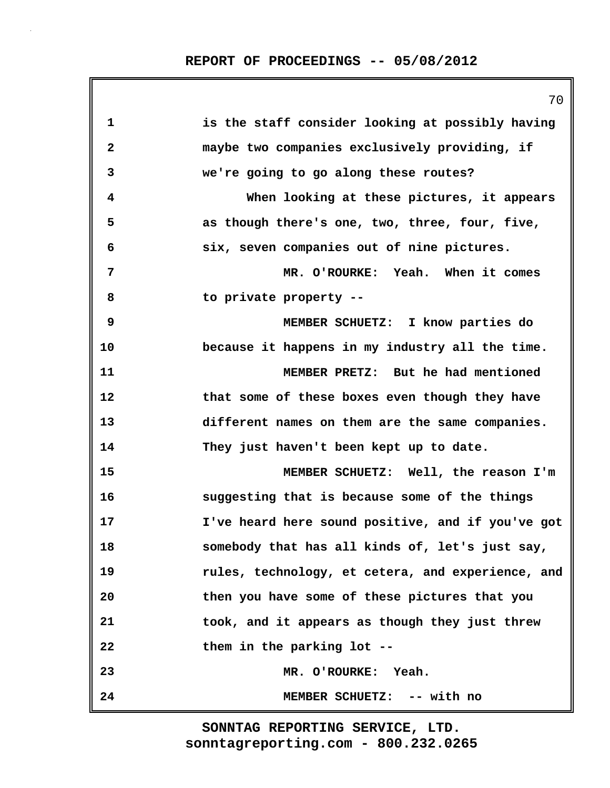|    | 70                                                |
|----|---------------------------------------------------|
| 1  | is the staff consider looking at possibly having  |
| 2  | maybe two companies exclusively providing, if     |
| 3  | we're going to go along these routes?             |
| 4  | When looking at these pictures, it appears        |
| 5  | as though there's one, two, three, four, five,    |
| 6  | six, seven companies out of nine pictures.        |
| 7  | MR. O'ROURKE: Yeah. When it comes                 |
| 8  | to private property --                            |
| 9  | MEMBER SCHUETZ: I know parties do                 |
| 10 | because it happens in my industry all the time.   |
| 11 | MEMBER PRETZ: But he had mentioned                |
| 12 | that some of these boxes even though they have    |
| 13 | different names on them are the same companies.   |
| 14 | They just haven't been kept up to date.           |
| 15 | MEMBER SCHUETZ: Well, the reason I'm              |
| 16 | suggesting that is because some of the things     |
| 17 | I've heard here sound positive, and if you've got |
| 18 | somebody that has all kinds of, let's just say,   |
| 19 | rules, technology, et cetera, and experience, and |
| 20 | then you have some of these pictures that you     |
| 21 | took, and it appears as though they just threw    |
| 22 | them in the parking lot --                        |
| 23 | MR. O'ROURKE: Yeah.                               |
| 24 | MEMBER SCHUETZ: -- with no                        |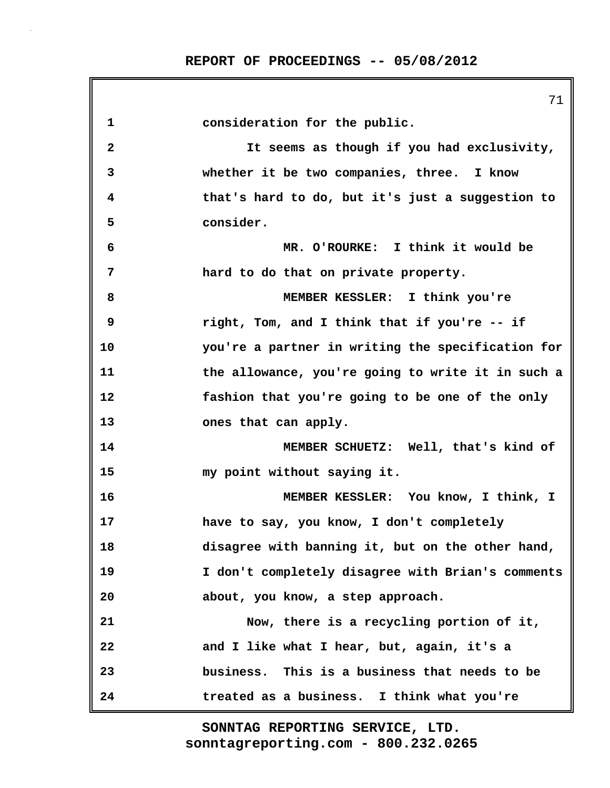|              | 71                                                |
|--------------|---------------------------------------------------|
| 1            | consideration for the public.                     |
| $\mathbf{2}$ | It seems as though if you had exclusivity,        |
| 3            | whether it be two companies, three. I know        |
| 4            | that's hard to do, but it's just a suggestion to  |
| 5            | consider.                                         |
| 6            | MR. O'ROURKE: I think it would be                 |
| 7            | hard to do that on private property.              |
| 8            | MEMBER KESSLER: I think you're                    |
| 9            | right, Tom, and I think that if you're -- if      |
| 10           | you're a partner in writing the specification for |
| 11           | the allowance, you're going to write it in such a |
| 12           | fashion that you're going to be one of the only   |
| 13           | ones that can apply.                              |
| 14           | MEMBER SCHUETZ: Well, that's kind of              |
| 15           | my point without saying it.                       |
| 16           | MEMBER KESSLER: You know, I think, I              |
| 17           | have to say, you know, I don't completely         |
| 18           | disagree with banning it, but on the other hand,  |
| 19           | I don't completely disagree with Brian's comments |
| 20           | about, you know, a step approach.                 |
| 21           | Now, there is a recycling portion of it,          |
| 22           | and I like what I hear, but, again, it's a        |
| 23           | business. This is a business that needs to be     |
| 24           | treated as a business. I think what you're        |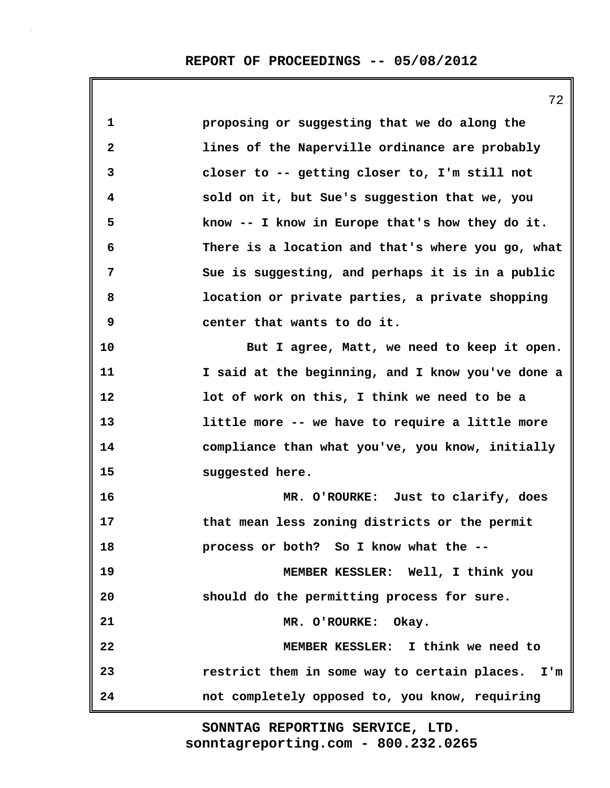|              | $\sqrt{2}$                                        |
|--------------|---------------------------------------------------|
| $\mathbf{1}$ | proposing or suggesting that we do along the      |
| $\mathbf{2}$ | lines of the Naperville ordinance are probably    |
| 3            | closer to -- getting closer to, I'm still not     |
| 4            | sold on it, but Sue's suggestion that we, you     |
| 5            | know -- I know in Europe that's how they do it.   |
| 6            | There is a location and that's where you go, what |
| 7            | Sue is suggesting, and perhaps it is in a public  |
| 8            | location or private parties, a private shopping   |
| 9            | center that wants to do it.                       |
| 10           | But I agree, Matt, we need to keep it open.       |
| 11           | I said at the beginning, and I know you've done a |
| 12           | lot of work on this, I think we need to be a      |
| 13           | little more -- we have to require a little more   |
| 14           | compliance than what you've, you know, initially  |
| 15           | suggested here.                                   |
| 16           | MR. O'ROURKE: Just to clarify, does               |
| 17           | that mean less zoning districts or the permit     |
| 18           | process or both? So I know what the --            |
| 19           | MEMBER KESSLER: Well, I think you                 |
| 20           | should do the permitting process for sure.        |
| 21           | MR. O'ROURKE: Okay.                               |
| 22           | MEMBER KESSLER: I think we need to                |
| 23           | restrict them in some way to certain places. I'm  |
| 24           | not completely opposed to, you know, requiring    |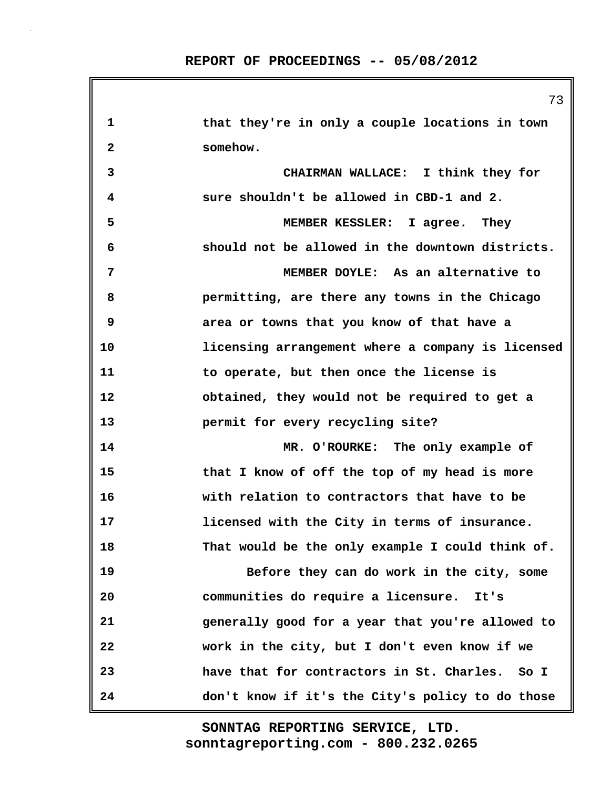73

| 1            | that they're in only a couple locations in town   |
|--------------|---------------------------------------------------|
| $\mathbf{2}$ | somehow.                                          |
| 3            | CHAIRMAN WALLACE: I think they for                |
| 4            | sure shouldn't be allowed in CBD-1 and 2.         |
| 5            | MEMBER KESSLER: I agree. They                     |
| 6            | should not be allowed in the downtown districts.  |
| 7            | MEMBER DOYLE: As an alternative to                |
| 8            | permitting, are there any towns in the Chicago    |
| 9            | area or towns that you know of that have a        |
| 10           | licensing arrangement where a company is licensed |
| 11           | to operate, but then once the license is          |
| 12           | obtained, they would not be required to get a     |
| 13           | permit for every recycling site?                  |
| 14           | MR. O'ROURKE: The only example of                 |
| 15           | that I know of off the top of my head is more     |
| 16           | with relation to contractors that have to be      |
| 17           | licensed with the City in terms of insurance.     |
| 18           | That would be the only example I could think of.  |
| 19           | Before they can do work in the city, some         |
| 20           | communities do require a licensure. It's          |
| 21           | generally good for a year that you're allowed to  |
| 22           | work in the city, but I don't even know if we     |
| 23           | have that for contractors in St. Charles.<br>So I |
| 24           | don't know if it's the City's policy to do those  |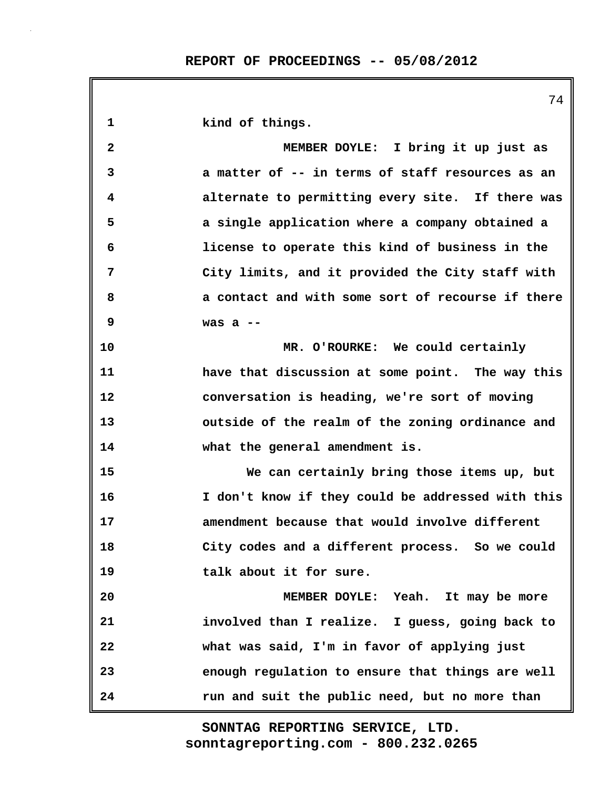**1 kind of things. 2 MEMBER DOYLE: I bring it up just as 3 a matter of -- in terms of staff resources as an 4 alternate to permitting every site. If there was 5 a single application where a company obtained a 6 license to operate this kind of business in the 7 City limits, and it provided the City staff with 8 a contact and with some sort of recourse if there 9 was a -- 10 MR. O'ROURKE: We could certainly 11 have that discussion at some point. The way this 12 conversation is heading, we're sort of moving 13 outside of the realm of the zoning ordinance and 14 what the general amendment is. 15 We can certainly bring those items up, but 16 I don't know if they could be addressed with this 17 amendment because that would involve different 18 City codes and a different process. So we could 19 talk about it for sure. 20 MEMBER DOYLE: Yeah. It may be more 21 involved than I realize. I guess, going back to 22 what was said, I'm in favor of applying just 23 enough regulation to ensure that things are well 24 run and suit the public need, but no more than**

> **sonntagreporting.com - 800.232.0265 SONNTAG REPORTING SERVICE, LTD.**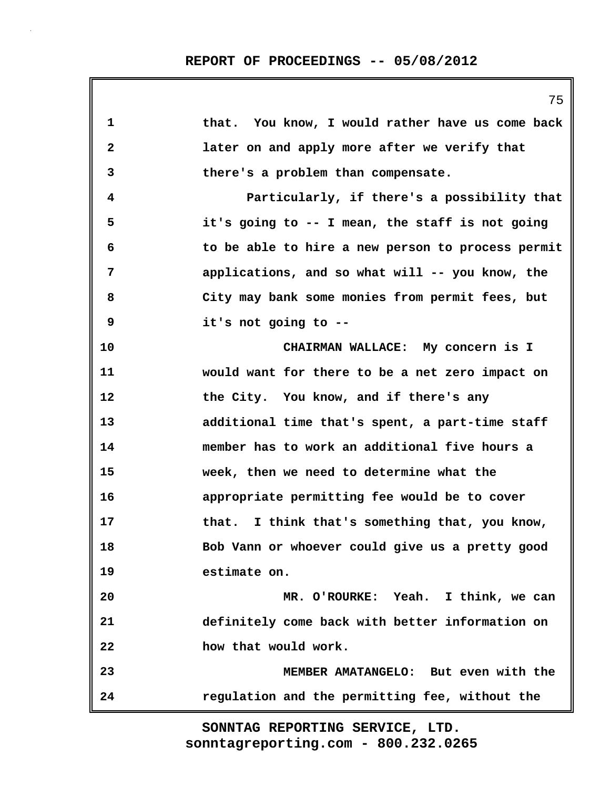| 1            | that. You know, I would rather have us come back  |
|--------------|---------------------------------------------------|
| $\mathbf{2}$ | later on and apply more after we verify that      |
| 3            | there's a problem than compensate.                |
| 4            | Particularly, if there's a possibility that       |
| 5            | it's going to -- I mean, the staff is not going   |
| 6            | to be able to hire a new person to process permit |
| 7            | applications, and so what will -- you know, the   |
| 8            | City may bank some monies from permit fees, but   |
| 9            | it's not going to --                              |
| 10           | CHAIRMAN WALLACE: My concern is I                 |
| 11           | would want for there to be a net zero impact on   |
| 12           | the City. You know, and if there's any            |
| 13           | additional time that's spent, a part-time staff   |
| 14           | member has to work an additional five hours a     |
| 15           | week, then we need to determine what the          |
| 16           | appropriate permitting fee would be to cover      |
| 17           | that. I think that's something that, you know,    |
| 18           | Bob Vann or whoever could give us a pretty good   |
| 19           | estimate on.                                      |
| 20           | MR. O'ROURKE: Yeah. I think, we can               |
| 21           | definitely come back with better information on   |
| 22           | how that would work.                              |
| 23           | MEMBER AMATANGELO: But even with the              |
| 24           | regulation and the permitting fee, without the    |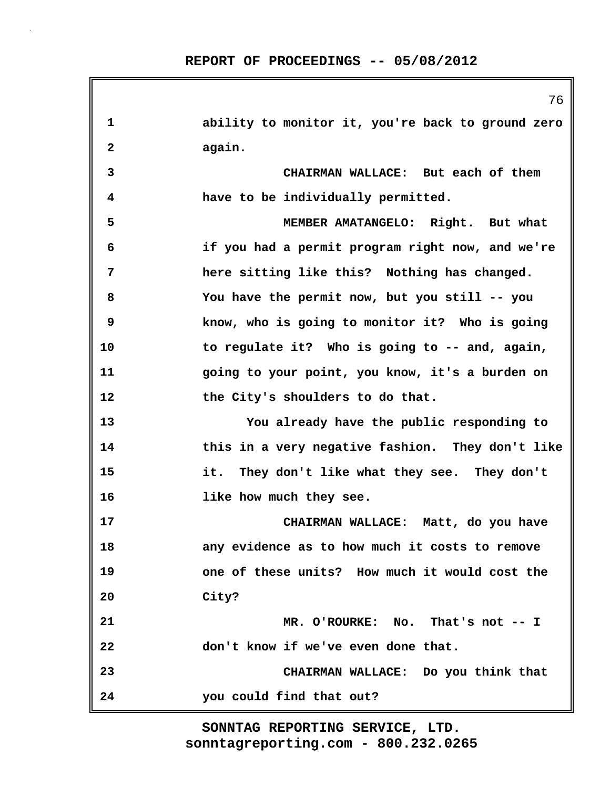|                         | 76                                                |
|-------------------------|---------------------------------------------------|
| 1                       | ability to monitor it, you're back to ground zero |
| $\overline{\mathbf{2}}$ | again.                                            |
| 3                       | CHAIRMAN WALLACE: But each of them                |
| 4                       | have to be individually permitted.                |
| 5                       | MEMBER AMATANGELO: Right. But what                |
| 6                       | if you had a permit program right now, and we're  |
| 7                       | here sitting like this? Nothing has changed.      |
| 8                       | You have the permit now, but you still -- you     |
| 9                       | know, who is going to monitor it? Who is going    |
| 10                      | to regulate it? Who is going to -- and, again,    |
| 11                      | going to your point, you know, it's a burden on   |
| 12                      | the City's shoulders to do that.                  |
| 13                      | You already have the public responding to         |
| 14                      | this in a very negative fashion. They don't like  |
| 15                      | it. They don't like what they see. They don't     |
| 16                      | like how much they see.                           |
| 17                      | CHAIRMAN WALLACE: Matt, do you have               |
| 18                      | any evidence as to how much it costs to remove    |
| 19                      | one of these units? How much it would cost the    |
| 20                      | City?                                             |
| 21                      | MR. O'ROURKE: No. That's not -- I                 |
| 22                      | don't know if we've even done that.               |
| 23                      | CHAIRMAN WALLACE: Do you think that               |
| 24                      | you could find that out?                          |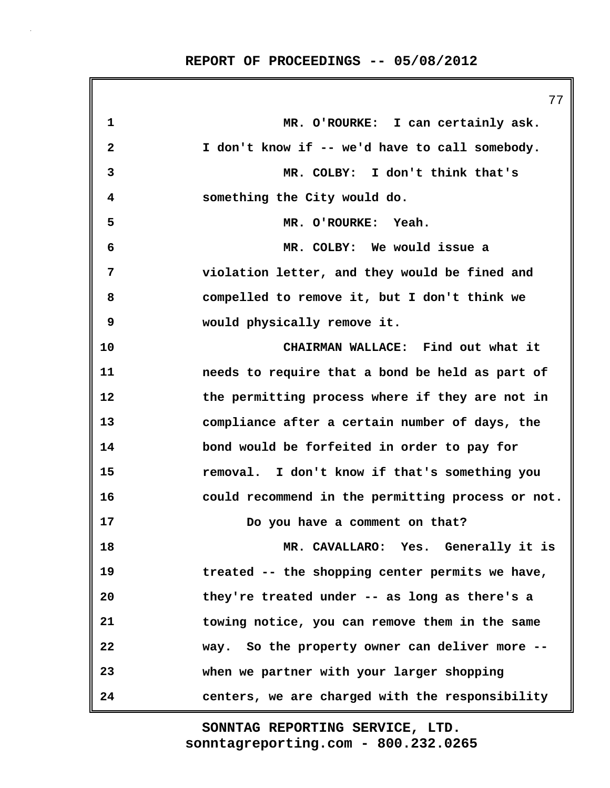77 **1 MR. O'ROURKE: I can certainly ask. 2 I don't know if -- we'd have to call somebody. 3 MR. COLBY: I don't think that's 4 something the City would do. 5 MR. O'ROURKE: Yeah. 6 MR. COLBY: We would issue a 7 violation letter, and they would be fined and 8 compelled to remove it, but I don't think we 9 would physically remove it. 10 CHAIRMAN WALLACE: Find out what it 11 needs to require that a bond be held as part of 12 the permitting process where if they are not in 13 compliance after a certain number of days, the 14 bond would be forfeited in order to pay for 15 removal. I don't know if that's something you 16 could recommend in the permitting process or not. 17 Do you have a comment on that? 18 MR. CAVALLARO: Yes. Generally it is 19 treated -- the shopping center permits we have, 20 they're treated under -- as long as there's a 21 towing notice, you can remove them in the same 22 way. So the property owner can deliver more -- 23 when we partner with your larger shopping 24 centers, we are charged with the responsibility**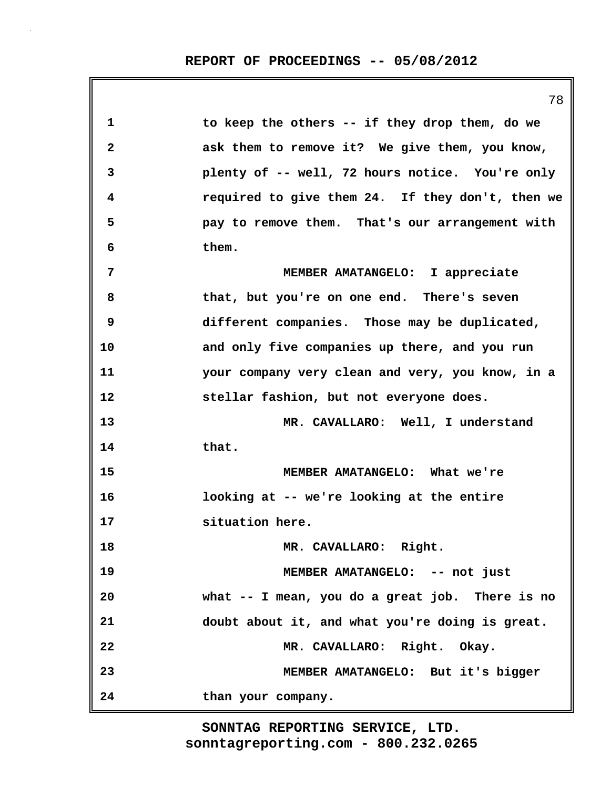**1 to keep the others -- if they drop them, do we 2 ask them to remove it? We give them, you know, 3 plenty of -- well, 72 hours notice. You're only 4 required to give them 24. If they don't, then we 5 pay to remove them. That's our arrangement with 6 them. 7 MEMBER AMATANGELO: I appreciate 8 that, but you're on one end. There's seven 9 different companies. Those may be duplicated, 10 and only five companies up there, and you run 11 your company very clean and very, you know, in a 12 stellar fashion, but not everyone does. 13 MR. CAVALLARO: Well, I understand 14 that. 15 MEMBER AMATANGELO: What we're 16 looking at -- we're looking at the entire 17 situation here. 18 MR. CAVALLARO: Right. 19 MEMBER AMATANGELO: -- not just 20 what -- I mean, you do a great job. There is no 21 doubt about it, and what you're doing is great. 22 MR. CAVALLARO: Right. Okay. 23 MEMBER AMATANGELO: But it's bigger 24 than your company.**

> **sonntagreporting.com - 800.232.0265 SONNTAG REPORTING SERVICE, LTD.**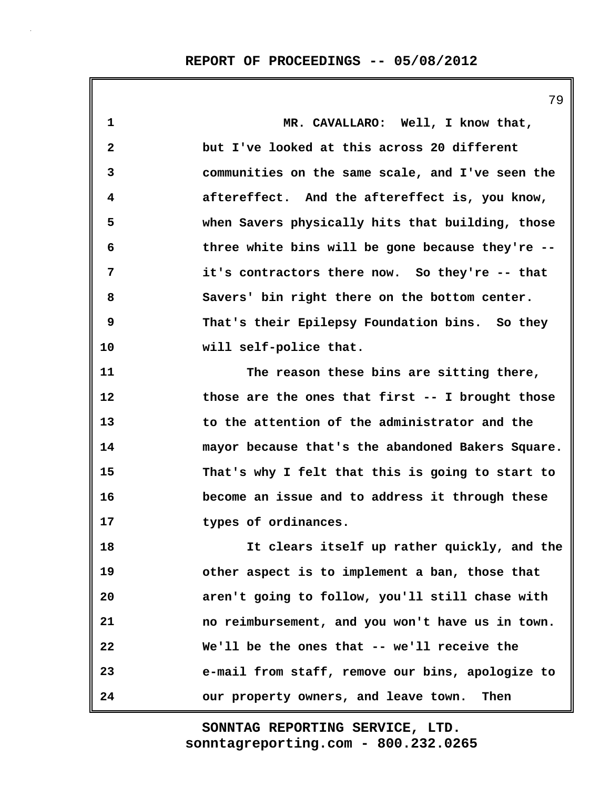**1 MR. CAVALLARO: Well, I know that, 2 but I've looked at this across 20 different 3 communities on the same scale, and I've seen the 4 aftereffect. And the aftereffect is, you know, 5 when Savers physically hits that building, those 6 three white bins will be gone because they're -- 7 it's contractors there now. So they're -- that 8 Savers' bin right there on the bottom center. 9 That's their Epilepsy Foundation bins. So they 10 will self-police that. 11 The reason these bins are sitting there, 12 those are the ones that first -- I brought those 13 to the attention of the administrator and the 14 mayor because that's the abandoned Bakers Square. 15 That's why I felt that this is going to start to 16 become an issue and to address it through these 17 types of ordinances. 18 It clears itself up rather quickly, and the 19 other aspect is to implement a ban, those that 20 aren't going to follow, you'll still chase with 21 no reimbursement, and you won't have us in town. 22 We'll be the ones that -- we'll receive the 23 e-mail from staff, remove our bins, apologize to 24 our property owners, and leave town. Then**

> **sonntagreporting.com - 800.232.0265 SONNTAG REPORTING SERVICE, LTD.**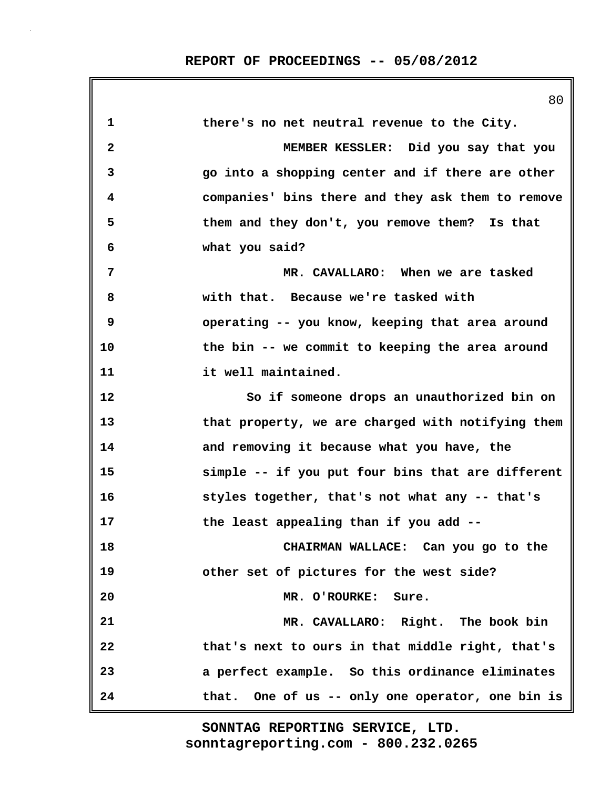|              | 80                                                |
|--------------|---------------------------------------------------|
| $\mathbf 1$  | there's no net neutral revenue to the City.       |
| $\mathbf{2}$ | MEMBER KESSLER: Did you say that you              |
| 3            | go into a shopping center and if there are other  |
| 4            | companies' bins there and they ask them to remove |
| 5            | them and they don't, you remove them? Is that     |
| 6            | what you said?                                    |
| 7            | MR. CAVALLARO: When we are tasked                 |
| 8            | with that. Because we're tasked with              |
| 9            | operating -- you know, keeping that area around   |
| 10           | the bin -- we commit to keeping the area around   |
| 11           | it well maintained.                               |
| 12           | So if someone drops an unauthorized bin on        |
| 13           | that property, we are charged with notifying them |
| 14           | and removing it because what you have, the        |
| 15           | simple -- if you put four bins that are different |
| 16           | styles together, that's not what any -- that's    |
| 17           | the least appealing than if you add --            |
| 18           | CHAIRMAN WALLACE: Can you go to the               |
| 19           | other set of pictures for the west side?          |
| 20           | MR. O'ROURKE: Sure.                               |
| 21           | MR. CAVALLARO: Right. The book bin                |
| 22           | that's next to ours in that middle right, that's  |
| 23           | a perfect example. So this ordinance eliminates   |
| 24           | that. One of us -- only one operator, one bin is  |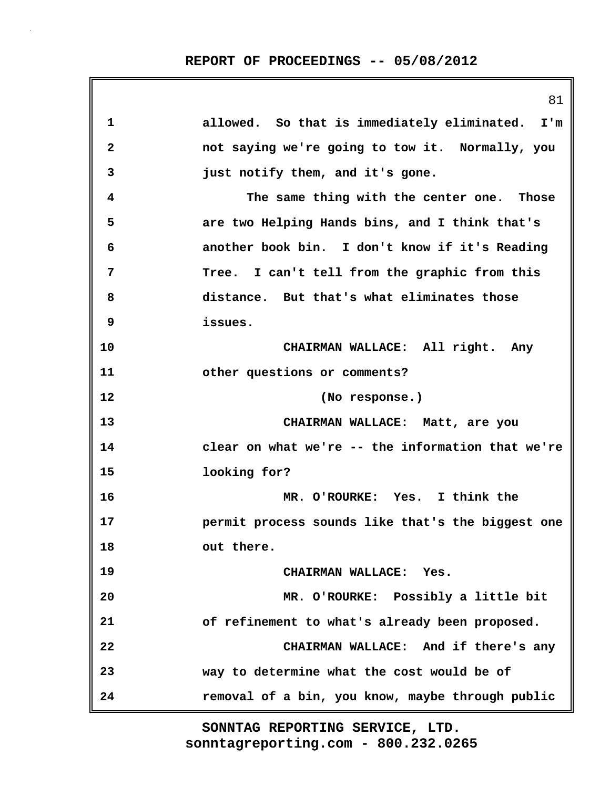|              | 81                                                |
|--------------|---------------------------------------------------|
| $\mathbf 1$  | allowed. So that is immediately eliminated. I'm   |
| $\mathbf{2}$ | not saying we're going to tow it. Normally, you   |
| 3            | just notify them, and it's gone.                  |
| 4            | The same thing with the center one. Those         |
| 5            | are two Helping Hands bins, and I think that's    |
| 6            | another book bin. I don't know if it's Reading    |
| 7            | Tree. I can't tell from the graphic from this     |
| 8            | distance. But that's what eliminates those        |
| 9            | issues.                                           |
| 10           | CHAIRMAN WALLACE: All right. Any                  |
| 11           | other questions or comments?                      |
| 12           | (No response.)                                    |
| 13           | CHAIRMAN WALLACE: Matt, are you                   |
| 14           | clear on what we're -- the information that we're |
| 15           | looking for?                                      |
| 16           | MR. O'ROURKE: Yes. I think the                    |
| 17           | permit process sounds like that's the biggest one |
| 18           | out there.                                        |
| 19           | CHAIRMAN WALLACE: Yes.                            |
| 20           | MR. O'ROURKE: Possibly a little bit               |
| 21           | of refinement to what's already been proposed.    |
| 22           | CHAIRMAN WALLACE: And if there's any              |
| 23           | way to determine what the cost would be of        |
| 24           | removal of a bin, you know, maybe through public  |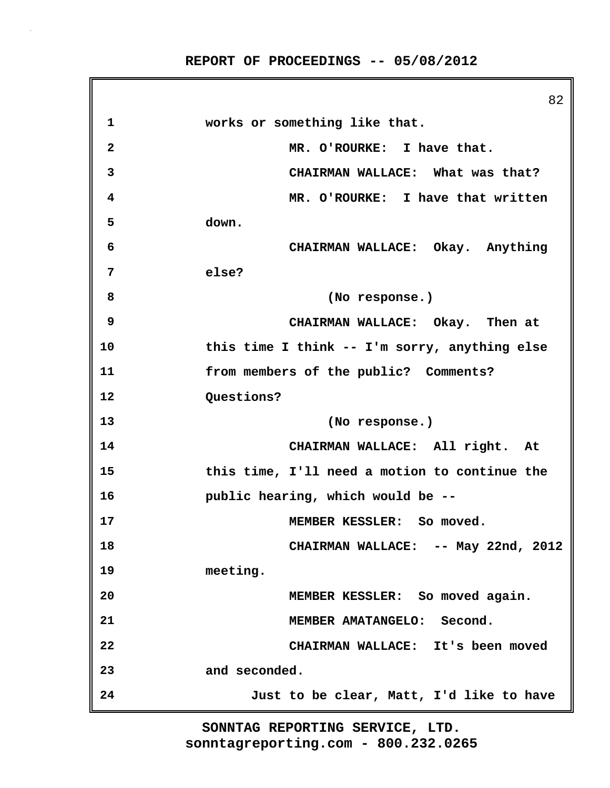82 **1 works or something like that. 2 MR. O'ROURKE: I have that. 3 CHAIRMAN WALLACE: What was that? 4 MR. O'ROURKE: I have that written 5 down. 6 CHAIRMAN WALLACE: Okay. Anything 7 else? 8 (No response.) 9 CHAIRMAN WALLACE: Okay. Then at 10 this time I think -- I'm sorry, anything else 11 from members of the public? Comments? 12 Questions? 13 (No response.) 14 CHAIRMAN WALLACE: All right. At 15 this time, I'll need a motion to continue the 16 public hearing, which would be -- 17 MEMBER KESSLER: So moved. 18 CHAIRMAN WALLACE: -- May 22nd, 2012 19 meeting. 20 MEMBER KESSLER: So moved again. 21 MEMBER AMATANGELO: Second. 22 CHAIRMAN WALLACE: It's been moved 23 and seconded. 24 Just to be clear, Matt, I'd like to have**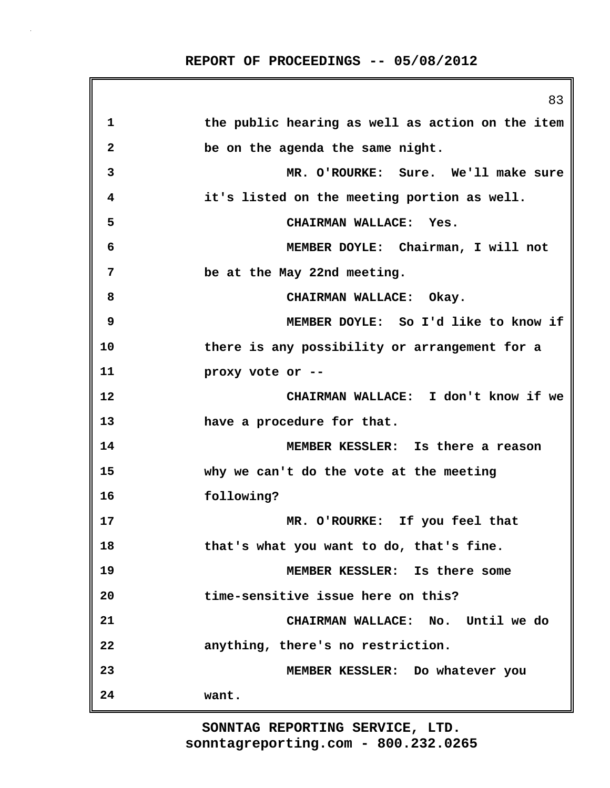|              | 83                                               |
|--------------|--------------------------------------------------|
| 1            | the public hearing as well as action on the item |
| $\mathbf{2}$ | be on the agenda the same night.                 |
| 3            | MR. O'ROURKE: Sure. We'll make sure              |
| 4            | it's listed on the meeting portion as well.      |
| 5            | CHAIRMAN WALLACE: Yes.                           |
| 6            | MEMBER DOYLE: Chairman, I will not               |
| 7            | be at the May 22nd meeting.                      |
| 8            | CHAIRMAN WALLACE: Okay.                          |
| 9            | MEMBER DOYLE: So I'd like to know if             |
| 10           | there is any possibility or arrangement for a    |
| 11           | proxy vote or --                                 |
| 12           | CHAIRMAN WALLACE: I don't know if we             |
| 13           | have a procedure for that.                       |
| 14           | MEMBER KESSLER: Is there a reason                |
| 15           | why we can't do the vote at the meeting          |
| 16           | following?                                       |
| 17           | MR. O'ROURKE: If you feel that                   |
| 18           | that's what you want to do, that's fine.         |
| 19           | MEMBER KESSLER: Is there some                    |
| 20           | time-sensitive issue here on this?               |
| 21           | CHAIRMAN WALLACE: No. Until we do                |
| 22           | anything, there's no restriction.                |
| 23           | MEMBER KESSLER: Do whatever you                  |
| 24           | want.                                            |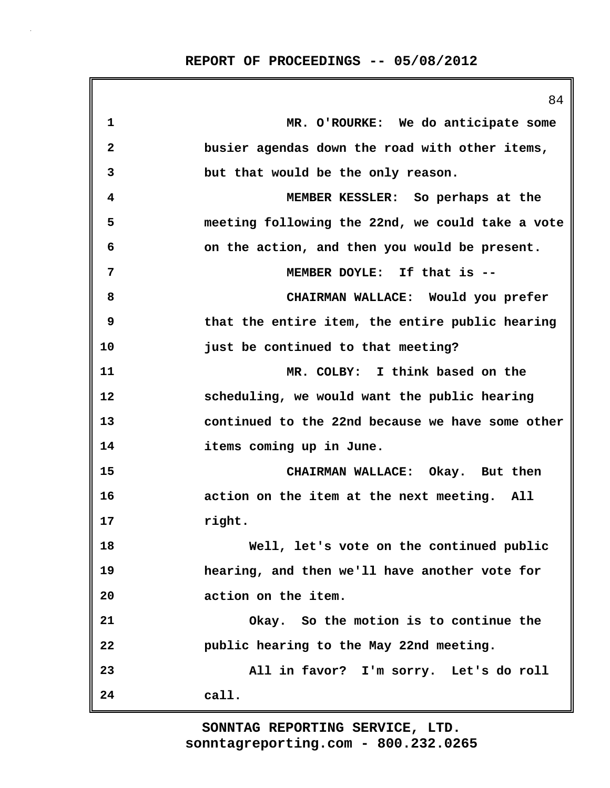|                         | 84                                               |
|-------------------------|--------------------------------------------------|
| 1                       | MR. O'ROURKE: We do anticipate some              |
| $\overline{\mathbf{2}}$ | busier agendas down the road with other items,   |
| 3                       | but that would be the only reason.               |
| 4                       | MEMBER KESSLER: So perhaps at the                |
| 5                       | meeting following the 22nd, we could take a vote |
| 6                       | on the action, and then you would be present.    |
| 7                       | MEMBER DOYLE: If that is --                      |
| 8                       | CHAIRMAN WALLACE: Would you prefer               |
| 9                       | that the entire item, the entire public hearing  |
| 10                      | just be continued to that meeting?               |
| 11                      | MR. COLBY: I think based on the                  |
| 12                      | scheduling, we would want the public hearing     |
| 13                      | continued to the 22nd because we have some other |
| 14                      | items coming up in June.                         |
| 15                      | CHAIRMAN WALLACE: Okay. But then                 |
| 16                      | action on the item at the next meeting. All      |
| 17                      | right.                                           |
| 18                      | Well, let's vote on the continued public         |
| 19                      | hearing, and then we'll have another vote for    |
| 20                      | action on the item.                              |
| 21                      | Okay. So the motion is to continue the           |
| 22                      | public hearing to the May 22nd meeting.          |
| 23                      | All in favor? I'm sorry. Let's do roll           |
| 24                      | call.                                            |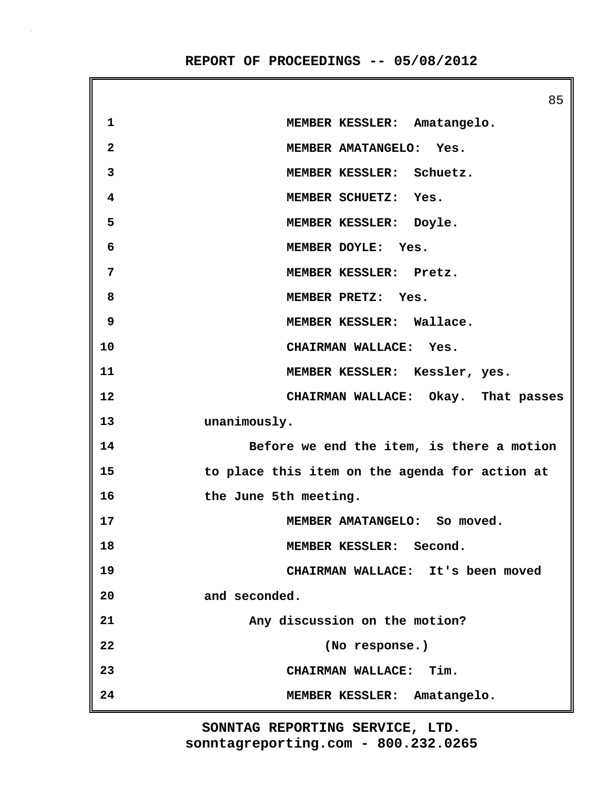85 **1 MEMBER KESSLER: Amatangelo. 2 MEMBER AMATANGELO: Yes. 3 MEMBER KESSLER: Schuetz. 4 MEMBER SCHUETZ: Yes. 5 MEMBER KESSLER: Doyle. 6 MEMBER DOYLE: Yes. 7 MEMBER KESSLER: Pretz. 8 MEMBER PRETZ: Yes. 9 MEMBER KESSLER: Wallace. 10 CHAIRMAN WALLACE: Yes. 11 MEMBER KESSLER: Kessler, yes. 12 CHAIRMAN WALLACE: Okay. That passes 13 unanimously. 14 Before we end the item, is there a motion 15 to place this item on the agenda for action at 16 the June 5th meeting. 17 MEMBER AMATANGELO: So moved. 18 MEMBER KESSLER: Second. 19 CHAIRMAN WALLACE: It's been moved 20 and seconded. 21 Any discussion on the motion? 22 (No response.) 23 CHAIRMAN WALLACE: Tim. 24 MEMBER KESSLER: Amatangelo.**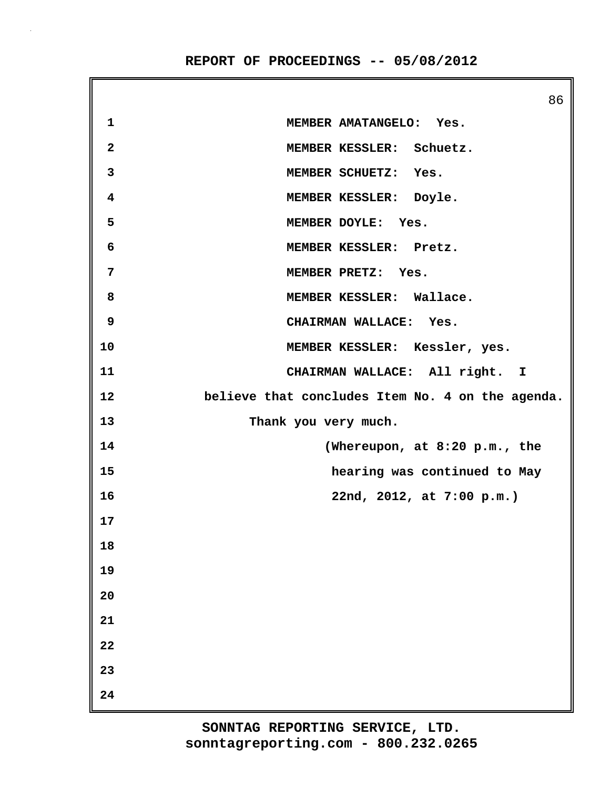86 **1 MEMBER AMATANGELO: Yes. 2 MEMBER KESSLER: Schuetz. 3 MEMBER SCHUETZ: Yes. 4 MEMBER KESSLER: Doyle. 5 MEMBER DOYLE: Yes. 6 MEMBER KESSLER: Pretz. 7 MEMBER PRETZ: Yes. 8 MEMBER KESSLER: Wallace. 9 CHAIRMAN WALLACE: Yes. 10 MEMBER KESSLER: Kessler, yes. 11 CHAIRMAN WALLACE: All right. I 12 believe that concludes Item No. 4 on the agenda. 13 Thank you very much. 14 (Whereupon, at 8:20 p.m., the 15 hearing was continued to May 16 22nd, 2012, at 7:00 p.m.) 17 18 19 20 21 22 23 24**